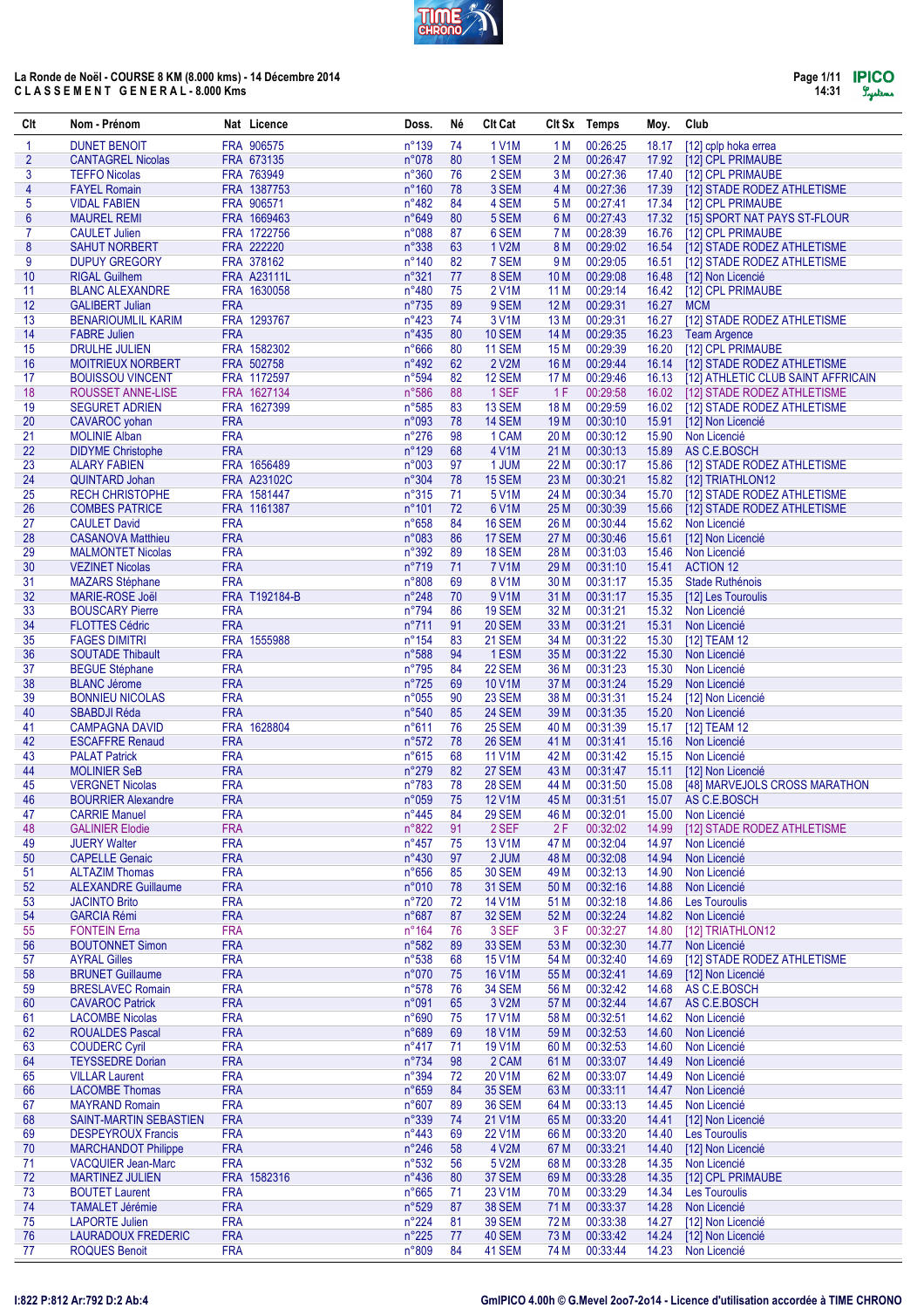# TIME I

| Clt            | Nom - Prénom                                        |                          | Nat Licence                       | Doss.                            | Né       | <b>Clt Cat</b>          |                 | Clt Sx Temps         | Moy.           | Club                                                          |
|----------------|-----------------------------------------------------|--------------------------|-----------------------------------|----------------------------------|----------|-------------------------|-----------------|----------------------|----------------|---------------------------------------------------------------|
| 1              | <b>DUNET BENOIT</b>                                 |                          | FRA 906575                        | n°139                            | 74       | 1 V1M                   | 1 M             | 00:26:25             | 18.17          | [12] cplp hoka errea                                          |
| $\overline{2}$ | <b>CANTAGREL Nicolas</b>                            |                          | FRA 673135                        | n°078                            | 80       | 1 SEM                   | 2 M             | 00:26:47             | 17.92          | [12] CPL PRIMAUBE                                             |
| 3              | <b>TEFFO Nicolas</b>                                |                          | FRA 763949                        | n°360                            | 76       | 2 SEM                   | 3 M             | 00:27:36             | 17.40          | [12] CPL PRIMAUBE                                             |
| 4              | <b>FAYEL Romain</b>                                 |                          | FRA 1387753                       | n°160                            | 78       | 3 SEM                   | 4 M             | 00:27:36             | 17.39          | [12] STADE RODEZ ATHLETISME                                   |
| 5<br>6         | <b>VIDAL FABIEN</b><br><b>MAUREL REMI</b>           |                          | FRA 906571<br>FRA 1669463         | $n^{\circ}482$<br>n°649          | 84<br>80 | 4 SEM<br>5 SEM          | 5 M<br>6 M      | 00:27:41<br>00:27:43 |                | 17.34 [12] CPL PRIMAUBE<br>17.32 [15] SPORT NAT PAYS ST-FLOUR |
| 7              | <b>CAULET Julien</b>                                |                          | FRA 1722756                       | n°088                            | 87       | 6 SEM                   | 7 M             | 00:28:39             | 16.76          | [12] CPL PRIMAUBE                                             |
| 8              | <b>SAHUT NORBERT</b>                                |                          | FRA 222220                        | n°338                            | 63       | 1 V2M                   | 8 M             | 00:29:02             |                | 16.54 [12] STADE RODEZ ATHLETISME                             |
| 9              | <b>DUPUY GREGORY</b>                                |                          | FRA 378162                        | $n^{\circ}$ 140                  | 82       | 7 SEM                   | 9 M             | 00:29:05             | 16.51          | [12] STADE RODEZ ATHLETISME                                   |
| 10             | <b>RIGAL Guilhem</b>                                |                          | <b>FRA A23111L</b>                | n°321                            | 77       | 8 SEM                   | 10 <sub>M</sub> | 00:29:08             | 16.48          | [12] Non Licencié                                             |
| 11             | <b>BLANC ALEXANDRE</b>                              |                          | FRA 1630058                       | n°480                            | 75       | 2 V <sub>1</sub> M      | 11 M            | 00:29:14             | 16.42          | [12] CPL PRIMAUBE                                             |
| 12             | <b>GALIBERT Julian</b>                              | <b>FRA</b>               |                                   | $n^{\circ}735$                   | 89       | 9 SEM                   | 12M             | 00:29:31             | 16.27          | <b>MCM</b>                                                    |
| 13             | <b>BENARIOUMLIL KARIM</b>                           |                          | FRA 1293767                       | $n^{\circ}423$                   | 74       | 3 V1M                   | 13 M            | 00:29:31             | 16.27          | [12] STADE RODEZ ATHLETISME                                   |
| 14             | <b>FABRE Julien</b>                                 | <b>FRA</b>               | FRA 1582302                       | $n^{\circ}435$<br>n°666          | 80       | <b>10 SEM</b>           | 14 M            | 00:29:35<br>00:29:39 | 16.23          | <b>Team Argence</b>                                           |
| 15<br>16       | <b>DRULHE JULIEN</b><br><b>MOITRIEUX NORBERT</b>    |                          | FRA 502758                        | $n^{\circ}492$                   | 80<br>62 | <b>11 SEM</b><br>2 V2M  | 15 M<br>16 M    | 00:29:44             | 16.20          | [12] CPL PRIMAUBE<br>16.14 [12] STADE RODEZ ATHLETISME        |
| 17             | <b>BOUISSOU VINCENT</b>                             |                          | FRA 1172597                       | n°594                            | 82       | 12 SEM                  | 17 M            | 00:29:46             |                | 16.13 [12] ATHLETIC CLUB SAINT AFFRICAIN                      |
| 18             | ROUSSET ANNE-LISE                                   |                          | FRA 1627134                       | n°586                            | 88       | 1 SEF                   | 1F              | 00:29:58             |                | 16.02 [12] STADE RODEZ ATHLETISME                             |
| 19             | <b>SEGURET ADRIEN</b>                               |                          | FRA 1627399                       | n°585                            | 83       | 13 SEM                  | 18 M            | 00:29:59             | 16.02          | [12] STADE RODEZ ATHLETISME                                   |
| 20             | CAVAROC yohan                                       | <b>FRA</b>               |                                   | n°093                            | 78       | 14 SEM                  | 19 M            | 00:30:10             | 15.91          | [12] Non Licencié                                             |
| 21             | <b>MOLINIE Alban</b>                                | <b>FRA</b>               |                                   | $n^{\circ}276$                   | 98       | 1 CAM                   | 20 M            | 00:30:12             | 15.90          | Non Licencié                                                  |
| 22             | <b>DIDYME Christophe</b>                            | <b>FRA</b>               |                                   | $n^{\circ}129$                   | 68       | 4 V1M                   | 21 M            | 00:30:13             |                | 15.89 AS C.E.BOSCH                                            |
| 23<br>24       | <b>ALARY FABIEN</b><br><b>QUINTARD Johan</b>        |                          | FRA 1656489<br><b>FRA A23102C</b> | n°003<br>n°304                   | 97<br>78 | 1 JUM<br>15 SEM         | 22 M<br>23 M    | 00:30:17<br>00:30:21 | 15.86          | [12] STADE RODEZ ATHLETISME<br>15.82 [12] TRIATHLON12         |
| 25             | <b>RECH CHRISTOPHE</b>                              |                          | FRA 1581447                       | $n^{\circ}315$                   | 71       | 5 V1M                   | 24 M            | 00:30:34             |                | 15.70 [12] STADE RODEZ ATHLETISME                             |
| 26             | <b>COMBES PATRICE</b>                               |                          | FRA 1161387                       | n°101                            | 72       | 6 V1M                   | 25 M            | 00:30:39             | 15.66          | [12] STADE RODEZ ATHLETISME                                   |
| 27             | <b>CAULET David</b>                                 | <b>FRA</b>               |                                   | $n^{\circ}658$                   | 84       | 16 SEM                  | 26 M            | 00:30:44             | 15.62          | Non Licencié                                                  |
| 28             | <b>CASANOVA Matthieu</b>                            | <b>FRA</b>               |                                   | n°083                            | 86       | 17 SEM                  | 27 M            | 00:30:46             | 15.61          | [12] Non Licencié                                             |
| 29             | <b>MALMONTET Nicolas</b>                            | <b>FRA</b>               |                                   | n°392                            | 89       | 18 SEM                  | 28 M            | 00:31:03             | 15.46          | Non Licencié                                                  |
| 30             | <b>VEZINET Nicolas</b>                              | <b>FRA</b>               |                                   | n°719                            | 71       | 7 V1M                   | 29 M            | 00:31:10             | 15.41          | <b>ACTION 12</b>                                              |
| 31             | <b>MAZARS Stéphane</b>                              | <b>FRA</b>               |                                   | n°808                            | 69       | 8 V1M                   | 30 M            | 00:31:17             | 15.35          | Stade Ruthénois                                               |
| 32             | MARIE-ROSE Joël                                     |                          | FRA T192184-B                     | $n^{\circ}248$                   | 70       | 9 V <sub>1</sub> M      | 31 M            | 00:31:17             | 15.35          | [12] Les Touroulis                                            |
| 33<br>34       | <b>BOUSCARY Pierre</b><br><b>FLOTTES Cédric</b>     | <b>FRA</b><br><b>FRA</b> |                                   | n°794<br>$n^{\circ}711$          | 86<br>91 | <b>19 SEM</b><br>20 SEM | 32 M<br>33 M    | 00:31:21<br>00:31:21 | 15.32<br>15.31 | Non Licencié<br>Non Licencié                                  |
| 35             | <b>FAGES DIMITRI</b>                                |                          | FRA 1555988                       | $n^{\circ}154$                   | 83       | 21 SEM                  | 34 M            | 00:31:22             | 15.30          | [12] TEAM 12                                                  |
| 36             | <b>SOUTADE Thibault</b>                             | <b>FRA</b>               |                                   | n°588                            | 94       | 1 ESM                   | 35 M            | 00:31:22             | 15.30          | Non Licencié                                                  |
| 37             | <b>BEGUE Stéphane</b>                               | <b>FRA</b>               |                                   | n°795                            | 84       | 22 SEM                  | 36 M            | 00:31:23             | 15.30          | Non Licencié                                                  |
| 38             | <b>BLANC Jérome</b>                                 | <b>FRA</b>               |                                   | $n^{\circ}725$                   | 69       | 10 V1M                  | 37 M            | 00:31:24             | 15.29          | Non Licencié                                                  |
| 39             | <b>BONNIEU NICOLAS</b>                              | <b>FRA</b>               |                                   | n°055                            | 90       | 23 SEM                  | 38 M            | 00:31:31             | 15.24          | [12] Non Licencié                                             |
| 40             | <b>SBABDJI Réda</b>                                 | <b>FRA</b>               |                                   | n°540                            | 85       | 24 SEM                  | 39 M            | 00:31:35             | 15.20          | Non Licencié                                                  |
| 41             | <b>CAMPAGNA DAVID</b>                               | <b>FRA</b>               | FRA 1628804                       | n°611                            | 76       | <b>25 SEM</b>           | 40 M            | 00:31:39<br>00:31:41 | 15.17          | [12] TEAM 12                                                  |
| 42<br>43       | <b>ESCAFFRE Renaud</b><br><b>PALAT Patrick</b>      | <b>FRA</b>               |                                   | $n^{\circ}572$<br>$n^{\circ}615$ | 78<br>68 | 26 SEM<br><b>11 V1M</b> | 41 M<br>42 M    | 00:31:42             | 15.15          | 15.16 Non Licencié<br>Non Licencié                            |
| 44             | <b>MOLINIER SeB</b>                                 | <b>FRA</b>               |                                   | $n^{\circ}279$                   | 82       | 27 SEM                  | 43 M            | 00:31:47             | 15.11          | [12] Non Licencié                                             |
| 45             | <b>VERGNET Nicolas</b>                              | <b>FRA</b>               |                                   | n°783                            | 78       | <b>28 SEM</b>           | 44 M            | 00:31:50             | 15.08          | [48] MARVEJOLS CROSS MARATHON                                 |
| 46             | <b>BOURRIER Alexandre</b>                           | <b>FRA</b>               |                                   | n°059                            | 75       | <b>12 V1M</b>           | 45 M            | 00:31:51             |                | 15.07 AS C.E.BOSCH                                            |
| 47             | <b>CARRIE Manuel</b>                                | <b>FRA</b>               |                                   | $n^{\circ}445$                   | 84       | <b>29 SEM</b>           |                 | 46 M 00:32:01        |                | 15.00 Non Licencié                                            |
| 48             | <b>GALINIER Elodie</b>                              | <b>FRA</b>               |                                   | n°822                            | 91       | 2 SEF                   | 2F              | 00:32:02             | 14.99          | [12] STADE RODEZ ATHLETISME                                   |
| 49             | <b>JUERY Walter</b>                                 | <b>FRA</b>               |                                   | $n^{\circ}457$                   | 75       | <b>13 V1M</b>           | 47 M            | 00:32:04             | 14.97          | Non Licencié                                                  |
| 50             | <b>CAPELLE Genaic</b><br><b>ALTAZIM Thomas</b>      | <b>FRA</b><br><b>FRA</b> |                                   | $n^{\circ}430$<br>$n^{\circ}656$ | 97<br>85 | 2 JUM<br><b>30 SEM</b>  | 48 M<br>49 M    | 00:32:08<br>00:32:13 | 14.94<br>14.90 | Non Licencié<br>Non Licencié                                  |
| 51<br>52       | <b>ALEXANDRE Guillaume</b>                          | <b>FRA</b>               |                                   | n°010                            | 78       | 31 SEM                  | 50 M            | 00:32:16             | 14.88          | Non Licencié                                                  |
| 53             | <b>JACINTO Brito</b>                                | <b>FRA</b>               |                                   | $n^{\circ}720$                   | 72       | <b>14 V1M</b>           | 51 M            | 00:32:18             | 14.86          | <b>Les Touroulis</b>                                          |
| 54             | <b>GARCIA Rémi</b>                                  | <b>FRA</b>               |                                   | n°687                            | 87       | 32 SEM                  | 52 M            | 00:32:24             | 14.82          | Non Licencié                                                  |
| 55             | <b>FONTEIN Erna</b>                                 | <b>FRA</b>               |                                   | n°164                            | 76       | 3 SEF                   | 3 F             | 00:32:27             | 14.80          | [12] TRIATHLON12                                              |
| 56             | <b>BOUTONNET Simon</b>                              | <b>FRA</b>               |                                   | n°582                            | 89       | 33 SEM                  | 53 M            | 00:32:30             | 14.77          | Non Licencié                                                  |
| 57             | <b>AYRAL Gilles</b>                                 | <b>FRA</b>               |                                   | n°538                            | 68       | <b>15 V1M</b>           | 54 M            | 00:32:40             | 14.69          | [12] STADE RODEZ ATHLETISME                                   |
| 58             | <b>BRUNET Guillaume</b>                             | <b>FRA</b>               |                                   | n°070                            | 75       | 16 V1M                  | 55 M            | 00:32:41             | 14.69          | [12] Non Licencié                                             |
| 59<br>60       | <b>BRESLAVEC Romain</b><br><b>CAVAROC Patrick</b>   | <b>FRA</b><br><b>FRA</b> |                                   | $n^{\circ}578$<br>n°091          | 76<br>65 | <b>34 SEM</b><br>3 V2M  | 56 M<br>57 M    | 00:32:42<br>00:32:44 | 14.67          | 14.68 AS C.E.BOSCH<br>AS C.E.BOSCH                            |
| 61             | <b>LACOMBE Nicolas</b>                              | <b>FRA</b>               |                                   | n°690                            | 75       | <b>17 V1M</b>           | 58 M            | 00:32:51             | 14.62          | Non Licencié                                                  |
| 62             | <b>ROUALDES Pascal</b>                              | <b>FRA</b>               |                                   | n°689                            | 69       | <b>18 V1M</b>           | 59 M            | 00:32:53             | 14.60          | Non Licencié                                                  |
| 63             | <b>COUDERC Cyril</b>                                | <b>FRA</b>               |                                   | $n^{\circ}417$                   | 71       | <b>19 V1M</b>           | 60 M            | 00:32:53             | 14.60          | Non Licencié                                                  |
| 64             | <b>TEYSSEDRE Dorian</b>                             | <b>FRA</b>               |                                   | n°734                            | 98       | 2 CAM                   | 61 M            | 00:33:07             | 14.49          | Non Licencié                                                  |
| 65             | <b>VILLAR Laurent</b>                               | <b>FRA</b>               |                                   | n°394                            | 72       | 20 V1M                  | 62 M            | 00:33:07             | 14.49          | Non Licencié                                                  |
| 66             | <b>LACOMBE Thomas</b>                               | <b>FRA</b>               |                                   | n°659                            | 84       | <b>35 SEM</b>           | 63 M            | 00:33:11             | 14.47          | Non Licencié                                                  |
| 67             | <b>MAYRAND Romain</b>                               | <b>FRA</b>               |                                   | $n^{\circ}607$                   | 89       | <b>36 SEM</b>           | 64 M            | 00:33:13             | 14.45          | Non Licencié                                                  |
| 68<br>69       | SAINT-MARTIN SEBASTIEN<br><b>DESPEYROUX Francis</b> | <b>FRA</b><br><b>FRA</b> |                                   | n°339<br>$n^{\circ}443$          | 74<br>69 | 21 V1M<br>22 V1M        | 65 M<br>66 M    | 00:33:20<br>00:33:20 | 14.41<br>14.40 | [12] Non Licencié<br><b>Les Touroulis</b>                     |
| 70             | <b>MARCHANDOT Philippe</b>                          | <b>FRA</b>               |                                   | $n^{\circ}246$                   | 58       | 4 V2M                   | 67 M            | 00:33:21             | 14.40          | [12] Non Licencié                                             |
| 71             | <b>VACQUIER Jean-Marc</b>                           | <b>FRA</b>               |                                   | n°532                            | 56       | 5 V2M                   | 68 M            | 00:33:28             | 14.35          | Non Licencié                                                  |
| 72             | <b>MARTINEZ JULIEN</b>                              |                          | FRA 1582316                       | $n^{\circ}436$                   | 80       | 37 SEM                  | 69 M            | 00:33:28             | 14.35          | [12] CPL PRIMAUBE                                             |
| 73             | <b>BOUTET Laurent</b>                               | <b>FRA</b>               |                                   | $n^{\circ}665$                   | 71       | 23 V1M                  | 70 M            | 00:33:29             | 14.34          | <b>Les Touroulis</b>                                          |
| 74             | <b>TAMALET Jérémie</b>                              | <b>FRA</b>               |                                   | n°529                            | 87       | 38 SEM                  | 71 M            | 00:33:37             | 14.28          | Non Licencié                                                  |
| 75             | <b>LAPORTE Julien</b>                               | <b>FRA</b>               |                                   | $n^{\circ}224$                   | 81       | <b>39 SEM</b>           | 72 M            | 00:33:38             | 14.27          | [12] Non Licencié                                             |
| 76             | <b>LAURADOUX FREDERIC</b>                           | <b>FRA</b>               |                                   | $n^{\circ}225$                   | 77       | <b>40 SEM</b>           | 73 M            | 00:33:42             | 14.24          | [12] Non Licencié                                             |
| 77             | <b>ROQUES Benoit</b>                                | <b>FRA</b>               |                                   | n°809                            | 84       | 41 SEM                  | 74 M            | 00:33:44             |                | 14.23 Non Licencié                                            |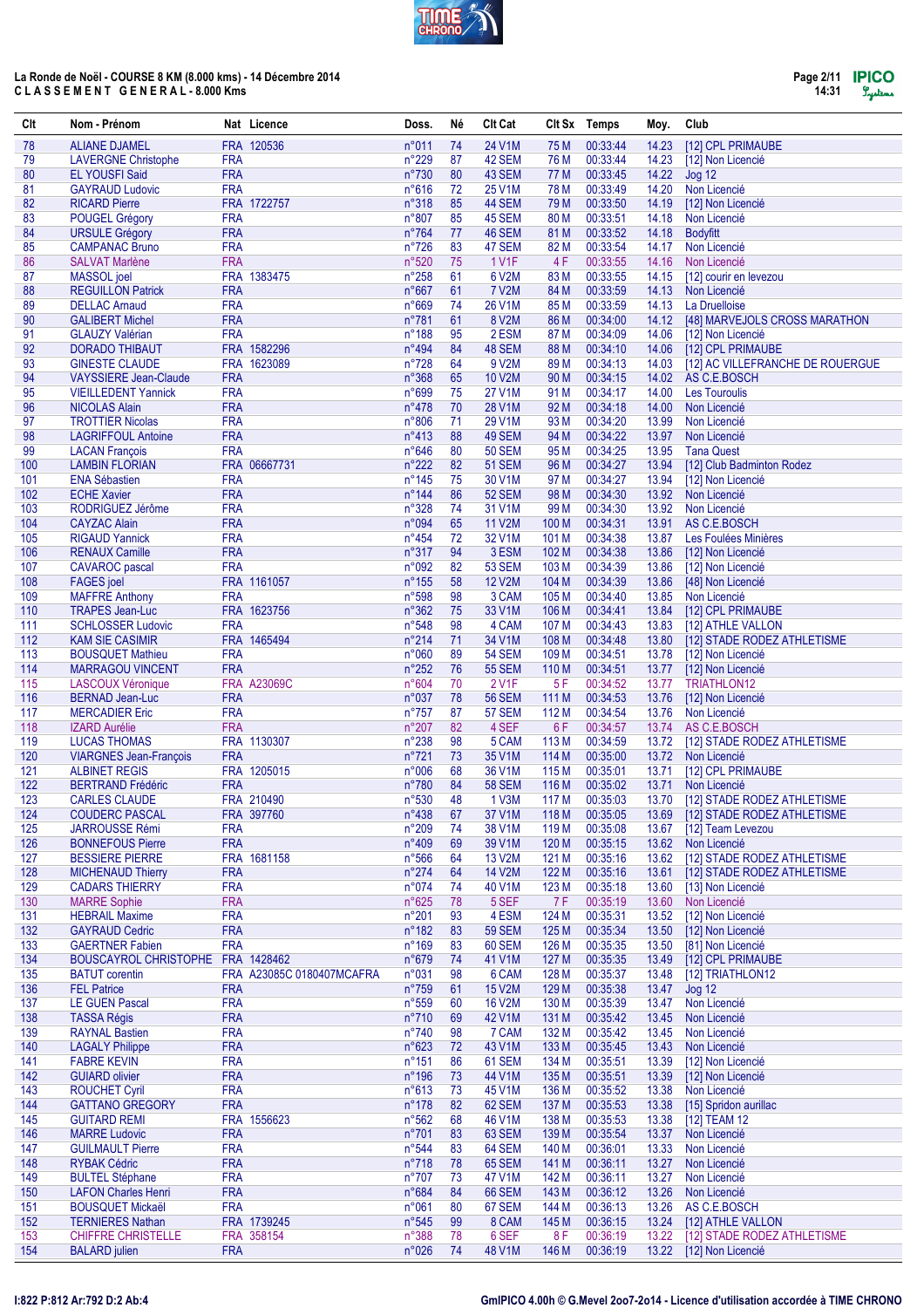

| Clt        | Nom - Prénom                                          |                          | Nat Licence               | Doss.                            | Νé       | <b>Clt Cat</b>                 |                  | Clt Sx Temps         | Moy.           | Club                                              |
|------------|-------------------------------------------------------|--------------------------|---------------------------|----------------------------------|----------|--------------------------------|------------------|----------------------|----------------|---------------------------------------------------|
| 78         | <b>ALIANE DJAMEL</b>                                  |                          | FRA 120536                | n°011                            | 74       | 24 V1M                         | 75 M             | 00:33:44             | 14.23          | [12] CPL PRIMAUBE                                 |
| 79         | <b>LAVERGNE Christophe</b>                            | <b>FRA</b>               |                           | n°229                            | 87       | 42 SEM                         | 76 M             | 00:33:44             | 14.23          | [12] Non Licencié                                 |
| 80         | <b>EL YOUSFI Said</b>                                 | <b>FRA</b>               |                           | n°730                            | 80       | 43 SEM                         | 77 M             | 00:33:45             | 14.22          | <b>Jog 12</b>                                     |
| 81         | <b>GAYRAUD Ludovic</b>                                | <b>FRA</b>               |                           | $n^{\circ}616$                   | 72       | 25 V1M                         | 78 M             | 00:33:49             | 14.20          | Non Licencié                                      |
| 82         | <b>RICARD Pierre</b>                                  |                          | FRA 1722757               | n°318                            | 85       | 44 SEM                         | 79 M             | 00:33:50             | 14.19          | [12] Non Licencié                                 |
| 83         | <b>POUGEL Grégory</b>                                 | <b>FRA</b>               |                           | n°807                            | 85       | 45 SEM                         | 80 M             | 00:33:51             | 14.18          | Non Licencié                                      |
| 84         | <b>URSULE Grégory</b>                                 | <b>FRA</b>               |                           | $n^{\circ}764$                   | 77       | 46 SEM                         | 81 M             | 00:33:52<br>00:33:54 | 14.18          | <b>Bodyfitt</b>                                   |
| 85<br>86   | <b>CAMPANAC Bruno</b><br><b>SALVAT Marlène</b>        | <b>FRA</b><br><b>FRA</b> |                           | $n^{\circ}726$<br>n°520          | 83<br>75 | 47 SEM<br><b>1 V1F</b>         | 82 M<br>4F       | 00:33:55             | 14.17<br>14.16 | Non Licencié<br>Non Licencié                      |
| 87         | MASSOL joel                                           |                          | FRA 1383475               | $n^{\circ}258$                   | 61       | 6 V2M                          | 83 M             | 00:33:55             | 14.15          | [12] courir en levezou                            |
| 88         | <b>REGUILLON Patrick</b>                              | <b>FRA</b>               |                           | n°667                            | 61       | 7 V2M                          | 84 M             | 00:33:59             | 14.13          | Non Licencié                                      |
| 89         | <b>DELLAC Arnaud</b>                                  | <b>FRA</b>               |                           | n°669                            | 74       | <b>26 V1M</b>                  | 85 M             | 00:33:59             | 14.13          | La Druelloise                                     |
| 90         | <b>GALIBERT Michel</b>                                | <b>FRA</b>               |                           | n°781                            | 61       | 8 V2M                          | 86 M             | 00:34:00             | 14.12          | [48] MARVEJOLS CROSS MARATHON                     |
| 91         | <b>GLAUZY Valérian</b>                                | <b>FRA</b>               |                           | $n^{\circ}188$                   | 95       | 2 ESM                          | 87 M             | 00:34:09             | 14.06          | [12] Non Licencié                                 |
| 92         | <b>DORADO THIBAUT</b>                                 |                          | FRA 1582296               | $n^{\circ}494$                   | 84       | 48 SEM                         | 88 M             | 00:34:10             |                | 14.06 [12] CPL PRIMAUBE                           |
| 93         | <b>GINESTE CLAUDE</b>                                 |                          | FRA 1623089               | $n^{\circ}728$                   | 64       | 9 V2M                          | 89 M             | 00:34:13             | 14.03          | [12] AC VILLEFRANCHE DE ROUERGUE                  |
| 94         | VAYSSIERE Jean-Claude                                 | <b>FRA</b>               |                           | n°368                            | 65       | 10 V2M                         | 90 M             | 00:34:15             |                | 14.02 AS C.E.BOSCH                                |
| 95<br>96   | <b>VIEILLEDENT Yannick</b><br><b>NICOLAS Alain</b>    | <b>FRA</b><br><b>FRA</b> |                           | n°699<br>$n^{\circ}478$          | 75<br>70 | 27 V1M<br>28 V1M               | 91 M<br>92 M     | 00:34:17<br>00:34:18 | 14.00<br>14.00 | <b>Les Touroulis</b><br>Non Licencié              |
| 97         | <b>TROTTIER Nicolas</b>                               | <b>FRA</b>               |                           | n°806                            | 71       | 29 V1M                         | 93 M             | 00:34:20             | 13.99          | Non Licencié                                      |
| 98         | <b>LAGRIFFOUL Antoine</b>                             | <b>FRA</b>               |                           | $n^{\circ}413$                   | 88       | 49 SEM                         | 94 M             | 00:34:22             | 13.97          | Non Licencié                                      |
| 99         | <b>LACAN François</b>                                 | <b>FRA</b>               |                           | $n^{\circ}646$                   | 80       | <b>50 SEM</b>                  | 95 M             | 00:34:25             | 13.95          | <b>Tana Quest</b>                                 |
| 100        | <b>LAMBIN FLORIAN</b>                                 |                          | FRA 06667731              | $n^{\circ}222$                   | 82       | <b>51 SEM</b>                  | 96 M             | 00:34:27             | 13.94          | [12] Club Badminton Rodez                         |
| 101        | <b>ENA Sébastien</b>                                  | <b>FRA</b>               |                           | $n^{\circ}145$                   | 75       | 30 V1M                         | 97 M             | 00:34:27             | 13.94          | [12] Non Licencié                                 |
| 102        | <b>ECHE Xavier</b>                                    | <b>FRA</b>               |                           | $n^{\circ}$ 144                  | 86       | <b>52 SEM</b>                  | 98 M             | 00:34:30             | 13.92          | Non Licencié                                      |
| 103        | RODRIGUEZ Jérôme                                      | <b>FRA</b>               |                           | n°328                            | 74       | 31 V1M                         | 99 M             | 00:34:30             | 13.92          | Non Licencié                                      |
| 104        | <b>CAYZAC Alain</b>                                   | <b>FRA</b>               |                           | n°094                            | 65       | 11 V2M                         | 100 <sub>M</sub> | 00:34:31             |                | 13.91 AS C.E.BOSCH                                |
| 105        | <b>RIGAUD Yannick</b>                                 | <b>FRA</b>               |                           | $n^{\circ}454$                   | 72       | 32 V1M                         | 101 M            | 00:34:38             | 13.87          | Les Foulées Minières                              |
| 106        | <b>RENAUX Camille</b>                                 | <b>FRA</b>               |                           | n°317                            | 94       | 3 ESM                          | 102 M            | 00:34:38             | 13.86          | [12] Non Licencié                                 |
| 107<br>108 | <b>CAVAROC</b> pascal<br><b>FAGES</b> joel            | <b>FRA</b>               | FRA 1161057               | n°092<br>$n^{\circ}155$          | 82<br>58 | <b>53 SEM</b><br><b>12 V2M</b> | 103 M<br>104 M   | 00:34:39<br>00:34:39 | 13.86<br>13.86 | [12] Non Licencié<br>[48] Non Licencié            |
| 109        | <b>MAFFRE Anthony</b>                                 | <b>FRA</b>               |                           | n°598                            | 98       | 3 CAM                          | 105 M            | 00:34:40             | 13.85          | Non Licencié                                      |
| 110        | <b>TRAPES Jean-Luc</b>                                |                          | FRA 1623756               | n°362                            | 75       | 33 V1M                         | 106 M            | 00:34:41             |                | 13.84 [12] CPL PRIMAUBE                           |
| 111        | <b>SCHLOSSER Ludovic</b>                              | <b>FRA</b>               |                           | n°548                            | 98       | 4 CAM                          | 107 M            | 00:34:43             | 13.83          | [12] ATHLE VALLON                                 |
| 112        | <b>KAM SIE CASIMIR</b>                                |                          | FRA 1465494               | n°214                            | 71       | 34 V1M                         | 108 M            | 00:34:48             |                | 13.80 [12] STADE RODEZ ATHLETISME                 |
| 113        | <b>BOUSQUET Mathieu</b>                               | <b>FRA</b>               |                           | n°060                            | 89       | <b>54 SEM</b>                  | 109 M            | 00:34:51             | 13.78          | [12] Non Licencié                                 |
| 114        | <b>MARRAGOU VINCENT</b>                               | <b>FRA</b>               |                           | $n^{\circ}252$                   | 76       | <b>55 SEM</b>                  | 110 M            | 00:34:51             |                | 13.77 [12] Non Licencié                           |
| 115        | <b>LASCOUX Véronique</b>                              |                          | <b>FRA A23069C</b>        | n°604                            | 70       | 2 V1F                          | 5F               | 00:34:52             | 13.77          | <b>TRIATHLON12</b>                                |
| 116        | <b>BERNAD Jean-Luc</b>                                | <b>FRA</b>               |                           | n°037                            | 78       | <b>56 SEM</b>                  | 111 M            | 00:34:53             |                | 13.76 [12] Non Licencié                           |
| 117        | <b>MERCADIER Eric</b>                                 | <b>FRA</b>               |                           | $n^{\circ}757$                   | 87       | <b>57 SEM</b>                  | 112 M            | 00:34:54<br>00:34:57 |                | 13.76 Non Licencié                                |
| 118<br>119 | <b>IZARD Aurélie</b><br><b>LUCAS THOMAS</b>           | <b>FRA</b>               | FRA 1130307               | $n^{\circ}207$<br>$n^{\circ}238$ | 82<br>98 | 4 SEF<br>5 CAM                 | 6F<br>113 M      | 00:34:59             | 13.72          | 13.74 AS C.E.BOSCH<br>[12] STADE RODEZ ATHLETISME |
| 120        | <b>VIARGNES Jean-François</b>                         | <b>FRA</b>               |                           | $n^{\circ}721$                   | 73       | 35 V1M                         | 114 M            | 00:35:00             |                | 13.72 Non Licencié                                |
| 121        | <b>ALBINET REGIS</b>                                  |                          | FRA 1205015               | n°006                            | 68       | 36 V1M                         | 115 M            | 00:35:01             | 13.71          | [12] CPL PRIMAUBE                                 |
| 122        | <b>BERTRAND Frédéric</b>                              | <b>FRA</b>               |                           | n°780                            | 84       | <b>58 SEM</b>                  | 116 M            | 00:35:02             |                | 13.71 Non Licencié                                |
| 123        | <b>CARLES CLAUDE</b>                                  |                          | FRA 210490                | n°530                            | 48       | 1 V3M                          | 117 M            | 00:35:03             | 13.70          | [12] STADE RODEZ ATHLETISME                       |
| 124        | <b>COUDERC PASCAL</b>                                 |                          | FRA 397760                | $n^{\circ}438$                   | 67       | 37 V1M                         |                  | 118 M 00:35:05       |                | 13.69 [12] STADE RODEZ ATHLETISME                 |
| 125        | <b>JARROUSSE Rémi</b>                                 | <b>FRA</b>               |                           | n°209                            | 74       | 38 V1M                         | 119 M            | 00:35:08             | 13.67          | [12] Team Levezou                                 |
| 126        | <b>BONNEFOUS Pierre</b>                               | <b>FRA</b>               |                           | n°409                            | 69       | 39 V1M                         | 120 M            | 00:35:15             |                | 13.62 Non Licencié                                |
| 127        | <b>BESSIERE PIERRE</b>                                |                          | FRA 1681158               | n°566                            | 64       | 13 V2M                         | 121 M            | 00:35:16             | 13.62          | [12] STADE RODEZ ATHLETISME                       |
| 128<br>129 | <b>MICHENAUD Thierry</b><br><b>CADARS THIERRY</b>     | <b>FRA</b><br><b>FRA</b> |                           | $n^{\circ}274$<br>n°074          | 64<br>74 | 14 V2M<br>40 V1M               | 122 M<br>123 M   | 00:35:16<br>00:35:18 | 13.61          | [12] STADE RODEZ ATHLETISME<br>[13] Non Licencié  |
| 130        | <b>MARRE Sophie</b>                                   | <b>FRA</b>               |                           | $n^{\circ}625$                   | 78       | 5 SEF                          | 7 F              | 00:35:19             | 13.60<br>13.60 | Non Licencié                                      |
| 131        | <b>HEBRAIL Maxime</b>                                 | <b>FRA</b>               |                           | n°201                            | 93       | 4 ESM                          | 124 M            | 00:35:31             | 13.52          | [12] Non Licencié                                 |
| 132        | <b>GAYRAUD Cedric</b>                                 | <b>FRA</b>               |                           | $n^{\circ}182$                   | 83       | <b>59 SEM</b>                  | 125 M            | 00:35:34             | 13.50          | [12] Non Licencié                                 |
| 133        | <b>GAERTNER Fabien</b>                                | <b>FRA</b>               |                           | $n^{\circ}169$                   | 83       | 60 SEM                         | 126 M            | 00:35:35             | 13.50          | [81] Non Licencié                                 |
| 134        | BOUSCAYROL CHRISTOPHE FRA 1428462                     |                          |                           | $n^{\circ}679$                   | 74       | 41 V1M                         | 127 M            | 00:35:35             | 13.49          | [12] CPL PRIMAUBE                                 |
| 135        | <b>BATUT</b> corentin                                 |                          | FRA A23085C 0180407MCAFRA | n°031                            | 98       | 6 CAM                          | 128 M            | 00:35:37             | 13.48          | [12] TRIATHLON12                                  |
| 136        | <b>FEL Patrice</b>                                    | <b>FRA</b>               |                           | $n^{\circ}759$                   | 61       | 15 V2M                         | 129 M            | 00:35:38             | 13.47          | Jog 12                                            |
| 137        | <b>LE GUEN Pascal</b>                                 | <b>FRA</b>               |                           | $n^{\circ}559$                   | 60       | <b>16 V2M</b>                  | 130 M            | 00:35:39             | 13.47          | Non Licencié                                      |
| 138        | <b>TASSA Régis</b>                                    | <b>FRA</b>               |                           | $n^{\circ}710$                   | 69       | 42 V1M                         | 131 M            | 00:35:42             | 13.45          | Non Licencié                                      |
| 139<br>140 | <b>RAYNAL Bastien</b><br><b>LAGALY Philippe</b>       | <b>FRA</b><br><b>FRA</b> |                           | n°740<br>n°623                   | 98<br>72 | 7 CAM<br>43 V1M                | 132 M<br>133 M   | 00:35:42<br>00:35:45 | 13.45<br>13.43 | Non Licencié<br>Non Licencié                      |
| 141        | <b>FABRE KEVIN</b>                                    | <b>FRA</b>               |                           | $n^{\circ}151$                   | 86       | 61 SEM                         | 134 M            | 00:35:51             | 13.39          | [12] Non Licencié                                 |
| 142        | <b>GUIARD olivier</b>                                 | <b>FRA</b>               |                           | $n^{\circ}$ 196                  | 73       | 44 V1M                         | 135 M            | 00:35:51             | 13.39          | [12] Non Licencié                                 |
| 143        | <b>ROUCHET Cyril</b>                                  | <b>FRA</b>               |                           | n°613                            | 73       | 45 V1M                         | 136 M            | 00:35:52             | 13.38          | Non Licencié                                      |
| 144        | <b>GATTANO GREGORY</b>                                | <b>FRA</b>               |                           | $n^{\circ}178$                   | 82       | 62 SEM                         | 137 M            | 00:35:53             | 13.38          | [15] Spridon aurillac                             |
| 145        | <b>GUITARD REMI</b>                                   |                          | FRA 1556623               | n°562                            | 68       | 46 V1M                         | 138 M            | 00:35:53             | 13.38          | [12] TEAM 12                                      |
| 146        | <b>MARRE Ludovic</b>                                  | <b>FRA</b>               |                           | $n^{\circ}701$                   | 83       | 63 SEM                         | 139 M            | 00:35:54             | 13.37          | Non Licencié                                      |
| 147        | <b>GUILMAULT Pierre</b>                               | <b>FRA</b>               |                           | n°544                            | 83       | 64 SEM                         | 140 M            | 00:36:01             | 13.33          | Non Licencié                                      |
| 148        | <b>RYBAK Cédric</b>                                   | <b>FRA</b>               |                           | $n^{\circ}718$                   | 78       | 65 SEM                         | 141 M            | 00:36:11             | 13.27          | Non Licencié                                      |
| 149        | <b>BULTEL Stéphane</b>                                | <b>FRA</b>               |                           | $n^{\circ}707$                   | 73       | 47 V1M                         | 142 M            | 00:36:11             | 13.27          | Non Licencié                                      |
| 150<br>151 | <b>LAFON Charles Henri</b><br><b>BOUSQUET Mickaël</b> | <b>FRA</b><br><b>FRA</b> |                           | n°684<br>n°061                   | 84<br>80 | 66 SEM<br>67 SEM               | 143 M<br>144 M   | 00:36:12<br>00:36:13 | 13.26<br>13.26 | Non Licencié<br>AS C.E.BOSCH                      |
| 152        | <b>TERNIERES Nathan</b>                               |                          | FRA 1739245               | $n^{\circ}545$                   | 99       | 8 CAM                          | 145 M            | 00:36:15             | 13.24          | [12] ATHLE VALLON                                 |
| 153        | <b>CHIFFRE CHRISTELLE</b>                             |                          | FRA 358154                | n°388                            | 78       | 6 SEF                          | 8F               | 00:36:19             | 13.22          | [12] STADE RODEZ ATHLETISME                       |
| 154        | <b>BALARD</b> julien                                  | <b>FRA</b>               |                           | n°026                            | 74       | 48 V1M                         | 146 M            | 00:36:19             | 13.22          | [12] Non Licencié                                 |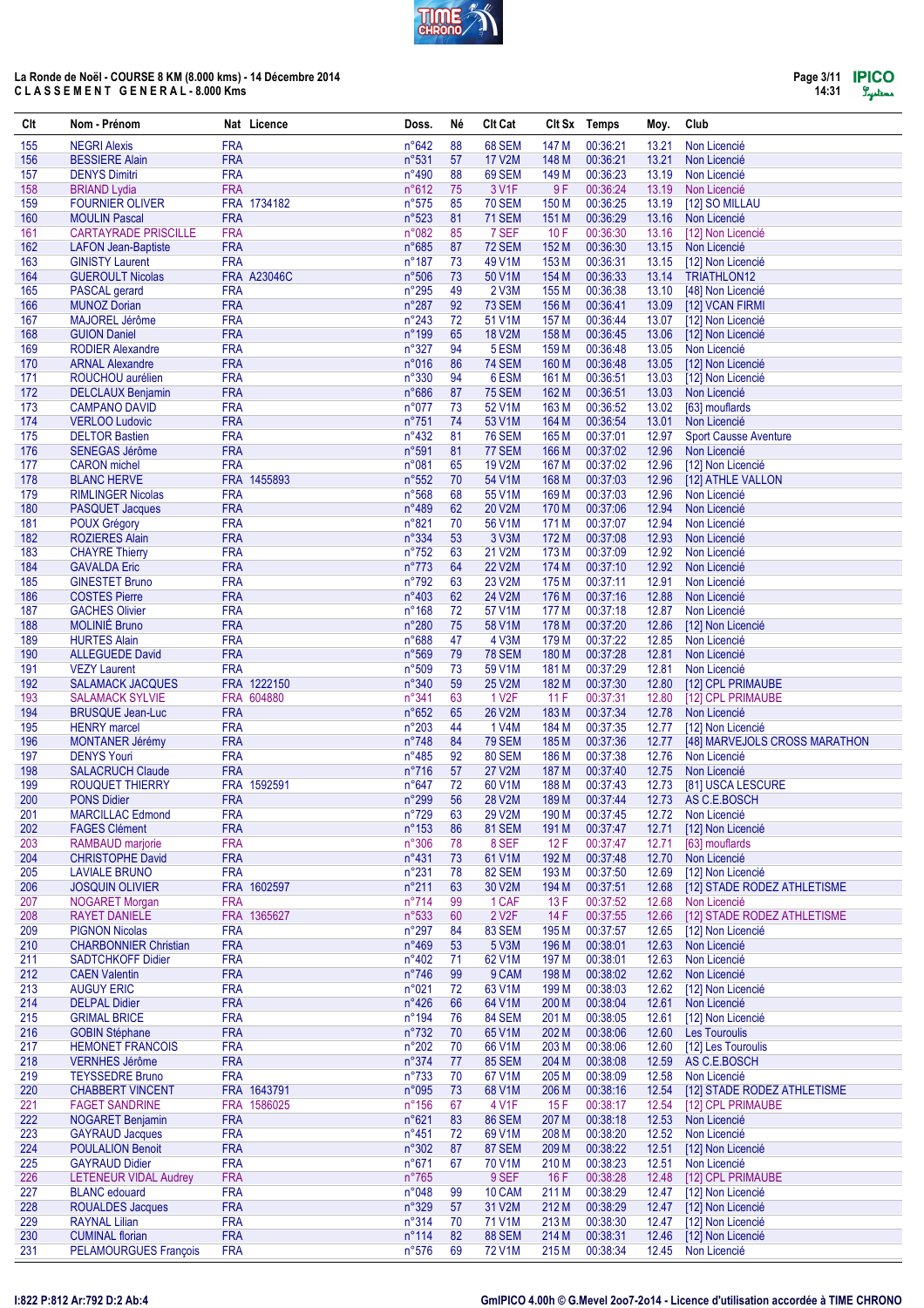

| Clt        | Nom - Prénom                                     |                          | Nat Licence        | Doss.                   | Νé       | <b>Clt Cat</b>              |                | Clt Sx Temps         | Moy.           | Club                                        |
|------------|--------------------------------------------------|--------------------------|--------------------|-------------------------|----------|-----------------------------|----------------|----------------------|----------------|---------------------------------------------|
| 155        | <b>NEGRI Alexis</b>                              | <b>FRA</b>               |                    | n°642                   | 88       | 68 SEM                      | 147 M          | 00:36:21             | 13.21          | Non Licencié                                |
| 156        | <b>BESSIERE Alain</b>                            | <b>FRA</b>               |                    | n°531                   | 57       | <b>17 V2M</b>               | 148 M          | 00:36:21             | 13.21          | Non Licencié                                |
| 157        | <b>DENYS Dimitri</b>                             | <b>FRA</b>               |                    | n°490                   | 88       | 69 SEM                      | 149 M          | 00:36:23             | 13.19          | Non Licencié                                |
| 158        | <b>BRIAND Lydia</b>                              | <b>FRA</b>               |                    | n°612                   | 75       | 3 V1F                       | 9F             | 00:36:24             | 13.19          | Non Licencié                                |
| 159        | <b>FOURNIER OLIVER</b>                           |                          | FRA 1734182        | $n^{\circ}575$          | 85       | <b>70 SEM</b>               | 150 M          | 00:36:25             | 13.19          | [12] SO MILLAU                              |
| 160        | <b>MOULIN Pascal</b>                             | <b>FRA</b>               |                    | n°523                   | 81       | <b>71 SEM</b>               | 151 M          | 00:36:29             | 13.16          | Non Licencié                                |
| 161        | <b>CARTAYRADE PRISCILLE</b>                      | <b>FRA</b>               |                    | n°082                   | 85       | 7 SEF                       | 10 F           | 00:36:30             | 13.16          | [12] Non Licencié                           |
| 162        | <b>LAFON Jean-Baptiste</b>                       | <b>FRA</b>               |                    | n°685                   | 87       | <b>72 SEM</b>               | 152 M          | 00:36:30             | 13.15          | Non Licencié                                |
| 163        | <b>GINISTY Laurent</b>                           | <b>FRA</b>               |                    | $n^{\circ}187$          | 73       | 49 V1M                      | 153 M          | 00:36:31             | 13.15          | [12] Non Licencié                           |
| 164        | <b>GUEROULT Nicolas</b>                          |                          | <b>FRA A23046C</b> | n°506                   | 73       | 50 V1M                      | 154 M          | 00:36:33             | 13.14          | <b>TRIATHLON12</b>                          |
| 165        | PASCAL gerard                                    | <b>FRA</b>               |                    | $n^{\circ}295$          | 49       | 2 V3M                       | 155 M          | 00:36:38             | 13.10          | [48] Non Licencié                           |
| 166        | <b>MUNOZ Dorian</b>                              | <b>FRA</b><br><b>FRA</b> |                    | $n^{\circ}287$          | 92<br>72 | 73 SEM                      | 156 M          | 00:36:41<br>00:36:44 | 13.09          | [12] VCAN FIRMI                             |
| 167<br>168 | MAJOREL Jérôme<br><b>GUION Daniel</b>            | <b>FRA</b>               |                    | $n^{\circ}243$<br>n°199 | 65       | 51 V1M<br><b>18 V2M</b>     | 157 M<br>158 M | 00:36:45             | 13.07<br>13.06 | [12] Non Licencié<br>[12] Non Licencié      |
| 169        | <b>RODIER Alexandre</b>                          | <b>FRA</b>               |                    | $n^{\circ}327$          | 94       | 5ESM                        | 159 M          | 00:36:48             | 13.05          | Non Licencié                                |
| 170        | <b>ARNAL Alexandre</b>                           | <b>FRA</b>               |                    | n°016                   | 86       | <b>74 SEM</b>               | 160 M          | 00:36:48             | 13.05          | [12] Non Licencié                           |
| 171        | ROUCHOU aurélien                                 | <b>FRA</b>               |                    | n°330                   | 94       | 6ESM                        | 161 M          | 00:36:51             | 13.03          | [12] Non Licencié                           |
| 172        | <b>DELCLAUX Benjamin</b>                         | <b>FRA</b>               |                    | $n^{\circ}686$          | 87       | <b>75 SEM</b>               | 162 M          | 00:36:51             | 13.03          | Non Licencié                                |
| 173        | <b>CAMPANO DAVID</b>                             | <b>FRA</b>               |                    | n°077                   | 73       | 52 V1M                      | 163 M          | 00:36:52             | 13.02          | [63] mouflards                              |
| 174        | <b>VERLOO Ludovic</b>                            | <b>FRA</b>               |                    | $n^{\circ}751$          | 74       | 53 V1M                      | 164 M          | 00:36:54             | 13.01          | Non Licencié                                |
| 175        | <b>DELTOR Bastien</b>                            | <b>FRA</b>               |                    | $n^{\circ}432$          | 81       | <b>76 SEM</b>               | 165 M          | 00:37:01             | 12.97          | Sport Causse Aventure                       |
| 176        | <b>SENEGAS Jérôme</b>                            | <b>FRA</b>               |                    | n°591                   | 81       | 77 SEM                      | 166 M          | 00:37:02             | 12.96          | Non Licencié                                |
| 177        | <b>CARON</b> michel                              | <b>FRA</b>               |                    | n°081                   | 65       | 19 V2M                      | 167 M          | 00:37:02             | 12.96          | [12] Non Licencié                           |
| 178        | <b>BLANC HERVE</b>                               |                          | FRA 1455893        | n°552                   | 70       | 54 V1M                      | 168 M          | 00:37:03             | 12.96          | [12] ATHLE VALLON                           |
| 179        | <b>RIMLINGER Nicolas</b>                         | <b>FRA</b>               |                    | n°568                   | 68       | 55 V1M                      | 169 M          | 00:37:03             | 12.96          | Non Licencié                                |
| 180        | <b>PASQUET Jacques</b>                           | <b>FRA</b>               |                    | n°489                   | 62       | 20 V2M                      | 170 M          | 00:37:06             | 12.94          | Non Licencié                                |
| 181        | <b>POUX Grégory</b>                              | <b>FRA</b>               |                    | n°821                   | 70       | 56 V1M                      | 171 M          | 00:37:07             | 12.94          | Non Licencié                                |
| 182        | <b>ROZIERES Alain</b>                            | <b>FRA</b>               |                    | n°334                   | 53       | 3 V3M                       | 172 M          | 00:37:08             | 12.93          | Non Licencié                                |
| 183        | <b>CHAYRE Thierry</b>                            | <b>FRA</b>               |                    | $n^{\circ}752$          | 63       | 21 V2M                      | 173 M          | 00:37:09             | 12.92          | Non Licencié                                |
| 184        | <b>GAVALDA Eric</b>                              | <b>FRA</b>               |                    | $n^{\circ}773$          | 64       | 22 V2M                      | 174 M          | 00:37:10             | 12.92          | Non Licencié                                |
| 185        | <b>GINESTET Bruno</b>                            | <b>FRA</b>               |                    | $n^{\circ}792$          | 63       | 23 V2M                      | 175 M          | 00:37:11             | 12.91          | Non Licencié                                |
| 186        | <b>COSTES Pierre</b>                             | <b>FRA</b>               |                    | $n^{\circ}403$          | 62       | 24 V2M                      | 176 M          | 00:37:16             | 12.88          | Non Licencié                                |
| 187        | <b>GACHES Olivier</b>                            | <b>FRA</b>               |                    | $n^{\circ}168$          | 72       | 57 V1M                      | 177 M          | 00:37:18             | 12.87          | Non Licencié                                |
| 188        | <b>MOLINIÉ Bruno</b>                             | <b>FRA</b>               |                    | n°280                   | 75       | 58 V1M                      | 178 M          | 00:37:20             | 12.86          | [12] Non Licencié                           |
| 189        | <b>HURTES Alain</b>                              | <b>FRA</b><br><b>FRA</b> |                    | n°688<br>n°569          | 47       | 4 V3M                       | 179 M          | 00:37:22<br>00:37:28 | 12.85          | Non Licencié                                |
| 190<br>191 | <b>ALLEGUEDE David</b><br><b>VEZY Laurent</b>    | <b>FRA</b>               |                    | n°509                   | 79<br>73 | <b>78 SEM</b><br>59 V1M     | 180 M<br>181 M | 00:37:29             | 12.81<br>12.81 | Non Licencié<br>Non Licencié                |
| 192        | <b>SALAMACK JACQUES</b>                          |                          | FRA 1222150        | n°340                   | 59       | 25 V2M                      | 182 M          | 00:37:30             | 12.80          | [12] CPL PRIMAUBE                           |
| 193        | <b>SALAMACK SYLVIE</b>                           |                          | FRA 604880         | n°341                   | 63       | 1 V <sub>2</sub> F          | 11F            | 00:37:31             | 12.80          | [12] CPL PRIMAUBE                           |
| 194        | <b>BRUSQUE Jean-Luc</b>                          | <b>FRA</b>               |                    | $n^{\circ}652$          | 65       | 26 V2M                      | 183 M          | 00:37:34             | 12.78          | Non Licencié                                |
| 195        | <b>HENRY</b> marcel                              | <b>FRA</b>               |                    | $n^{\circ}203$          | 44       | 1 V4M                       | 184 M          | 00:37:35             | 12.77          | [12] Non Licencié                           |
| 196        | <b>MONTANER Jérémy</b>                           | <b>FRA</b>               |                    | $n^{\circ}748$          | 84       | <b>79 SEM</b>               | 185 M          | 00:37:36             | 12.77          | [48] MARVEJOLS CROSS MARATHON               |
| 197        | <b>DENYS Youri</b>                               | <b>FRA</b>               |                    | $n^{\circ}485$          | 92       | <b>80 SEM</b>               | 186 M          | 00:37:38             | 12.76          | Non Licencié                                |
| 198        | <b>SALACRUCH Claude</b>                          | <b>FRA</b>               |                    | $n^{\circ}716$          | 57       | 27 V2M                      | 187 M          | 00:37:40             | 12.75          | Non Licencié                                |
| 199        | ROUQUET THIERRY                                  |                          | FRA 1592591        | $n^{\circ}647$          | 72       | 60 V1M                      | 188 M          | 00:37:43             | 12.73          | [81] USCA LESCURE                           |
| 200        | <b>PONS Didier</b>                               | <b>FRA</b>               |                    | n°299                   | 56       | 28 V2M                      | 189 M          | 00:37:44             |                | 12.73 AS C.E.BOSCH                          |
| 201        | <b>MARCILLAC Edmond</b>                          | <b>FRA</b>               |                    | $n^{\circ}729$          | 63       | <b>29 V2M</b>               | 190 M          | 00:37:45             |                | 12.72 Non Licencié                          |
| 202        | <b>FAGES Clément</b>                             | <b>FRA</b>               |                    | $n^{\circ}153$          | 86       | <b>81 SEM</b>               | 191 M          | 00:37:47             | 12.71          | [12] Non Licencié                           |
| 203        | <b>RAMBAUD</b> marjorie                          | <b>FRA</b>               |                    | n°306                   | 78       | 8 SEF                       | 12F            | 00:37:47             | 12.71          | [63] mouflards                              |
| 204        | <b>CHRISTOPHE David</b>                          | <b>FRA</b>               |                    | $n^{\circ}431$          | 73       | 61 V1M                      | 192 M          | 00:37:48             | 12.70          | Non Licencié                                |
| 205        | <b>LAVIALE BRUNO</b>                             | <b>FRA</b>               |                    | n°231                   | 78       | <b>82 SEM</b>               | 193 M          | 00:37:50             | 12.69          | [12] Non Licencié                           |
| 206        | <b>JOSQUIN OLIVIER</b>                           |                          | FRA 1602597        | n°211                   | 63       | 30 V2M                      | 194 M          | 00:37:51             | 12.68          | [12] STADE RODEZ ATHLETISME                 |
| 207<br>208 | <b>NOGARET Morgan</b><br><b>RAYET DANIELE</b>    | <b>FRA</b>               | FRA 1365627        | $n^{\circ}714$<br>n°533 | 99<br>60 | 1 CAF<br>2 V <sub>2</sub> F | 13 F<br>14 F   | 00:37:52<br>00:37:55 | 12.68<br>12.66 | Non Licencié<br>[12] STADE RODEZ ATHLETISME |
| 209        | <b>PIGNON Nicolas</b>                            | <b>FRA</b>               |                    | $n^{\circ}297$          | 84       | 83 SEM                      | 195 M          | 00:37:57             | 12.65          | [12] Non Licencié                           |
| 210        | <b>CHARBONNIER Christian</b>                     | <b>FRA</b>               |                    | $n^{\circ}469$          | 53       | 5 V3M                       | 196 M          | 00:38:01             | 12.63          | Non Licencié                                |
| 211        | <b>SADTCHKOFF Didier</b>                         | <b>FRA</b>               |                    | $n^{\circ}402$          | 71       | 62 V1M                      | 197 M          | 00:38:01             | 12.63          | Non Licencié                                |
| 212        | <b>CAEN Valentin</b>                             | <b>FRA</b>               |                    | $n^{\circ}746$          | 99       | 9 CAM                       | 198 M          | 00:38:02             | 12.62          | Non Licencié                                |
| 213        | <b>AUGUY ERIC</b>                                | <b>FRA</b>               |                    | n°021                   | 72       | 63 V1M                      | 199 M          | 00:38:03             | 12.62          | [12] Non Licencié                           |
| 214        | <b>DELPAL Didier</b>                             | <b>FRA</b>               |                    | $n^{\circ}426$          | 66       | 64 V1M                      | 200 M          | 00:38:04             | 12.61          | Non Licencié                                |
| 215        | <b>GRIMAL BRICE</b>                              | <b>FRA</b>               |                    | n°194                   | 76       | 84 SEM                      | 201 M          | 00:38:05             | 12.61          | [12] Non Licencié                           |
| 216        | <b>GOBIN Stéphane</b>                            | <b>FRA</b>               |                    | n°732                   | 70       | 65 V1M                      | 202 M          | 00:38:06             | 12.60          | <b>Les Touroulis</b>                        |
| 217        | <b>HEMONET FRANCOIS</b>                          | <b>FRA</b>               |                    | n°202                   | 70       | 66 V1M                      | 203 M          | 00:38:06             | 12.60          | [12] Les Touroulis                          |
| 218        | <b>VERNHES Jérôme</b>                            | <b>FRA</b>               |                    | n°374                   | 77       | <b>85 SEM</b>               | 204 M          | 00:38:08             | 12.59          | AS C.E.BOSCH                                |
| 219        | <b>TEYSSEDRE Bruno</b>                           | <b>FRA</b>               |                    | $n^{\circ}733$          | 70       | 67 V1M                      | 205 M          | 00:38:09             | 12.58          | Non Licencié                                |
| 220        | <b>CHABBERT VINCENT</b>                          |                          | FRA 1643791        | n°095                   | 73       | 68 V1M                      | 206 M          | 00:38:16             | 12.54          | [12] STADE RODEZ ATHLETISME                 |
| 221        | <b>FAGET SANDRINE</b>                            |                          | FRA 1586025        | $n^{\circ}156$          | 67       | 4 V1F                       | 15F            | 00:38:17             | 12.54          | [12] CPL PRIMAUBE                           |
| 222        | <b>NOGARET Benjamin</b>                          | <b>FRA</b>               |                    | n°621                   | 83       | <b>86 SEM</b>               | 207 M          | 00:38:18             | 12.53          | Non Licencié                                |
| 223        | <b>GAYRAUD Jacques</b>                           | <b>FRA</b>               |                    | n°451                   | 72       | 69 V1M                      | 208 M          | 00:38:20             | 12.52          | Non Licencié                                |
| 224<br>225 | <b>POULALION Benoit</b><br><b>GAYRAUD Didier</b> | <b>FRA</b><br><b>FRA</b> |                    | n°302<br>$n^{\circ}671$ | 87       | 87 SEM<br>70 V1M            | 209 M          | 00:38:22<br>00:38:23 | 12.51<br>12.51 | [12] Non Licencié<br>Non Licencié           |
| 226        | <b>LETENEUR VIDAL Audrey</b>                     | <b>FRA</b>               |                    | $n^{\circ}765$          | 67       | 9 SEF                       | 210 M<br>16F   | 00:38:28             | 12.48          | [12] CPL PRIMAUBE                           |
| 227        | <b>BLANC</b> edouard                             | <b>FRA</b>               |                    | n°048                   | 99       | 10 CAM                      | 211 M          | 00:38:29             | 12.47          | [12] Non Licencié                           |
| 228        | <b>ROUALDES Jacques</b>                          | <b>FRA</b>               |                    | n°329                   | 57       | 31 V2M                      | 212 M          | 00:38:29             | 12.47          | [12] Non Licencié                           |
| 229        | <b>RAYNAL Lilian</b>                             | <b>FRA</b>               |                    | n°314                   | 70       | 71 V1M                      | 213 M          | 00:38:30             | 12.47          | [12] Non Licencié                           |
| 230        | <b>CUMINAL florian</b>                           | <b>FRA</b>               |                    | $n^{\circ}114$          | 82       | 88 SEM                      | 214 M          | 00:38:31             | 12.46          | [12] Non Licencié                           |
| 231        | <b>PELAMOURGUES François</b>                     | <b>FRA</b>               |                    | $n^{\circ}576$          | 69       | 72 V1M                      | 215 M          | 00:38:34             | 12.45          | Non Licencié                                |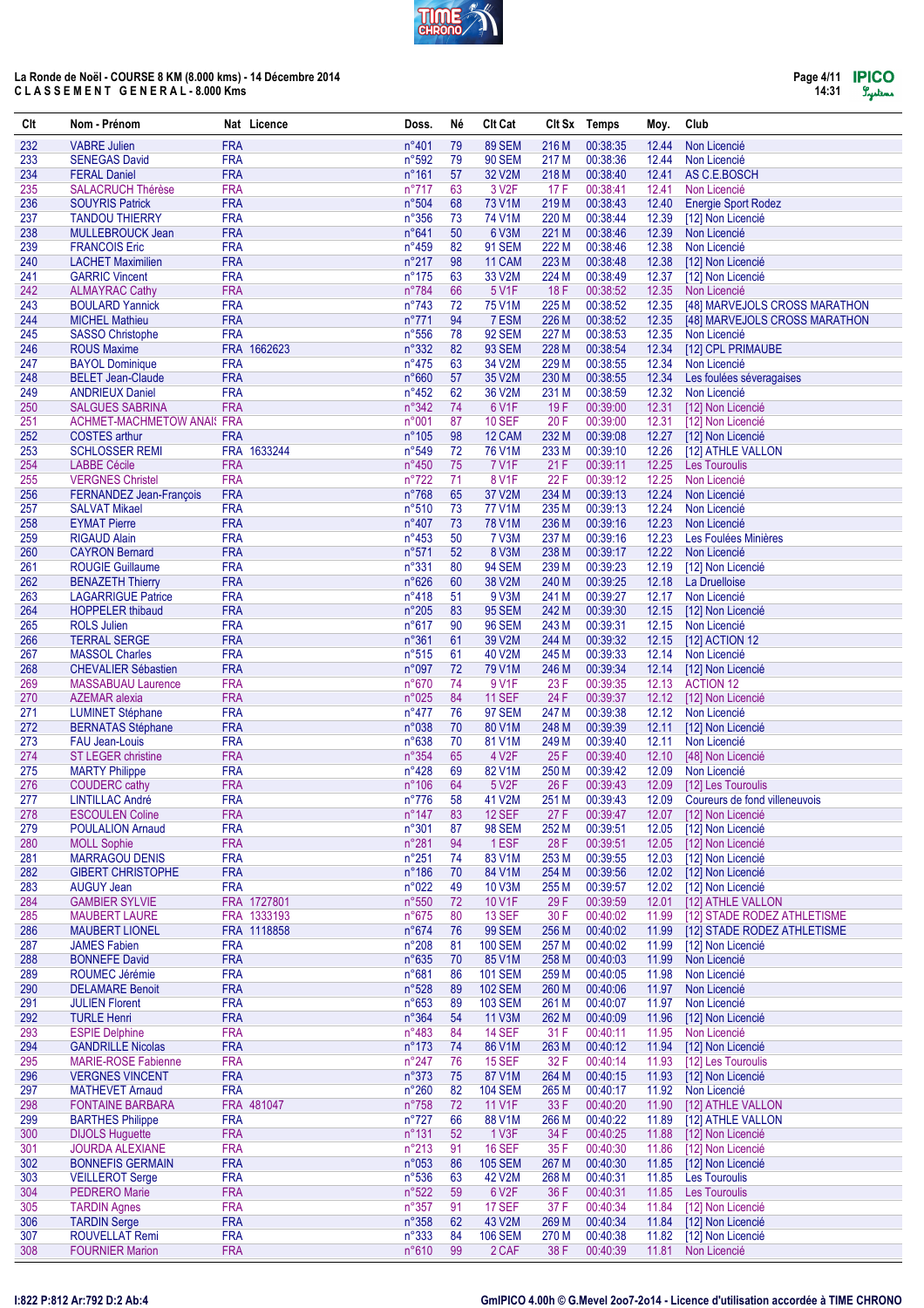

| Clt        | Nom - Prénom                                         |                          | Nat Licence | Doss.                            | Νé       | <b>Clt Cat</b>                  |                | CIt Sx Temps         | Moy.           | Club                                             |
|------------|------------------------------------------------------|--------------------------|-------------|----------------------------------|----------|---------------------------------|----------------|----------------------|----------------|--------------------------------------------------|
| 232        | <b>VABRE Julien</b>                                  | <b>FRA</b>               |             | $n^{\circ}401$                   | 79       | <b>89 SEM</b>                   | 216 M          | 00:38:35             | 12.44          | Non Licencié                                     |
| 233        | <b>SENEGAS David</b>                                 | <b>FRA</b>               |             | n°592                            | 79       | <b>90 SEM</b>                   | 217 M          | 00:38:36             | 12.44          | Non Licencié                                     |
| 234        | <b>FERAL Daniel</b>                                  | <b>FRA</b>               |             | $n^{\circ}161$                   | 57       | 32 V2M                          | 218 M          | 00:38:40             | 12.41          | AS C.E.BOSCH                                     |
| 235        | <b>SALACRUCH Thérèse</b>                             | <b>FRA</b>               |             | $n^{\circ}717$                   | 63       | 3 V <sub>2</sub> F              | 17 F           | 00:38:41             | 12.41          | Non Licencié                                     |
| 236        | <b>SOUYRIS Patrick</b>                               | <b>FRA</b>               |             | n°504                            | 68       | 73 V1M                          | 219 M          | 00:38:43<br>00:38:44 | 12.40          | <b>Energie Sport Rodez</b>                       |
| 237<br>238 | <b>TANDOU THIERRY</b><br>MULLEBROUCK Jean            | <b>FRA</b><br><b>FRA</b> |             | $n^{\circ}356$<br>n°641          | 73<br>50 | 74 V1M<br>6 V3M                 | 220 M<br>221 M | 00:38:46             | 12.39<br>12.39 | [12] Non Licencié<br>Non Licencié                |
| 239        | <b>FRANCOIS Eric</b>                                 | <b>FRA</b>               |             | $n^{\circ}459$                   | 82       | <b>91 SEM</b>                   | 222 M          | 00:38:46             | 12.38          | Non Licencié                                     |
| 240        | <b>LACHET Maximilien</b>                             | <b>FRA</b>               |             | $n^{\circ}217$                   | 98       | 11 CAM                          | 223 M          | 00:38:48             | 12.38          | [12] Non Licencié                                |
| 241        | <b>GARRIC Vincent</b>                                | <b>FRA</b>               |             | $n^{\circ}175$                   | 63       | 33 V2M                          | 224 M          | 00:38:49             | 12.37          | [12] Non Licencié                                |
| 242        | <b>ALMAYRAC Cathy</b>                                | <b>FRA</b>               |             | n°784                            | 66       | 5 V1F                           | 18F            | 00:38:52             | 12.35          | Non Licencié                                     |
| 243        | <b>BOULARD Yannick</b>                               | <b>FRA</b>               |             | $n^{\circ}743$                   | 72       | 75 V1M                          | 225 M          | 00:38:52             | 12.35          | [48] MARVEJOLS CROSS MARATHON                    |
| 244        | <b>MICHEL Mathieu</b>                                | <b>FRA</b>               |             | $n^{\circ}771$                   | 94       | 7 ESM                           | 226 M          | 00:38:52             | 12.35          | [48] MARVEJOLS CROSS MARATHON                    |
| 245        | <b>SASSO Christophe</b>                              | <b>FRA</b>               |             | $n^{\circ}556$                   | 78       | <b>92 SEM</b>                   | 227 M          | 00:38:53             | 12.35          | Non Licencié                                     |
| 246        | <b>ROUS Maxime</b>                                   |                          | FRA 1662623 | n°332                            | 82       | <b>93 SEM</b>                   | 228 M          | 00:38:54             | 12.34          | [12] CPL PRIMAUBE                                |
| 247        | <b>BAYOL Dominique</b>                               | <b>FRA</b>               |             | $n^{\circ}475$                   | 63       | 34 V2M                          | 229 M          | 00:38:55             | 12.34          | Non Licencié                                     |
| 248<br>249 | <b>BELET Jean-Claude</b><br><b>ANDRIEUX Daniel</b>   | <b>FRA</b><br><b>FRA</b> |             | n°660<br>$n^{\circ}452$          | 57<br>62 | 35 V2M<br>36 V2M                | 230 M<br>231 M | 00:38:55<br>00:38:59 | 12.34<br>12.32 | Les foulées séveragaises<br>Non Licencié         |
| 250        | <b>SALGUES SABRINA</b>                               | <b>FRA</b>               |             | n°342                            | 74       | 6 V1F                           | 19F            | 00:39:00             | 12.31          | [12] Non Licencié                                |
| 251        | <b>ACHMET-MACHMETOW ANAI: FRA</b>                    |                          |             | n°001                            | 87       | <b>10 SEF</b>                   | 20 F           | 00:39:00             | 12.31          | [12] Non Licencié                                |
| 252        | <b>COSTES arthur</b>                                 | <b>FRA</b>               |             | $n^{\circ}105$                   | 98       | 12 CAM                          | 232 M          | 00:39:08             |                | 12.27 [12] Non Licencié                          |
| 253        | <b>SCHLOSSER REMI</b>                                |                          | FRA 1633244 | n°549                            | 72       | 76 V1M                          | 233 M          | 00:39:10             | 12.26          | [12] ATHLE VALLON                                |
| 254        | <b>LABBE Cécile</b>                                  | <b>FRA</b>               |             | n°450                            | 75       | 7 V1F                           | 21 F           | 00:39:11             | 12.25          | <b>Les Touroulis</b>                             |
| 255        | <b>VERGNES Christel</b>                              | <b>FRA</b>               |             | $n^{\circ}722$                   | 71       | 8 V1F                           | 22F            | 00:39:12             | 12.25          | Non Licencié                                     |
| 256        | FERNANDEZ Jean-François                              | <b>FRA</b>               |             | $n^{\circ}768$                   | 65       | 37 V2M                          | 234 M          | 00:39:13             | 12.24          | Non Licencié                                     |
| 257        | <b>SALVAT Mikael</b>                                 | <b>FRA</b>               |             | n°510                            | 73       | <b>77 V1M</b>                   | 235 M          | 00:39:13             | 12.24          | Non Licencié                                     |
| 258        | <b>EYMAT Pierre</b>                                  | <b>FRA</b>               |             | $n^{\circ}407$                   | 73       | 78 V1M                          | 236 M          | 00:39:16             | 12.23          | Non Licencié                                     |
| 259        | <b>RIGAUD Alain</b>                                  | <b>FRA</b>               |             | $n^{\circ}453$                   | 50       | 7 V3M                           | 237 M          | 00:39:16             | 12.23          | Les Foulées Minières                             |
| 260        | <b>CAYRON Bernard</b>                                | <b>FRA</b>               |             | n°571                            | 52       | 8 V3M                           | 238 M          | 00:39:17             | 12.22          | Non Licencié                                     |
| 261        | <b>ROUGIE Guillaume</b>                              | <b>FRA</b>               |             | n°331                            | 80       | <b>94 SEM</b>                   | 239 M          | 00:39:23             | 12.19          | [12] Non Licencié                                |
| 262<br>263 | <b>BENAZETH Thierry</b><br><b>LAGARRIGUE Patrice</b> | <b>FRA</b><br><b>FRA</b> |             | n°626<br>$n^{\circ}418$          | 60<br>51 | 38 V2M<br>9 V3M                 | 240 M<br>241 M | 00:39:25<br>00:39:27 | 12.18<br>12.17 | La Druelloise<br>Non Licencié                    |
| 264        | <b>HOPPELER</b> thibaud                              | <b>FRA</b>               |             | $n^{\circ}205$                   | 83       | <b>95 SEM</b>                   | 242 M          | 00:39:30             | 12.15          | [12] Non Licencié                                |
| 265        | <b>ROLS Julien</b>                                   | <b>FRA</b>               |             | n°617                            | 90       | <b>96 SEM</b>                   | 243 M          | 00:39:31             | 12.15          | Non Licencié                                     |
| 266        | <b>TERRAL SERGE</b>                                  | <b>FRA</b>               |             | n°361                            | 61       | 39 V2M                          | 244 M          | 00:39:32             | 12.15          | [12] ACTION 12                                   |
| 267        | <b>MASSOL Charles</b>                                | <b>FRA</b>               |             | n°515                            | 61       | 40 V2M                          | 245 M          | 00:39:33             | 12.14          | Non Licencié                                     |
| 268        | <b>CHEVALIER Sébastien</b>                           | <b>FRA</b>               |             | n°097                            | 72       | 79 V1M                          | 246 M          | 00:39:34             |                | 12.14 [12] Non Licencié                          |
| 269        | <b>MASSABUAU Laurence</b>                            | <b>FRA</b>               |             | n°670                            | 74       | 9 V1F                           | 23 F           | 00:39:35             | 12.13          | <b>ACTION 12</b>                                 |
| 270        | <b>AZEMAR</b> alexia                                 | <b>FRA</b>               |             | n°025                            | 84       | <b>11 SEF</b>                   | 24 F           | 00:39:37             |                | 12.12 [12] Non Licencié                          |
| 271        | <b>LUMINET Stéphane</b>                              | <b>FRA</b>               |             | $n^{\circ}477$                   | 76       | <b>97 SEM</b>                   | 247 M          | 00:39:38             | 12.12          | Non Licencié                                     |
| 272        | <b>BERNATAS Stéphane</b>                             | <b>FRA</b>               |             | n°038                            | 70       | 80 V1M                          | 248 M          | 00:39:39             | 12.11          | [12] Non Licencié                                |
| 273        | <b>FAU Jean-Louis</b>                                | <b>FRA</b>               |             | n°638                            | 70       | 81 V1M                          | 249 M          | 00:39:40             | 12.11          | Non Licencié                                     |
| 274<br>275 | <b>ST LEGER christine</b><br><b>MARTY Philippe</b>   | <b>FRA</b><br><b>FRA</b> |             | n°354<br>$n^{\circ}428$          | 65<br>69 | 4 V <sub>2</sub> F<br>82 V1M    | 25 F<br>250 M  | 00:39:40<br>00:39:42 | 12.10<br>12.09 | [48] Non Licencié<br>Non Licencié                |
| 276        | <b>COUDERC</b> cathy                                 | <b>FRA</b>               |             | $n^{\circ}106$                   | 64       | 5 V2F                           | 26 F           | 00:39:43             | 12.09          | [12] Les Touroulis                               |
| 277        | LINTILLAC André                                      | <b>FRA</b>               |             | $n^{\circ}776$                   | 58       | 41 V2M                          | 251 M          | 00:39:43             |                | 12.09 Coureurs de fond villeneuvois              |
| 278        | <b>ESCOULEN Coline</b>                               | <b>FRA</b>               |             | $n^{\circ}147$                   | 83       | 12 SEF                          | 27 F           | 00:39:47             |                | 12.07 [12] Non Licencié                          |
| 279        | <b>POULALION Amaud</b>                               | <b>FRA</b>               |             | n°301                            | 87       | <b>98 SEM</b>                   | 252 M          | 00:39:51             | 12.05          | [12] Non Licencié                                |
| 280        | <b>MOLL Sophie</b>                                   | <b>FRA</b>               |             | n°281                            | 94       | 1 ESF                           | 28 F           | 00:39:51             | 12.05          | [12] Non Licencié                                |
| 281        | <b>MARRAGOU DENIS</b>                                | <b>FRA</b>               |             | $n^{\circ}251$                   | 74       | 83 V1M                          | 253 M          | 00:39:55             | 12.03          | [12] Non Licencié                                |
| 282        | <b>GIBERT CHRISTOPHE</b>                             | <b>FRA</b>               |             | $n^{\circ}186$                   | 70       | 84 V1M                          | 254 M          | 00:39:56             | 12.02          | [12] Non Licencié                                |
| 283        | <b>AUGUY Jean</b>                                    | <b>FRA</b>               |             | n°022                            | 49       | 10 V3M                          | 255 M          | 00:39:57             | 12.02          | [12] Non Licencié                                |
| 284        | <b>GAMBIER SYLVIE</b>                                |                          | FRA 1727801 | n°550                            | 72       | 10 V1F                          | 29 F           | 00:39:59             | 12.01          | [12] ATHLE VALLON                                |
| 285        | <b>MAUBERT LAURE</b>                                 |                          | FRA 1333193 | $n^{\circ}675$                   | 80       | <b>13 SEF</b>                   | 30 F           | 00:40:02             | 11.99          | [12] STADE RODEZ ATHLETISME                      |
| 286<br>287 | <b>MAUBERT LIONEL</b><br><b>JAMES Fabien</b>         | <b>FRA</b>               | FRA 1118858 | n°674<br>$n^{\circ}208$          | 76<br>81 | <b>99 SEM</b><br><b>100 SEM</b> | 256 M<br>257 M | 00:40:02<br>00:40:02 | 11.99<br>11.99 | [12] STADE RODEZ ATHLETISME<br>[12] Non Licencié |
| 288        | <b>BONNEFE David</b>                                 | <b>FRA</b>               |             | n°635                            | 70       | 85 V1M                          | 258 M          | 00:40:03             | 11.99          | Non Licencié                                     |
| 289        | ROUMEC Jérémie                                       | <b>FRA</b>               |             | n°681                            | 86       | <b>101 SEM</b>                  | 259 M          | 00:40:05             | 11.98          | Non Licencié                                     |
| 290        | <b>DELAMARE Benoit</b>                               | <b>FRA</b>               |             | n°528                            | 89       | <b>102 SEM</b>                  | 260 M          | 00:40:06             | 11.97          | Non Licencié                                     |
| 291        | <b>JULIEN Florent</b>                                | <b>FRA</b>               |             | $n^{\circ}653$                   | 89       | <b>103 SEM</b>                  | 261 M          | 00:40:07             | 11.97          | Non Licencié                                     |
| 292        | <b>TURLE Henri</b>                                   | <b>FRA</b>               |             | n°364                            | 54       | 11 V3M                          | 262 M          | 00:40:09             | 11.96          | [12] Non Licencié                                |
| 293        | <b>ESPIE Delphine</b>                                | <b>FRA</b>               |             | n°483                            | 84       | <b>14 SEF</b>                   | 31 F           | 00:40:11             | 11.95          | Non Licencié                                     |
| 294        | <b>GANDRILLE Nicolas</b>                             | <b>FRA</b>               |             | $n^{\circ}173$                   | 74       | 86 V1M                          | 263 M          | 00:40:12             | 11.94          | [12] Non Licencié                                |
| 295        | <b>MARIE-ROSE Fabienne</b>                           | <b>FRA</b>               |             | $n^{\circ}247$                   | 76       | <b>15 SEF</b>                   | 32 F           | 00:40:14             | 11.93          | [12] Les Touroulis                               |
| 296        | <b>VERGNES VINCENT</b>                               | <b>FRA</b>               |             | n°373                            | 75       | 87 V1M                          | 264 M          | 00:40:15             | 11.93          | [12] Non Licencié                                |
| 297        | <b>MATHEVET Arnaud</b>                               | <b>FRA</b>               |             | $n^{\circ}260$                   | 82       | <b>104 SEM</b>                  | 265 M          | 00:40:17             | 11.92          | Non Licencié                                     |
| 298<br>299 | <b>FONTAINE BARBARA</b><br><b>BARTHES Philippe</b>   | <b>FRA</b>               | FRA 481047  | $n^{\circ}758$<br>$n^{\circ}727$ | 72<br>66 | 11 V1F<br>88 V1M                | 33 F           | 00:40:20<br>00:40:22 | 11.90<br>11.89 | [12] ATHLE VALLON<br>[12] ATHLE VALLON           |
| 300        | <b>DIJOLS Huguette</b>                               | <b>FRA</b>               |             | n°131                            | 52       | 1 V3F                           | 266 M<br>34 F  | 00:40:25             | 11.88          | [12] Non Licencié                                |
| 301        | <b>JOURDA ALEXIANE</b>                               | <b>FRA</b>               |             | $n^{\circ}213$                   | 91       | <b>16 SEF</b>                   | 35 F           | 00:40:30             | 11.86          | [12] Non Licencié                                |
| 302        | <b>BONNEFIS GERMAIN</b>                              | <b>FRA</b>               |             | n°053                            | 86       | <b>105 SEM</b>                  | 267 M          | 00:40:30             | 11.85          | [12] Non Licencié                                |
| 303        | <b>VEILLEROT Serge</b>                               | <b>FRA</b>               |             | n°536                            | 63       | 42 V2M                          | 268 M          | 00:40:31             | 11.85          | <b>Les Touroulis</b>                             |
| 304        | <b>PEDRERO Marie</b>                                 | <b>FRA</b>               |             | n°522                            | 59       | 6 V2F                           | 36 F           | 00:40:31             | 11.85          | <b>Les Touroulis</b>                             |
| 305        | <b>TARDIN Agnes</b>                                  | <b>FRA</b>               |             | $n^{\circ}357$                   | 91       | 17 SEF                          | 37 F           | 00:40:34             | 11.84          | [12] Non Licencié                                |
| 306        | <b>TARDIN Serge</b>                                  | <b>FRA</b>               |             | $n^{\circ}358$                   | 62       | 43 V2M                          | 269 M          | 00:40:34             | 11.84          | [12] Non Licencié                                |
| 307        | <b>ROUVELLAT Remi</b>                                | <b>FRA</b>               |             | n°333                            | 84       | <b>106 SEM</b>                  | 270 M          | 00:40:38             | 11.82          | [12] Non Licencié                                |
| 308        | <b>FOURNIER Marion</b>                               | <b>FRA</b>               |             | n°610                            | 99       | 2 CAF                           | 38 F           | 00:40:39             | 11.81          | Non Licencié                                     |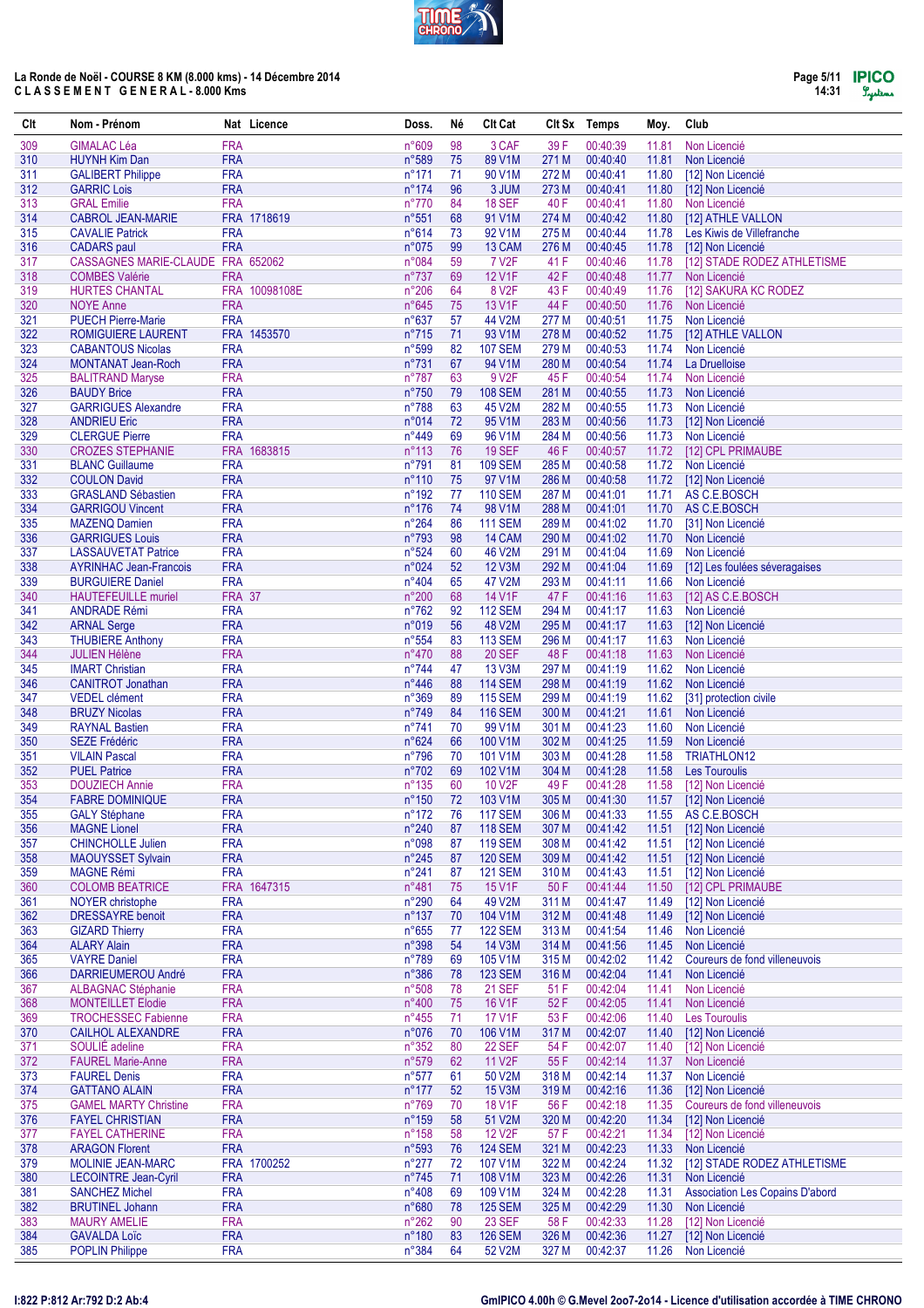

| Clt | Nom - Prénom                      |               | Nat Licence   | Doss.          | Νé | <b>Clt Cat</b>      |       | CIt Sx Temps | Moy.  | Club                                   |
|-----|-----------------------------------|---------------|---------------|----------------|----|---------------------|-------|--------------|-------|----------------------------------------|
| 309 | <b>GIMALAC Léa</b>                | <b>FRA</b>    |               | n°609          | 98 | 3 CAF               | 39 F  | 00:40:39     | 11.81 | Non Licencié                           |
| 310 | <b>HUYNH Kim Dan</b>              | <b>FRA</b>    |               | n°589          | 75 | 89 V1M              | 271 M | 00:40:40     | 11.81 | Non Licencié                           |
| 311 | <b>GALIBERT Philippe</b>          | <b>FRA</b>    |               | $n^{\circ}171$ | 71 | 90 V1M              | 272 M | 00:40:41     | 11.80 | [12] Non Licencié                      |
| 312 | <b>GARRIC Lois</b>                | <b>FRA</b>    |               | $n^{\circ}174$ | 96 | 3 JUM               | 273 M | 00:40:41     | 11.80 | [12] Non Licencié                      |
| 313 | <b>GRAL Emilie</b>                | <b>FRA</b>    |               | $n^{\circ}770$ | 84 | <b>18 SEF</b>       | 40 F  | 00:40:41     | 11.80 | Non Licencié                           |
| 314 | <b>CABROL JEAN-MARIE</b>          |               | FRA 1718619   | n°551          | 68 | 91 V1M              | 274 M | 00:40:42     | 11.80 | [12] ATHLE VALLON                      |
| 315 | <b>CAVALIE Patrick</b>            | <b>FRA</b>    |               | n°614          | 73 | 92 V1M              | 275 M | 00:40:44     | 11.78 | Les Kiwis de Villefranche              |
| 316 | <b>CADARS</b> paul                | <b>FRA</b>    |               | n°075          | 99 | 13 CAM              | 276 M | 00:40:45     | 11.78 | [12] Non Licencié                      |
| 317 | CASSAGNES MARIE-CLAUDE FRA 652062 |               |               | n°084          | 59 | <b>7 V2F</b>        | 41 F  | 00:40:46     | 11.78 | [12] STADE RODEZ ATHLETISME            |
| 318 | <b>COMBES Valérie</b>             | <b>FRA</b>    |               | $n^{\circ}737$ | 69 | 12 V1F              | 42 F  | 00:40:48     |       | 11.77 Non Licencié                     |
| 319 | <b>HURTES CHANTAL</b>             |               | FRA 10098108E | $n^{\circ}206$ | 64 | 8 V2F               | 43 F  | 00:40:49     | 11.76 | [12] SAKURA KC RODEZ                   |
| 320 | <b>NOYE Anne</b>                  | <b>FRA</b>    |               | $n^{\circ}645$ | 75 | 13 V1F              | 44 F  | 00:40:50     | 11.76 | Non Licencié                           |
| 321 | <b>PUECH Pierre-Marie</b>         | <b>FRA</b>    |               | $n^{\circ}637$ | 57 | 44 V2M              | 277 M | 00:40:51     | 11.75 | Non Licencié                           |
| 322 | ROMIGUIERE LAURENT                |               | FRA 1453570   | $n^{\circ}715$ | 71 | 93 V1M              | 278 M | 00:40:52     | 11.75 | [12] ATHLE VALLON                      |
| 323 | <b>CABANTOUS Nicolas</b>          | <b>FRA</b>    |               | n°599          | 82 | <b>107 SEM</b>      | 279 M | 00:40:53     | 11.74 | Non Licencié                           |
| 324 | <b>MONTANAT Jean-Roch</b>         | <b>FRA</b>    |               | $n^{\circ}731$ | 67 | 94 V1M              | 280 M | 00:40:54     | 11.74 | La Druelloise                          |
| 325 | <b>BALITRAND Maryse</b>           | <b>FRA</b>    |               | $n^{\circ}787$ | 63 | 9 V2F               | 45 F  | 00:40:54     | 11.74 | Non Licencié                           |
| 326 | <b>BAUDY Brice</b>                | <b>FRA</b>    |               | $n^{\circ}750$ | 79 | <b>108 SEM</b>      | 281 M | 00:40:55     | 11.73 | Non Licencié                           |
| 327 | <b>GARRIGUES Alexandre</b>        | <b>FRA</b>    |               | n°788          | 63 | 45 V2M              | 282 M | 00:40:55     | 11.73 | Non Licencié                           |
| 328 | <b>ANDRIEU Eric</b>               | <b>FRA</b>    |               | n°014          | 72 | 95 V1M              | 283 M | 00:40:56     |       | 11.73 [12] Non Licencié                |
| 329 | <b>CLERGUE Pierre</b>             | <b>FRA</b>    |               | n°449          | 69 | 96 V1M              | 284 M | 00:40:56     | 11.73 | Non Licencié                           |
| 330 | <b>CROZES STEPHANIE</b>           |               | FRA 1683815   | $n^{\circ}113$ | 76 | <b>19 SEF</b>       | 46 F  | 00:40:57     |       | 11.72 [12] CPL PRIMAUBE                |
| 331 | <b>BLANC Guillaume</b>            | <b>FRA</b>    |               | n°791          | 81 | <b>109 SEM</b>      | 285 M | 00:40:58     | 11.72 | Non Licencié                           |
| 332 | <b>COULON David</b>               | <b>FRA</b>    |               | $n^{\circ}110$ | 75 | 97 V1M              | 286 M | 00:40:58     |       | 11.72 [12] Non Licencié                |
| 333 | <b>GRASLAND Sébastien</b>         | <b>FRA</b>    |               | n°192          | 77 | <b>110 SEM</b>      | 287 M | 00:41:01     | 11.71 | AS C.E.BOSCH                           |
| 334 | <b>GARRIGOU Vincent</b>           | <b>FRA</b>    |               | $n^{\circ}176$ | 74 | 98 V1M              | 288 M | 00:41:01     |       | 11.70 AS C.E.BOSCH                     |
| 335 | <b>MAZENQ Damien</b>              | <b>FRA</b>    |               | $n^{\circ}264$ | 86 | <b>111 SEM</b>      | 289 M | 00:41:02     | 11.70 | [31] Non Licencié                      |
| 336 | <b>GARRIGUES Louis</b>            | <b>FRA</b>    |               | n°793          | 98 | 14 CAM              | 290 M | 00:41:02     | 11.70 | Non Licencié                           |
| 337 | <b>LASSAUVETAT Patrice</b>        | <b>FRA</b>    |               | n°524          | 60 | 46 V2M              | 291 M | 00:41:04     | 11.69 | Non Licencié                           |
| 338 | <b>AYRINHAC Jean-Francois</b>     | <b>FRA</b>    |               | n°024          | 52 | 12 V3M              | 292 M | 00:41:04     | 11.69 | [12] Les foulées séveragaises          |
| 339 | <b>BURGUIERE Daniel</b>           | <b>FRA</b>    |               | $n^{\circ}404$ | 65 | 47 V2M              | 293 M | 00:41:11     | 11.66 | Non Licencié                           |
| 340 | <b>HAUTEFEUILLE</b> muriel        | <b>FRA 37</b> |               | $n^{\circ}200$ | 68 | 14 V1F              | 47 F  | 00:41:16     | 11.63 | [12] AS C.E.BOSCH                      |
| 341 | <b>ANDRADE Rémi</b>               | <b>FRA</b>    |               | $n^{\circ}762$ | 92 | <b>112 SEM</b>      | 294 M | 00:41:17     | 11.63 | Non Licencié                           |
| 342 | <b>ARNAL Serge</b>                | <b>FRA</b>    |               | n°019          | 56 | 48 V2M              | 295 M | 00:41:17     | 11.63 | [12] Non Licencié                      |
| 343 | <b>THUBIERE Anthony</b>           | <b>FRA</b>    |               | $n^{\circ}554$ | 83 | <b>113 SEM</b>      | 296 M | 00:41:17     | 11.63 | Non Licencié                           |
| 344 | <b>JULIEN Hélène</b>              | <b>FRA</b>    |               | $n^{\circ}470$ | 88 | <b>20 SEF</b>       | 48 F  | 00:41:18     |       | 11.63 Non Licencié                     |
| 345 | <b>IMART Christian</b>            | <b>FRA</b>    |               | $n^{\circ}744$ | 47 | <b>13 V3M</b>       | 297 M | 00:41:19     | 11.62 | Non Licencié                           |
| 346 | <b>CANITROT Jonathan</b>          | <b>FRA</b>    |               | $n^{\circ}446$ | 88 | <b>114 SEM</b>      | 298 M | 00:41:19     | 11.62 | Non Licencié                           |
| 347 | VEDEL clément                     | <b>FRA</b>    |               | n°369          | 89 | <b>115 SEM</b>      | 299 M | 00:41:19     | 11.62 | [31] protection civile                 |
| 348 | <b>BRUZY Nicolas</b>              | <b>FRA</b>    |               | $n^{\circ}749$ | 84 | <b>116 SEM</b>      | 300 M | 00:41:21     | 11.61 | Non Licencié                           |
| 349 | <b>RAYNAL Bastien</b>             | <b>FRA</b>    |               | $n^{\circ}741$ | 70 | 99 V1M              | 301 M | 00:41:23     | 11.60 | Non Licencié                           |
| 350 | <b>SEZE Frédéric</b>              | <b>FRA</b>    |               | n°624          | 66 | 100 V1M             | 302 M | 00:41:25     | 11.59 | Non Licencié                           |
| 351 | <b>VILAIN Pascal</b>              | <b>FRA</b>    |               | n°796          | 70 | 101 V1M             | 303 M | 00:41:28     | 11.58 | TRIATHLON12                            |
| 352 | <b>PUEL Patrice</b>               | <b>FRA</b>    |               | $n^{\circ}702$ | 69 | 102 V1M             | 304 M | 00:41:28     | 11.58 | <b>Les Touroulis</b>                   |
| 353 | <b>DOUZIECH Annie</b>             | <b>FRA</b>    |               | $n^{\circ}135$ | 60 | 10 V2F              | 49 F  | 00:41:28     | 11.58 | [12] Non Licencié                      |
| 354 | <b>FABRE DOMINIQUE</b>            | <b>FRA</b>    |               | $n^{\circ}150$ | 72 | 103 V1M             | 305 M | 00:41:30     |       | 11.57 [12] Non Licencié                |
| 355 | <b>GALY Stéphane</b>              | <b>FRA</b>    |               | $n^{\circ}172$ | 76 | <b>117 SEM</b>      | 306 M | 00:41:33     | 11.55 | AS C.E.BOSCH                           |
| 356 | <b>MAGNE Lionel</b>               | <b>FRA</b>    |               | $n^{\circ}240$ | 87 | <b>118 SEM</b>      | 307 M | 00:41:42     | 11.51 | [12] Non Licencié                      |
| 357 | <b>CHINCHOLLE Julien</b>          | <b>FRA</b>    |               | n°098          | 87 | <b>119 SEM</b>      | 308 M | 00:41:42     | 11.51 | [12] Non Licencié                      |
| 358 | <b>MAOUYSSET Sylvain</b>          | <b>FRA</b>    |               | $n^{\circ}245$ | 87 | <b>120 SEM</b>      | 309 M | 00:41:42     | 11.51 | [12] Non Licencié                      |
| 359 | <b>MAGNE Rémi</b>                 | <b>FRA</b>    |               | $n^{\circ}241$ | 87 | <b>121 SEM</b>      | 310 M | 00:41:43     | 11.51 | [12] Non Licencié                      |
| 360 | <b>COLOMB BEATRICE</b>            |               | FRA 1647315   | n°481          | 75 | 15 V1F              | 50 F  | 00:41:44     | 11.50 | [12] CPL PRIMAUBE                      |
| 361 | NOYER christophe                  | <b>FRA</b>    |               | n°290          | 64 | 49 V2M              | 311 M | 00:41:47     | 11.49 | [12] Non Licencié                      |
| 362 | <b>DRESSAYRE</b> benoit           | <b>FRA</b>    |               | $n^{\circ}137$ | 70 | 104 V1M             | 312 M | 00:41:48     | 11.49 | [12] Non Licencié                      |
| 363 | <b>GIZARD Thierry</b>             | <b>FRA</b>    |               | $n^{\circ}655$ | 77 | <b>122 SEM</b>      | 313 M | 00:41:54     | 11.46 | Non Licencié                           |
| 364 | <b>ALARY Alain</b>                | <b>FRA</b>    |               | n°398          | 54 | 14 V3M              | 314 M | 00:41:56     | 11.45 | Non Licencié                           |
| 365 | <b>VAYRE Daniel</b>               | <b>FRA</b>    |               | n°789          | 69 | 105 V1M             | 315 M | 00:42:02     | 11.42 | Coureurs de fond villeneuvois          |
| 366 | DARRIEUMEROU André                | <b>FRA</b>    |               | n°386          | 78 | <b>123 SEM</b>      | 316 M | 00:42:04     | 11.41 | Non Licencié                           |
| 367 | <b>ALBAGNAC Stéphanie</b>         | <b>FRA</b>    |               | n°508          | 78 | <b>21 SEF</b>       | 51 F  | 00:42:04     | 11.41 | Non Licencié                           |
| 368 | <b>MONTEILLET Elodie</b>          | <b>FRA</b>    |               | n°400          | 75 | 16 V1F              | 52 F  | 00:42:05     | 11.41 | Non Licencié                           |
| 369 | <b>TROCHESSEC Fabienne</b>        | <b>FRA</b>    |               | $n^{\circ}455$ | 71 | 17 V1F              | 53 F  | 00:42:06     | 11.40 | <b>Les Touroulis</b>                   |
| 370 | <b>CAILHOL ALEXANDRE</b>          | <b>FRA</b>    |               | n°076          | 70 | 106 V1M             | 317 M | 00:42:07     | 11.40 | [12] Non Licencié                      |
| 371 | SOULIÉ adeline                    | <b>FRA</b>    |               | $n^{\circ}352$ | 80 | 22 SEF              | 54 F  | 00:42:07     | 11.40 | [12] Non Licencié                      |
| 372 | <b>FAUREL Marie-Anne</b>          | <b>FRA</b>    |               | n°579          | 62 | 11 V <sub>2</sub> F | 55 F  | 00:42:14     | 11.37 | Non Licencié                           |
| 373 | <b>FAUREL Denis</b>               | <b>FRA</b>    |               | $n^{\circ}577$ | 61 | 50 V2M              | 318 M | 00:42:14     | 11.37 | Non Licencié                           |
| 374 | <b>GATTANO ALAIN</b>              | <b>FRA</b>    |               | $n^{\circ}177$ | 52 | 15 V3M              | 319 M | 00:42:16     | 11.36 | [12] Non Licencié                      |
| 375 | <b>GAMEL MARTY Christine</b>      | <b>FRA</b>    |               | $n^{\circ}769$ | 70 | 18 V1F              | 56 F  | 00:42:18     | 11.35 | Coureurs de fond villeneuvois          |
| 376 | <b>FAYEL CHRISTIAN</b>            | <b>FRA</b>    |               | n°159          | 58 | 51 V2M              | 320 M | 00:42:20     | 11.34 | [12] Non Licencié                      |
| 377 | <b>FAYEL CATHERINE</b>            | <b>FRA</b>    |               | $n^{\circ}158$ | 58 | 12 V <sub>2</sub> F | 57 F  | 00:42:21     | 11.34 | [12] Non Licencié                      |
| 378 | <b>ARAGON Florent</b>             | <b>FRA</b>    |               | n°593          | 76 | <b>124 SEM</b>      | 321 M | 00:42:23     | 11.33 | Non Licencié                           |
| 379 | <b>MOLINIE JEAN-MARC</b>          |               | FRA 1700252   | $n^{\circ}277$ | 72 | 107 V1M             | 322 M | 00:42:24     | 11.32 | [12] STADE RODEZ ATHLETISME            |
| 380 | <b>LECOINTRE Jean-Cyril</b>       | <b>FRA</b>    |               | $n^{\circ}745$ | 71 | 108 V1M             | 323 M | 00:42:26     | 11.31 | Non Licencié                           |
| 381 | <b>SANCHEZ Michel</b>             | <b>FRA</b>    |               | n°408          | 69 | 109 V1M             | 324 M | 00:42:28     | 11.31 | <b>Association Les Copains D'abord</b> |
| 382 | <b>BRUTINEL Johann</b>            | <b>FRA</b>    |               | n°680          | 78 | <b>125 SEM</b>      | 325 M | 00:42:29     | 11.30 | Non Licencié                           |
| 383 | <b>MAURY AMELIE</b>               | <b>FRA</b>    |               | $n^{\circ}262$ | 90 | <b>23 SEF</b>       | 58 F  | 00:42:33     | 11.28 | [12] Non Licencié                      |
| 384 | <b>GAVALDA Loïc</b>               | <b>FRA</b>    |               | $n^{\circ}180$ | 83 | <b>126 SEM</b>      | 326 M | 00:42:36     | 11.27 | [12] Non Licencié                      |
| 385 | <b>POPLIN Philippe</b>            | <b>FRA</b>    |               | n°384          | 64 | 52 V2M              | 327 M | 00:42:37     | 11.26 | Non Licencié                           |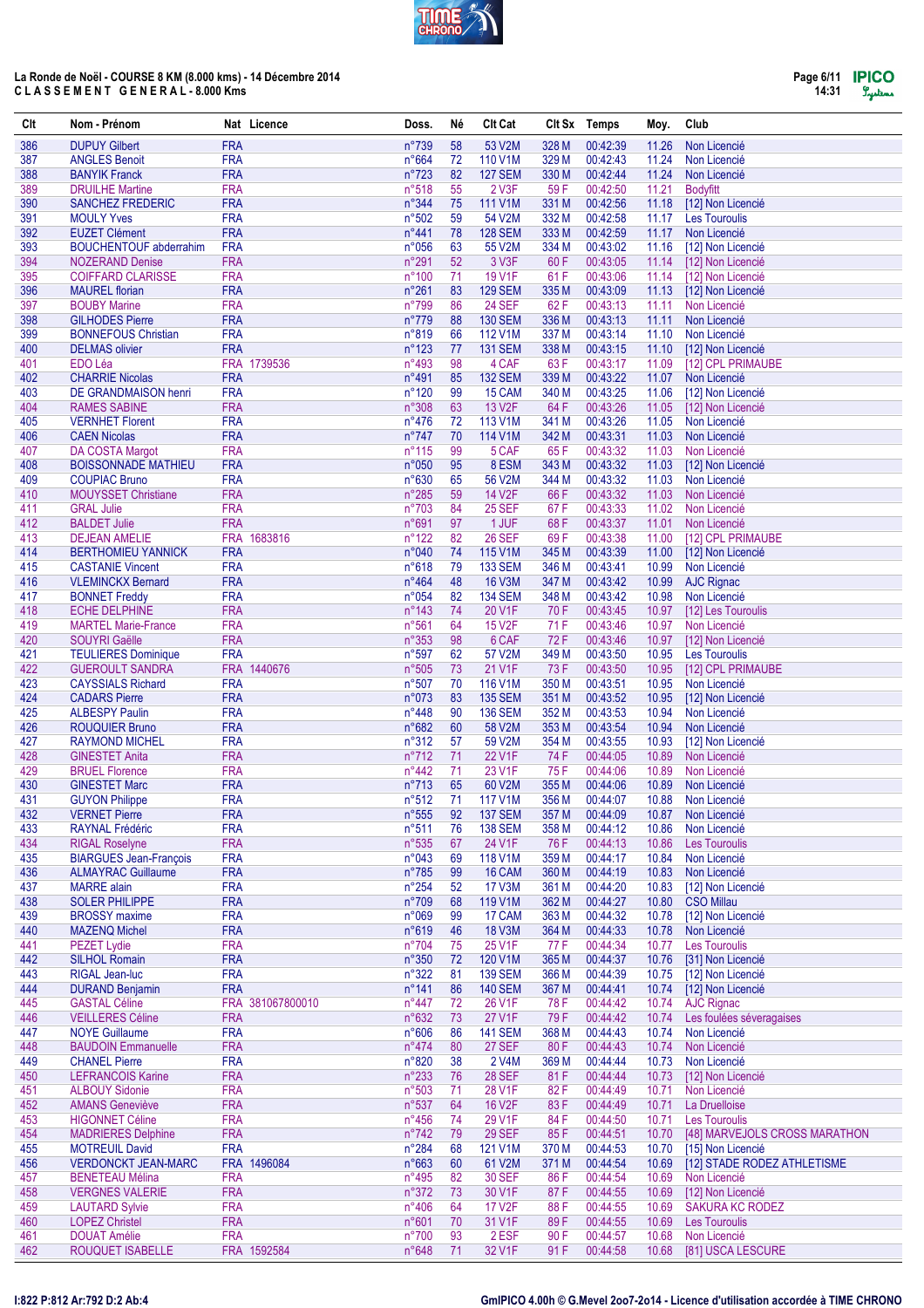

| Clt        | Nom - Prénom                                        |                          | Nat Licence      | Doss.                            | Né       | <b>Clt Cat</b>           |                | Clt Sx Temps         | Moy.           | Club                                             |
|------------|-----------------------------------------------------|--------------------------|------------------|----------------------------------|----------|--------------------------|----------------|----------------------|----------------|--------------------------------------------------|
| 386        | <b>DUPUY Gilbert</b>                                | <b>FRA</b>               |                  | n°739                            | 58       | 53 V2M                   | 328 M          | 00:42:39             | 11.26          | Non Licencié                                     |
| 387        | <b>ANGLES Benoit</b>                                | <b>FRA</b>               |                  | n°664                            | 72       | 110 V1M                  | 329 M          | 00:42:43             | 11.24          | Non Licencié                                     |
| 388        | <b>BANYIK Franck</b>                                | <b>FRA</b>               |                  | $n^{\circ}723$                   | 82       | <b>127 SEM</b>           | 330 M          | 00:42:44             | 11.24          | Non Licencié                                     |
| 389<br>390 | <b>DRUILHE Martine</b><br><b>SANCHEZ FREDERIC</b>   | <b>FRA</b><br><b>FRA</b> |                  | n°518<br>n°344                   | 55<br>75 | 2 V3F<br>111 V1M         | 59F<br>331 M   | 00:42:50<br>00:42:56 | 11.21<br>11.18 | <b>Bodyfitt</b><br>[12] Non Licencié             |
| 391        | <b>MOULY Yves</b>                                   | <b>FRA</b>               |                  | n°502                            | 59       | 54 V2M                   | 332 M          | 00:42:58             | 11.17          | <b>Les Touroulis</b>                             |
| 392        | <b>EUZET Clément</b>                                | <b>FRA</b>               |                  | $n^{\circ}441$                   | 78       | <b>128 SEM</b>           | 333 M          | 00:42:59             | 11.17          | Non Licencié                                     |
| 393        | <b>BOUCHENTOUF abderrahim</b>                       | <b>FRA</b>               |                  | n°056                            | 63       | 55 V2M                   | 334 M          | 00:43:02             | 11.16          | [12] Non Licencié                                |
| 394        | <b>NOZERAND Denise</b>                              | <b>FRA</b>               |                  | n°291                            | 52       | 3 V3F                    | 60 F           | 00:43:05             |                | 11.14 [12] Non Licencié                          |
| 395        | <b>COIFFARD CLARISSE</b>                            | <b>FRA</b>               |                  | $n^{\circ}100$                   | 71       | 19 V1F                   | 61 F           | 00:43:06             | 11.14          | [12] Non Licencié                                |
| 396<br>397 | <b>MAUREL</b> florian<br><b>BOUBY Marine</b>        | <b>FRA</b><br><b>FRA</b> |                  | n°261<br>n°799                   | 83<br>86 | <b>129 SEM</b><br>24 SEF | 335 M<br>62 F  | 00:43:09<br>00:43:13 | 11.13<br>11.11 | [12] Non Licencié<br>Non Licencié                |
| 398        | <b>GILHODES Pierre</b>                              | <b>FRA</b>               |                  | n°779                            | 88       | <b>130 SEM</b>           | 336 M          | 00:43:13             | 11.11          | Non Licencié                                     |
| 399        | <b>BONNEFOUS Christian</b>                          | <b>FRA</b>               |                  | n°819                            | 66       | 112 V1M                  | 337 M          | 00:43:14             | 11.10          | Non Licencié                                     |
| 400        | <b>DELMAS</b> olivier                               | <b>FRA</b>               |                  | $n^{\circ}123$                   | 77       | <b>131 SEM</b>           | 338 M          | 00:43:15             | 11.10          | [12] Non Licencié                                |
| 401        | EDO Léa                                             |                          | FRA 1739536      | n°493                            | 98       | 4 CAF                    | 63 F           | 00:43:17             | 11.09          | [12] CPL PRIMAUBE                                |
| 402        | <b>CHARRIE Nicolas</b>                              | <b>FRA</b>               |                  | n°491                            | 85       | <b>132 SEM</b>           | 339 M          | 00:43:22             | 11.07          | Non Licencié                                     |
| 403<br>404 | DE GRANDMAISON henri<br><b>RAMES SABINE</b>         | <b>FRA</b><br><b>FRA</b> |                  | $n^{\circ}120$<br>n°308          | 99<br>63 | 15 CAM<br>13 V2F         | 340 M<br>64 F  | 00:43:25<br>00:43:26 | 11.06<br>11.05 | [12] Non Licencié<br>[12] Non Licencié           |
| 405        | <b>VERNHET Florent</b>                              | <b>FRA</b>               |                  | $n^{\circ}476$                   | 72       | 113 V1M                  | 341 M          | 00:43:26             | 11.05          | Non Licencié                                     |
| 406        | <b>CAEN Nicolas</b>                                 | <b>FRA</b>               |                  | $n^{\circ}747$                   | 70       | 114 V1M                  | 342 M          | 00:43:31             | 11.03          | Non Licencié                                     |
| 407        | <b>DA COSTA Margot</b>                              | <b>FRA</b>               |                  | $n^{\circ}115$                   | 99       | 5 CAF                    | 65 F           | 00:43:32             | 11.03          | Non Licencié                                     |
| 408        | <b>BOISSONNADE MATHIEU</b>                          | <b>FRA</b>               |                  | n°050                            | 95       | 8ESM                     | 343 M          | 00:43:32             | 11.03          | [12] Non Licencié                                |
| 409        | <b>COUPIAC Bruno</b>                                | <b>FRA</b>               |                  | n°630                            | 65       | 56 V2M                   | 344 M          | 00:43:32             | 11.03          | Non Licencié                                     |
| 410        | <b>MOUYSSET Christiane</b>                          | <b>FRA</b>               |                  | $n^{\circ}285$                   | 59       | 14 V2F                   | 66 F           | 00:43:32<br>00:43:33 | 11.03          | Non Licencié                                     |
| 411<br>412 | <b>GRAL Julie</b><br><b>BALDET Julie</b>            | <b>FRA</b><br><b>FRA</b> |                  | $n^{\circ}703$<br>n°691          | 84<br>97 | <b>25 SEF</b><br>1 JUF   | 67 F<br>68 F   | 00:43:37             | 11.02<br>11.01 | Non Licencié<br>Non Licencié                     |
| 413        | <b>DEJEAN AMELIE</b>                                |                          | FRA 1683816      | $n^{\circ}122$                   | 82       | 26 SEF                   | 69 F           | 00:43:38             | 11.00          | [12] CPL PRIMAUBE                                |
| 414        | <b>BERTHOMIEU YANNICK</b>                           | <b>FRA</b>               |                  | n°040                            | 74       | 115 V1M                  | 345 M          | 00:43:39             | 11.00          | [12] Non Licencié                                |
| 415        | <b>CASTANIE Vincent</b>                             | <b>FRA</b>               |                  | n°618                            | 79       | <b>133 SEM</b>           | 346 M          | 00:43:41             | 10.99          | Non Licencié                                     |
| 416        | <b>VLEMINCKX Bernard</b>                            | <b>FRA</b>               |                  | $n^{\circ}464$                   | 48       | <b>16 V3M</b>            | 347 M          | 00:43:42             | 10.99          | <b>AJC Rignac</b>                                |
| 417        | <b>BONNET Freddy</b>                                | <b>FRA</b>               |                  | n°054                            | 82       | <b>134 SEM</b>           | 348 M          | 00:43:42             | 10.98          | Non Licencié                                     |
| 418        | <b>ECHE DELPHINE</b>                                | <b>FRA</b>               |                  | $n^{\circ}$ 143<br>n°561         | 74       | 20 V1F                   | 70 F           | 00:43:45<br>00:43:46 |                | 10.97 [12] Les Touroulis                         |
| 419<br>420 | <b>MARTEL Marie-France</b><br><b>SOUYRI Gaëlle</b>  | <b>FRA</b><br><b>FRA</b> |                  | n°353                            | 64<br>98 | <b>15 V2F</b><br>6 CAF   | 71 F<br>72 F   | 00:43:46             | 10.97<br>10.97 | Non Licencié<br>[12] Non Licencié                |
| 421        | <b>TEULIERES Dominique</b>                          | <b>FRA</b>               |                  | n°597                            | 62       | 57 V2M                   | 349 M          | 00:43:50             | 10.95          | <b>Les Touroulis</b>                             |
| 422        | <b>GUEROULT SANDRA</b>                              |                          | FRA 1440676      | n°505                            | 73       | 21 V1F                   | 73 F           | 00:43:50             | 10.95          | [12] CPL PRIMAUBE                                |
| 423        | <b>CAYSSIALS Richard</b>                            | <b>FRA</b>               |                  | n°507                            | 70       | 116 V1M                  | 350 M          | 00:43:51             | 10.95          | Non Licencié                                     |
| 424        | <b>CADARS Pierre</b>                                | <b>FRA</b>               |                  | n°073                            | 83       | <b>135 SEM</b>           | 351 M          | 00:43:52             | 10.95          | [12] Non Licencié                                |
| 425        | <b>ALBESPY Paulin</b>                               | <b>FRA</b>               |                  | n°448                            | 90       | <b>136 SEM</b>           | 352 M          | 00:43:53             | 10.94          | Non Licencié                                     |
| 426<br>427 | <b>ROUQUIER Bruno</b><br><b>RAYMOND MICHEL</b>      | <b>FRA</b><br><b>FRA</b> |                  | n°682<br>n°312                   | 60<br>57 | 58 V2M<br>59 V2M         | 353 M<br>354 M | 00:43:54<br>00:43:55 | 10.94<br>10.93 | Non Licencié<br>[12] Non Licencié                |
| 428        | <b>GINESTET Anita</b>                               | <b>FRA</b>               |                  | $n^{\circ}712$                   | 71       | 22 V1F                   | 74 F           | 00:44:05             | 10.89          | Non Licencié                                     |
| 429        | <b>BRUEL Florence</b>                               | <b>FRA</b>               |                  | n°442                            | 71       | 23 V1F                   | 75 F           | 00:44:06             | 10.89          | Non Licencié                                     |
| 430        | <b>GINESTET Marc</b>                                | <b>FRA</b>               |                  | $n^{\circ}713$                   | 65       | 60 V2M                   | 355 M          | 00:44:06             | 10.89          | Non Licencié                                     |
| 431        | <b>GUYON Philippe</b>                               | <b>FRA</b>               |                  | n°512                            | 71       | 117 V1M                  | 356 M          | 00:44:07             | 10.88          | Non Licencié                                     |
| 432        | <b>VERNET Pierre</b>                                | <b>FRA</b>               |                  | n°555                            | 92       | <b>137 SEM</b>           | 357 M          | 00:44:09             |                | 10.87 Non Licencié                               |
| 433<br>434 | RAYNAL Frédéric<br><b>RIGAL Roselyne</b>            | <b>FRA</b><br><b>FRA</b> |                  | $n^{\circ}511$<br>$n^{\circ}535$ | 76<br>67 | <b>138 SEM</b><br>24 V1F | 358 M<br>76 F  | 00:44:12<br>00:44:13 | 10.86<br>10.86 | Non Licencié<br><b>Les Touroulis</b>             |
| 435        | <b>BIARGUES Jean-François</b>                       | <b>FRA</b>               |                  | n°043                            | 69       | 118 V1M                  | 359 M          | 00:44:17             | 10.84          | Non Licencié                                     |
| 436        | <b>ALMAYRAC Guillaume</b>                           | <b>FRA</b>               |                  | $n^{\circ}785$                   | 99       | 16 CAM                   | 360 M          | 00:44:19             | 10.83          | Non Licencié                                     |
| 437        | <b>MARRE</b> alain                                  | <b>FRA</b>               |                  | $n^{\circ}254$                   | 52       | <b>17 V3M</b>            | 361 M          | 00:44:20             | 10.83          | [12] Non Licencié                                |
| 438        | <b>SOLER PHILIPPE</b>                               | <b>FRA</b>               |                  | $n^{\circ}709$                   | 68       | 119 V1M                  | 362 M          | 00:44:27             | 10.80          | <b>CSO Millau</b>                                |
| 439        | <b>BROSSY</b> maxime                                | <b>FRA</b>               |                  | n°069                            | 99       | 17 CAM                   | 363 M          | 00:44:32             | 10.78          | [12] Non Licencié                                |
| 440<br>441 | <b>MAZENQ Michel</b>                                | <b>FRA</b><br><b>FRA</b> |                  | n°619<br>$n^{\circ}704$          | 46<br>75 | 18 V3M<br>25 V1F         | 364 M<br>77 F  | 00:44:33<br>00:44:34 | 10.78<br>10.77 | Non Licencié<br><b>Les Touroulis</b>             |
| 442        | <b>PEZET Lydie</b><br><b>SILHOL Romain</b>          | <b>FRA</b>               |                  | n°350                            | 72       | 120 V1M                  | 365 M          | 00:44:37             | 10.76          | [31] Non Licencié                                |
| 443        | <b>RIGAL Jean-luc</b>                               | <b>FRA</b>               |                  | n°322                            | 81       | <b>139 SEM</b>           | 366 M          | 00:44:39             | 10.75          | [12] Non Licencié                                |
| 444        | <b>DURAND Benjamin</b>                              | <b>FRA</b>               |                  | $n^{\circ}141$                   | 86       | <b>140 SEM</b>           | 367 M          | 00:44:41             |                | 10.74 [12] Non Licencié                          |
| 445        | <b>GASTAL Céline</b>                                |                          | FRA 381067800010 | $n^{\circ}447$                   | 72       | 26 V1F                   | 78 F           | 00:44:42             | 10.74          | <b>AJC Rignac</b>                                |
| 446        | <b>VEILLERES Céline</b>                             | <b>FRA</b>               |                  | n°632                            | 73       | 27 V1F                   | 79 F           | 00:44:42             | 10.74          | Les foulées séveragaises                         |
| 447        | <b>NOYE Guillaume</b>                               | <b>FRA</b>               |                  | n°606                            | 86       | <b>141 SEM</b>           | 368 M          | 00:44:43             | 10.74          | Non Licencié                                     |
| 448<br>449 | <b>BAUDOIN Emmanuelle</b><br><b>CHANEL Pierre</b>   | <b>FRA</b><br><b>FRA</b> |                  | $n^{\circ}474$<br>n°820          | 80<br>38 | 27 SEF<br>2 V4M          | 80 F<br>369 M  | 00:44:43<br>00:44:44 | 10.74<br>10.73 | Non Licencié<br>Non Licencié                     |
| 450        | <b>LEFRANCOIS Karine</b>                            | <b>FRA</b>               |                  | $n^{\circ}233$                   | 76       | <b>28 SEF</b>            | 81 F           | 00:44:44             | 10.73          | [12] Non Licencié                                |
| 451        | <b>ALBOUY Sidonie</b>                               | <b>FRA</b>               |                  | n°503                            | 71       | 28 V1F                   | 82 F           | 00:44:49             | 10.71          | Non Licencié                                     |
| 452        | <b>AMANS Geneviève</b>                              | <b>FRA</b>               |                  | n°537                            | 64       | <b>16 V2F</b>            | 83 F           | 00:44:49             | 10.71          | La Druelloise                                    |
| 453        | <b>HIGONNET Céline</b>                              | <b>FRA</b>               |                  | $n^{\circ}456$                   | 74       | 29 V1F                   | 84 F           | 00:44:50             | 10.71          | <b>Les Touroulis</b>                             |
| 454        | <b>MADRIERES Delphine</b>                           | <b>FRA</b>               |                  | $n^{\circ}742$                   | 79       | <b>29 SEF</b>            | 85 F           | 00:44:51             | 10.70          | [48] MARVEJOLS CROSS MARATHON                    |
| 455<br>456 | <b>MOTREUIL David</b><br><b>VERDONCKT JEAN-MARC</b> | <b>FRA</b>               | FRA 1496084      | n°284<br>n°663                   | 68<br>60 | 121 V1M<br>61 V2M        | 370 M          | 00:44:53<br>00:44:54 | 10.70<br>10.69 | [15] Non Licencié<br>[12] STADE RODEZ ATHLETISME |
| 457        | <b>BENETEAU Mélina</b>                              | <b>FRA</b>               |                  | $n^{\circ}495$                   | 82       | <b>30 SEF</b>            | 371 M<br>86 F  | 00:44:54             | 10.69          | Non Licencié                                     |
| 458        | <b>VERGNES VALERIE</b>                              | <b>FRA</b>               |                  | n°372                            | 73       | 30 V1F                   | 87 F           | 00:44:55             | 10.69          | [12] Non Licencié                                |
| 459        | <b>LAUTARD Sylvie</b>                               | <b>FRA</b>               |                  | $n^{\circ}406$                   | 64       | 17 V <sub>2</sub> F      | 88 F           | 00:44:55             | 10.69          | <b>SAKURA KC RODEZ</b>                           |
| 460        | <b>LOPEZ Christel</b>                               | <b>FRA</b>               |                  | n°601                            | 70       | 31 V1F                   | 89 F           | 00:44:55             | 10.69          | <b>Les Touroulis</b>                             |
| 461        | <b>DOUAT Amélie</b>                                 | <b>FRA</b>               |                  | $n^{\circ}700$                   | 93       | 2 ESF                    | 90 F           | 00:44:57             | 10.68          | Non Licencié                                     |
| 462        | ROUQUET ISABELLE                                    |                          | FRA 1592584      | $n^{\circ}648$                   | 71       | 32 V1F                   | 91 F           | 00:44:58             | 10.68          | [81] USCA LESCURE                                |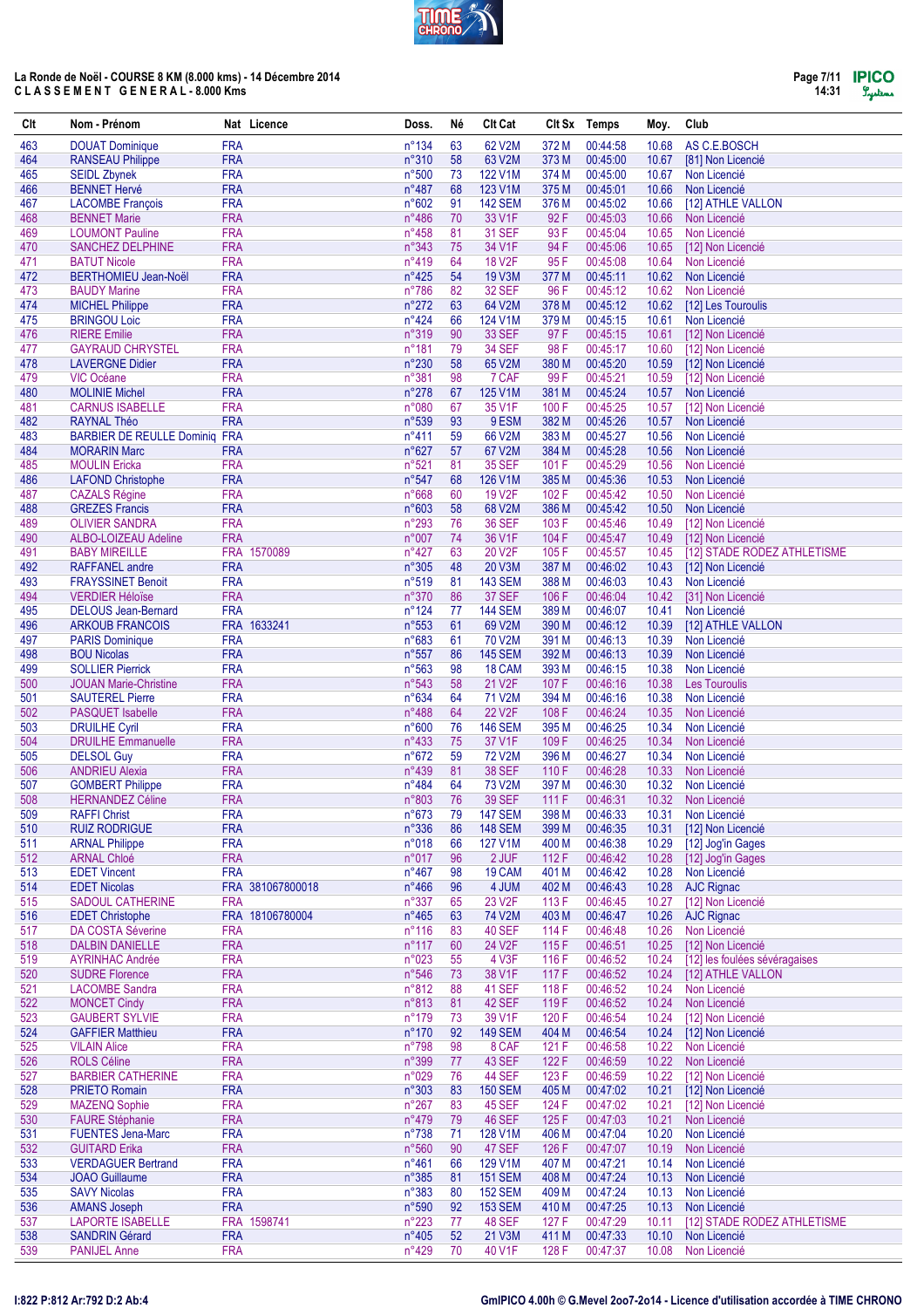

| Clt        | Nom - Prénom                                               |                          | Nat Licence      | Doss.                            | Νé       | <b>Clt Cat</b>      |                | CIt Sx Temps         | Moy.           | Club                                        |
|------------|------------------------------------------------------------|--------------------------|------------------|----------------------------------|----------|---------------------|----------------|----------------------|----------------|---------------------------------------------|
| 463        | <b>DOUAT Dominique</b>                                     | <b>FRA</b>               |                  | $n^{\circ}134$                   | 63       | 62 V2M              | 372 M          | 00:44:58             | 10.68          | AS C.E.BOSCH                                |
| 464        | <b>RANSEAU Philippe</b>                                    | <b>FRA</b>               |                  | n°310                            | 58       | 63 V2M              | 373 M          | 00:45:00             | 10.67          | [81] Non Licencié                           |
| 465        | <b>SEIDL Zbynek</b>                                        | <b>FRA</b>               |                  | n°500                            | 73       | 122 V1M             | 374 M          | 00:45:00             | 10.67          | Non Licencié                                |
| 466        | <b>BENNET Hervé</b>                                        | <b>FRA</b>               |                  | $n^{\circ}487$                   | 68       | 123 V1M             | 375 M          | 00:45:01             | 10.66          | Non Licencié                                |
| 467        | <b>LACOMBE François</b>                                    | <b>FRA</b>               |                  | n°602                            | 91       | <b>142 SEM</b>      | 376 M          | 00:45:02             | 10.66          | [12] ATHLE VALLON                           |
| 468        | <b>BENNET Marie</b>                                        | <b>FRA</b>               |                  | $n^{\circ}486$                   | 70       | 33 V1F              | 92F            | 00:45:03             | 10.66          | Non Licencié                                |
| 469        | <b>LOUMONT Pauline</b>                                     | <b>FRA</b>               |                  | $n^{\circ}458$                   | 81       | <b>31 SEF</b>       | 93 F           | 00:45:04             | 10.65          | Non Licencié                                |
| 470        | SANCHEZ DELPHINE                                           | <b>FRA</b>               |                  | n°343                            | 75       | 34 V1F              | 94 F           | 00:45:06             | 10.65          | [12] Non Licencié                           |
| 471        | <b>BATUT Nicole</b>                                        | <b>FRA</b>               |                  | n°419                            | 64       | <b>18 V2F</b>       | 95 F           | 00:45:08             | 10.64          | Non Licencié                                |
| 472        | <b>BERTHOMIEU Jean-Noël</b>                                | <b>FRA</b>               |                  | $n^{\circ}425$                   | 54       | 19 V3M              | 377 M          | 00:45:11             | 10.62          | Non Licencié                                |
| 473        | <b>BAUDY Marine</b>                                        | <b>FRA</b>               |                  | $n^{\circ}786$                   | 82       | <b>32 SEF</b>       | 96 F           | 00:45:12             | 10.62          | Non Licencié                                |
| 474        | <b>MICHEL Philippe</b>                                     | <b>FRA</b>               |                  | $n^{\circ}272$                   | 63       | 64 V2M              | 378 M          | 00:45:12             | 10.62          | [12] Les Touroulis                          |
| 475        | <b>BRINGOU Loic</b>                                        | <b>FRA</b>               |                  | $n^{\circ}424$                   | 66       | 124 V1M             | 379 M          | 00:45:15             | 10.61          | Non Licencié                                |
| 476        | <b>RIERE</b> Emilie                                        | <b>FRA</b>               |                  | n°319                            | 90       | <b>33 SEF</b>       | 97 F           | 00:45:15             | 10.61          | [12] Non Licencié                           |
| 477        | <b>GAYRAUD CHRYSTEL</b>                                    | <b>FRA</b>               |                  | n°181                            | 79       | <b>34 SEF</b>       | 98 F           | 00:45:17             | 10.60          | [12] Non Licencié                           |
| 478        | <b>LAVERGNE Didier</b>                                     | <b>FRA</b>               |                  | $n^{\circ}230$                   | 58       | 65 V2M              | 380 M          | 00:45:20             | 10.59          | [12] Non Licencié                           |
| 479        | VIC Océane                                                 | <b>FRA</b>               |                  | n°381                            | 98       | 7 CAF               | 99 F           | 00:45:21             | 10.59          | [12] Non Licencié                           |
| 480        | <b>MOLINIE Michel</b>                                      | <b>FRA</b>               |                  | $n^{\circ}278$                   | 67       | 125 V1M             | 381 M          | 00:45:24             | 10.57          | Non Licencié                                |
| 481        | <b>CARNUS ISABELLE</b>                                     | <b>FRA</b><br><b>FRA</b> |                  | n°080                            | 67<br>93 | 35 V1F              | 100 F<br>382 M | 00:45:25             | 10.57          | [12] Non Licencié                           |
| 482<br>483 | <b>RAYNAL Théo</b><br><b>BARBIER DE REULLE Dominiq FRA</b> |                          |                  | n°539<br>$n^{\circ}411$          | 59       | 9 ESM<br>66 V2M     | 383 M          | 00:45:26<br>00:45:27 | 10.57<br>10.56 | Non Licencié<br>Non Licencié                |
| 484        | <b>MORARIN Marc</b>                                        | <b>FRA</b>               |                  | $n^{\circ}627$                   | 57       | 67 V2M              | 384 M          | 00:45:28             | 10.56          | Non Licencié                                |
| 485        | <b>MOULIN Ericka</b>                                       | <b>FRA</b>               |                  | n°521                            | 81       | <b>35 SEF</b>       | 101 F          | 00:45:29             | 10.56          | Non Licencié                                |
| 486        | <b>LAFOND Christophe</b>                                   | <b>FRA</b>               |                  | n°547                            | 68       | 126 V1M             | 385 M          | 00:45:36             | 10.53          | Non Licencié                                |
| 487        | <b>CAZALS Régine</b>                                       | <b>FRA</b>               |                  | n°668                            | 60       | 19 V2F              | 102 F          | 00:45:42             | 10.50          | Non Licencié                                |
| 488        | <b>GREZES</b> Francis                                      | <b>FRA</b>               |                  | n°603                            | 58       | 68 V2M              | 386 M          | 00:45:42             | 10.50          | Non Licencié                                |
| 489        | <b>OLIVIER SANDRA</b>                                      | <b>FRA</b>               |                  | n°293                            | 76       | <b>36 SEF</b>       | 103 F          | 00:45:46             | 10.49          | [12] Non Licencié                           |
| 490        | ALBO-LOIZEAU Adeline                                       | <b>FRA</b>               |                  | n°007                            | 74       | 36 V1F              | 104 F          | 00:45:47             | 10.49          | [12] Non Licencié                           |
| 491        | <b>BABY MIREILLE</b>                                       |                          | FRA 1570089      | $n^{\circ}427$                   | 63       | 20 V <sub>2</sub> F | 105 F          | 00:45:57             | 10.45          | [12] STADE RODEZ ATHLETISME                 |
| 492        | <b>RAFFANEL</b> andre                                      | <b>FRA</b>               |                  | n°305                            | 48       | 20 V3M              | 387 M          | 00:46:02             | 10.43          | [12] Non Licencié                           |
| 493        | <b>FRAYSSINET Benoit</b>                                   | <b>FRA</b>               |                  | n°519                            | 81       | <b>143 SEM</b>      | 388 M          | 00:46:03             | 10.43          | Non Licencié                                |
| 494        | <b>VERDIER Héloïse</b>                                     | <b>FRA</b>               |                  | n°370                            | 86       | 37 SEF              | 106 F          | 00:46:04             | 10.42          | [31] Non Licencié                           |
| 495        | <b>DELOUS Jean-Bernard</b>                                 | <b>FRA</b>               |                  | $n^{\circ}124$                   | 77       | <b>144 SEM</b>      | 389 M          | 00:46:07             | 10.41          | Non Licencié                                |
| 496        | <b>ARKOUB FRANCOIS</b>                                     |                          | FRA 1633241      | n°553                            | 61       | 69 V2M              | 390 M          | 00:46:12             | 10.39          | [12] ATHLE VALLON                           |
| 497        | <b>PARIS Dominique</b>                                     | <b>FRA</b>               |                  | n°683                            | 61       | 70 V2M              | 391 M          | 00:46:13             | 10.39          | Non Licencié                                |
| 498        | <b>BOU Nicolas</b>                                         | <b>FRA</b>               |                  | n°557                            | 86       | <b>145 SEM</b>      | 392 M          | 00:46:13             | 10.39          | Non Licencié                                |
| 499        | <b>SOLLIER Pierrick</b>                                    | <b>FRA</b>               |                  | n°563                            | 98       | 18 CAM              | 393 M          | 00:46:15             | 10.38          | Non Licencié                                |
| 500        | <b>JOUAN Marie-Christine</b>                               | <b>FRA</b>               |                  | n°543                            | 58       | 21 V2F              | 107 F          | 00:46:16             | 10.38          | <b>Les Touroulis</b>                        |
| 501        | <b>SAUTEREL Pierre</b>                                     | <b>FRA</b>               |                  | n°634                            | 64       | 71 V2M              | 394 M          | 00:46:16             | 10.38          | Non Licencié                                |
| 502        | <b>PASQUET Isabelle</b>                                    | <b>FRA</b>               |                  | $n^{\circ}488$                   | 64       | 22 V2F              | 108 F          | 00:46:24             | 10.35          | Non Licencié                                |
| 503        | <b>DRUILHE Cyril</b>                                       | <b>FRA</b>               |                  | n°600                            | 76       | <b>146 SEM</b>      | 395 M          | 00:46:25             | 10.34          | Non Licencié                                |
| 504        | <b>DRUILHE Emmanuelle</b>                                  | <b>FRA</b>               |                  | $n^{\circ}433$                   | 75       | 37 V1F              | 109 F          | 00:46:25             | 10.34          | Non Licencié                                |
| 505        | <b>DELSOL Guy</b>                                          | <b>FRA</b>               |                  | $n^{\circ}672$                   | 59       | <b>72 V2M</b>       | 396 M          | 00:46:27             | 10.34          | Non Licencié                                |
| 506        | <b>ANDRIEU Alexia</b>                                      | <b>FRA</b>               |                  | n°439                            | 81       | <b>38 SEF</b>       | 110F           | 00:46:28             | 10.33          | Non Licencié                                |
| 507        | <b>GOMBERT Philippe</b>                                    | <b>FRA</b>               |                  | n°484                            | 64       | 73 V2M              | 397 M          | 00:46:30             | 10.32          | Non Licencié                                |
| 508        | <b>HERNANDEZ Céline</b>                                    | <b>FRA</b>               |                  | n°803                            | 76       | <b>39 SEF</b>       | 111 F          | 00:46:31             |                | 10.32 Non Licencié                          |
| 509        | <b>RAFFI Christ</b>                                        | <b>FRA</b>               |                  | $n^{\circ}673$                   | 79       | <b>147 SEM</b>      | 398 M          | 00:46:33             |                | 10.31 Non Licencié                          |
| 510        | <b>RUIZ RODRIGUE</b>                                       | <b>FRA</b>               |                  | $n^{\circ}336$                   | 86       | <b>148 SEM</b>      | 399 M          | 00:46:35             | 10.31          | [12] Non Licencié                           |
| 511<br>512 | <b>ARNAL Philippe</b><br><b>ARNAL Chloé</b>                | <b>FRA</b><br><b>FRA</b> |                  | n°018<br>n°017                   | 66       | 127 V1M<br>2 JUF    | 400 M<br>112F  | 00:46:38<br>00:46:42 | 10.29<br>10.28 | [12] Jog'in Gages<br>[12] Jog'in Gages      |
| 513        | <b>EDET Vincent</b>                                        | <b>FRA</b>               |                  | $n^{\circ}467$                   | 96<br>98 | 19 CAM              | 401 M          | 00:46:42             | 10.28          | Non Licencié                                |
| 514        | <b>EDET Nicolas</b>                                        |                          | FRA 381067800018 | $n^{\circ}466$                   | 96       | 4 JUM               | 402 M          | 00:46:43             | 10.28          | <b>AJC Rignac</b>                           |
| 515        | <b>SADOUL CATHERINE</b>                                    | <b>FRA</b>               |                  | n°337                            | 65       | 23 V2F              | 113 F          | 00:46:45             | 10.27          | [12] Non Licencié                           |
| 516        | <b>EDET Christophe</b>                                     |                          | FRA 18106780004  | $n^{\circ}465$                   | 63       | 74 V2M              | 403 M          | 00:46:47             | 10.26          | <b>AJC Rignac</b>                           |
| 517        | <b>DA COSTA Séverine</b>                                   | <b>FRA</b>               |                  | $n^{\circ}116$                   | 83       | <b>40 SEF</b>       | 114 F          | 00:46:48             | 10.26          | Non Licencié                                |
| 518        | <b>DALBIN DANIELLE</b>                                     | <b>FRA</b>               |                  | $n^{\circ}117$                   | 60       | 24 V2F              | 115F           | 00:46:51             | 10.25          | [12] Non Licencié                           |
| 519        | <b>AYRINHAC Andrée</b>                                     | <b>FRA</b>               |                  | n°023                            | 55       | 4 V3F               | 116 F          | 00:46:52             | 10.24          | [12] les foulées sévéragaises               |
| 520        | <b>SUDRE Florence</b>                                      | <b>FRA</b>               |                  | n°546                            | 73       | 38 V1F              | 117 F          | 00:46:52             | 10.24          | [12] ATHLE VALLON                           |
| 521        | <b>LACOMBE Sandra</b>                                      | <b>FRA</b>               |                  | n°812                            | 88       | 41 SEF              | 118 F          | 00:46:52             | 10.24          | Non Licencié                                |
| 522        | <b>MONCET Cindy</b>                                        | <b>FRA</b>               |                  | n°813                            | 81       | 42 SEF              | 119 F          | 00:46:52             | 10.24          | Non Licencié                                |
| 523        | <b>GAUBERT SYLVIE</b>                                      | <b>FRA</b>               |                  | n°179                            | 73       | 39 V1F              | 120 F          | 00:46:54             | 10.24          | [12] Non Licencié                           |
| 524        | <b>GAFFIER Matthieu</b>                                    | <b>FRA</b>               |                  | $n^{\circ}170$                   | 92       | <b>149 SEM</b>      | 404 M          | 00:46:54             | 10.24          | [12] Non Licencié                           |
| 525        | <b>VILAIN Alice</b>                                        | <b>FRA</b>               |                  | n°798                            | 98       | 8 CAF               | 121 F          | 00:46:58             | 10.22          | Non Licencié                                |
| 526        | <b>ROLS Céline</b>                                         | <b>FRA</b>               |                  | n°399                            | 77       | 43 SEF              | 122 F          | 00:46:59             | 10.22          | Non Licencié                                |
| 527        | <b>BARBIER CATHERINE</b>                                   | <b>FRA</b>               |                  | n°029                            | 76       | <b>44 SEF</b>       | 123 F          | 00:46:59             | 10.22          | [12] Non Licencié                           |
| 528        | <b>PRIETO Romain</b>                                       | <b>FRA</b>               |                  | n°303                            | 83       | <b>150 SEM</b>      | 405 M          | 00:47:02             | 10.21          | [12] Non Licencié                           |
| 529        | <b>MAZENQ Sophie</b>                                       | <b>FRA</b>               |                  | $n^{\circ}267$                   | 83       | 45 SEF              | 124 F          | 00:47:02             | 10.21          | [12] Non Licencié                           |
| 530        | <b>FAURE Stéphanie</b>                                     | <b>FRA</b>               |                  | n°479                            | 79       | 46 SEF              | 125 F          | 00:47:03             | 10.21          | Non Licencié                                |
| 531        | <b>FUENTES Jena-Marc</b>                                   | <b>FRA</b>               |                  | $n^{\circ}738$                   | 71       | 128 V1M             | 406 M          | 00:47:04             | 10.20          | Non Licencié                                |
| 532        | <b>GUITARD Erika</b>                                       | <b>FRA</b>               |                  | n°560                            | 90       | 47 SEF              | 126 F          | 00:47:07             | 10.19          | Non Licencié                                |
| 533        | <b>VERDAGUER Bertrand</b>                                  | <b>FRA</b>               |                  | $n^{\circ}461$                   | 66       | 129 V1M             | 407 M          | 00:47:21             | 10.14          | Non Licencié                                |
| 534        | <b>JOAO</b> Guillaume                                      | <b>FRA</b>               |                  | $n^{\circ}385$                   | 81       | <b>151 SEM</b>      | 408 M          | 00:47:24             | 10.13          | Non Licencié                                |
| 535        | <b>SAVY Nicolas</b>                                        | <b>FRA</b>               |                  | n°383                            | 80       | <b>152 SEM</b>      | 409 M          | 00:47:24             | 10.13          | Non Licencié                                |
| 536        | <b>AMANS Joseph</b>                                        | <b>FRA</b>               |                  | n°590                            | 92       | <b>153 SEM</b>      | 410 M          | 00:47:25             | 10.13          | Non Licencié                                |
| 537<br>538 | <b>LAPORTE ISABELLE</b><br><b>SANDRIN Gérard</b>           | <b>FRA</b>               | FRA 1598741      | $n^{\circ}223$<br>$n^{\circ}405$ | 77<br>52 | 48 SEF<br>21 V3M    | 127 F<br>411 M | 00:47:29<br>00:47:33 | 10.11<br>10.10 | [12] STADE RODEZ ATHLETISME<br>Non Licencié |
| 539        | <b>PANIJEL Anne</b>                                        | <b>FRA</b>               |                  | $n^{\circ}429$                   | 70       | 40 V1F              | 128 F          | 00:47:37             | 10.08          | Non Licencié                                |
|            |                                                            |                          |                  |                                  |          |                     |                |                      |                |                                             |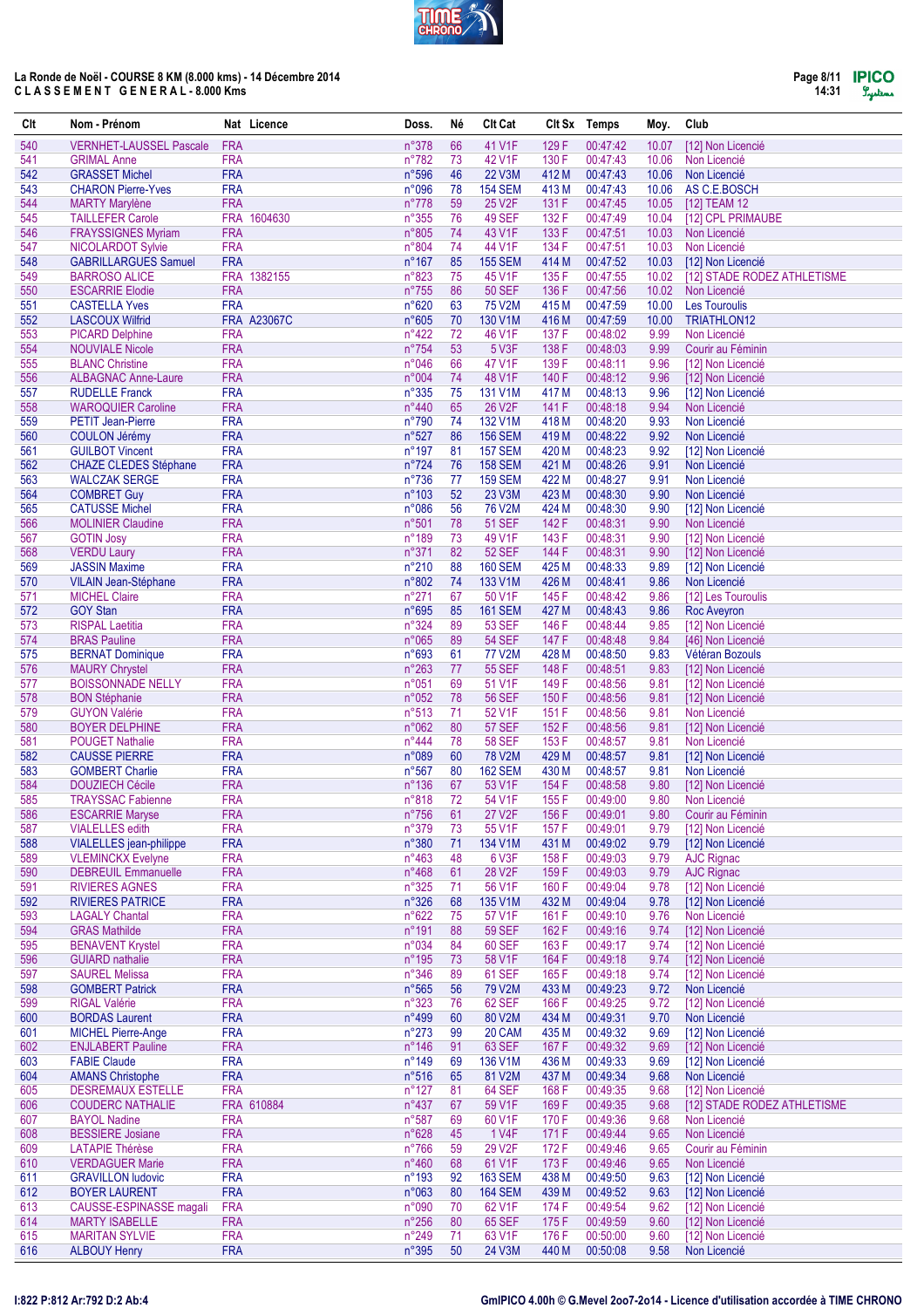

| Clt        | Nom - Prénom                                         |                          | Nat Licence        | Doss.                            | Νé       | <b>Clt Cat</b>           |                | Clt Sx Temps         | Moy.           | Club                                   |
|------------|------------------------------------------------------|--------------------------|--------------------|----------------------------------|----------|--------------------------|----------------|----------------------|----------------|----------------------------------------|
| 540        | <b>VERNHET-LAUSSEL Pascale</b>                       | <b>FRA</b>               |                    | n°378                            | 66       | 41 V1F                   | 129 F          | 00:47:42             | 10.07          | [12] Non Licencié                      |
| 541        | <b>GRIMAL Anne</b>                                   | <b>FRA</b>               |                    | n°782                            | 73       | 42 V1F                   | 130 F          | 00:47:43             | 10.06          | Non Licencié                           |
| 542        | <b>GRASSET Michel</b>                                | <b>FRA</b>               |                    | n°596                            | 46       | <b>22 V3M</b>            | 412 M          | 00:47:43             | 10.06          | Non Licencié                           |
| 543        | <b>CHARON Pierre-Yves</b>                            | <b>FRA</b>               |                    | n°096                            | 78       | <b>154 SEM</b>           | 413 M          | 00:47:43             | 10.06          | AS C.E.BOSCH                           |
| 544        | <b>MARTY Marylène</b>                                | <b>FRA</b>               |                    | $n^{\circ}778$                   | 59<br>76 | 25 V2F                   | 131 F<br>132 F | 00:47:45<br>00:47:49 | 10.05          | [12] TEAM 12<br>[12] CPL PRIMAUBE      |
| 545<br>546 | <b>TAILLEFER Carole</b><br><b>FRAYSSIGNES Myriam</b> | <b>FRA</b>               | FRA 1604630        | $n^{\circ}355$<br>n°805          | 74       | 49 SEF<br>43 V1F         | 133 F          | 00:47:51             | 10.04<br>10.03 | Non Licencié                           |
| 547        | NICOLARDOT Sylvie                                    | <b>FRA</b>               |                    | n°804                            | 74       | 44 V1F                   | 134 F          | 00:47:51             | 10.03          | Non Licencié                           |
| 548        | <b>GABRILLARGUES Samuel</b>                          | <b>FRA</b>               |                    | $n^{\circ}167$                   | 85       | <b>155 SEM</b>           | 414 M          | 00:47:52             | 10.03          | [12] Non Licencié                      |
| 549        | <b>BARROSO ALICE</b>                                 |                          | FRA 1382155        | n°823                            | 75       | 45 V1F                   | 135 F          | 00:47:55             | 10.02          | [12] STADE RODEZ ATHLETISME            |
| 550        | <b>ESCARRIE Elodie</b>                               | <b>FRA</b>               |                    | $n^{\circ}755$                   | 86       | <b>50 SEF</b>            | 136 F          | 00:47:56             | 10.02          | Non Licencié                           |
| 551        | <b>CASTELLA Yves</b>                                 | <b>FRA</b>               |                    | n°620                            | 63       | 75 V2M                   | 415 M          | 00:47:59             | 10.00          | <b>Les Touroulis</b>                   |
| 552        | <b>LASCOUX Wilfrid</b>                               |                          | <b>FRA A23067C</b> | n°605                            | 70       | 130 V1M                  | 416 M          | 00:47:59             | 10.00          | <b>TRIATHLON12</b>                     |
| 553        | <b>PICARD Delphine</b>                               | <b>FRA</b>               |                    | $n^{\circ}422$                   | 72       | 46 V1F                   | 137 F          | 00:48:02             | 9.99           | Non Licencié                           |
| 554<br>555 | <b>NOUVIALE Nicole</b><br><b>BLANC Christine</b>     | <b>FRA</b><br><b>FRA</b> |                    | $n^{\circ}754$<br>n°046          | 53<br>66 | 5 V3F<br>47 V1F          | 138 F<br>139 F | 00:48:03<br>00:48:11 | 9.99<br>9.96   | Courir au Féminin<br>[12] Non Licencié |
| 556        | <b>ALBAGNAC Anne-Laure</b>                           | <b>FRA</b>               |                    | n°004                            | 74       | 48 V1F                   | 140 F          | 00:48:12             | 9.96           | [12] Non Licencié                      |
| 557        | <b>RUDELLE Franck</b>                                | <b>FRA</b>               |                    | $n^{\circ}335$                   | 75       | 131 V1M                  | 417 M          | 00:48:13             | 9.96           | [12] Non Licencié                      |
| 558        | <b>WAROQUIER Caroline</b>                            | <b>FRA</b>               |                    | n°440                            | 65       | 26 V2F                   | 141 F          | 00:48:18             | 9.94           | Non Licencié                           |
| 559        | <b>PETIT Jean-Pierre</b>                             | <b>FRA</b>               |                    | n°790                            | 74       | 132 V1M                  | 418 M          | 00:48:20             | 9.93           | Non Licencié                           |
| 560        | <b>COULON Jérémy</b>                                 | <b>FRA</b>               |                    | n°527                            | 86       | <b>156 SEM</b>           | 419 M          | 00:48:22             | 9.92           | Non Licencié                           |
| 561        | <b>GUILBOT Vincent</b>                               | <b>FRA</b>               |                    | n°197                            | 81       | <b>157 SEM</b>           | 420 M          | 00:48:23             | 9.92           | [12] Non Licencié                      |
| 562        | <b>CHAZE CLEDES Stéphane</b>                         | <b>FRA</b>               |                    | $n^{\circ}724$                   | 76       | <b>158 SEM</b>           | 421 M          | 00:48:26             | 9.91           | Non Licencié                           |
| 563        | <b>WALCZAK SERGE</b>                                 | <b>FRA</b>               |                    | $n^{\circ}736$                   | 77       | <b>159 SEM</b><br>23 V3M | 422 M          | 00:48:27             | 9.91           | Non Licencié                           |
| 564<br>565 | <b>COMBRET Guy</b><br><b>CATUSSE Michel</b>          | <b>FRA</b><br><b>FRA</b> |                    | $n^{\circ}103$<br>n°086          | 52<br>56 | 76 V2M                   | 423 M<br>424 M | 00:48:30<br>00:48:30 | 9.90<br>9.90   | Non Licencié<br>[12] Non Licencié      |
| 566        | <b>MOLINIER Claudine</b>                             | <b>FRA</b>               |                    | n°501                            | 78       | <b>51 SEF</b>            | 142 F          | 00:48:31             | 9.90           | Non Licencié                           |
| 567        | <b>GOTIN Josy</b>                                    | <b>FRA</b>               |                    | n°189                            | 73       | 49 V1F                   | 143 F          | 00:48:31             | 9.90           | [12] Non Licencié                      |
| 568        | <b>VERDU Laury</b>                                   | <b>FRA</b>               |                    | n°371                            | 82       | <b>52 SEF</b>            | 144 F          | 00:48:31             | 9.90           | [12] Non Licencié                      |
| 569        | <b>JASSIN Maxime</b>                                 | <b>FRA</b>               |                    | $n^{\circ}210$                   | 88       | <b>160 SEM</b>           | 425 M          | 00:48:33             | 9.89           | [12] Non Licencié                      |
| 570        | <b>VILAIN Jean-Stéphane</b>                          | <b>FRA</b>               |                    | n°802                            | 74       | 133 V1M                  | 426 M          | 00:48:41             | 9.86           | Non Licencié                           |
| 571        | <b>MICHEL Claire</b>                                 | <b>FRA</b>               |                    | $n^{\circ}271$                   | 67       | 50 V1F                   | 145 F          | 00:48:42             | 9.86           | [12] Les Touroulis                     |
| 572        | <b>GOY Stan</b>                                      | <b>FRA</b>               |                    | n°695                            | 85       | <b>161 SEM</b>           | 427 M          | 00:48:43             | 9.86           | <b>Roc Aveyron</b>                     |
| 573        | <b>RISPAL Laetitia</b>                               | <b>FRA</b><br><b>FRA</b> |                    | n°324                            | 89       | <b>53 SEF</b>            | 146 F          | 00:48:44<br>00:48:48 | 9.85           | [12] Non Licencié                      |
| 574<br>575 | <b>BRAS Pauline</b><br><b>BERNAT Dominique</b>       | <b>FRA</b>               |                    | n°065<br>n°693                   | 89<br>61 | <b>54 SEF</b><br>77 V2M  | 147 F<br>428 M | 00:48:50             | 9.84<br>9.83   | [46] Non Licencié<br>Vétéran Bozouls   |
| 576        | <b>MAURY Chrystel</b>                                | <b>FRA</b>               |                    | n°263                            | 77       | <b>55 SEF</b>            | 148 F          | 00:48:51             | 9.83           | [12] Non Licencié                      |
| 577        | <b>BOISSONNADE NELLY</b>                             | <b>FRA</b>               |                    | n°051                            | 69       | 51 V1F                   | 149 F          | 00:48:56             | 9.81           | [12] Non Licencié                      |
| 578        | <b>BON Stéphanie</b>                                 | <b>FRA</b>               |                    | n°052                            | 78       | <b>56 SEF</b>            | 150 F          | 00:48:56             | 9.81           | [12] Non Licencié                      |
| 579        | <b>GUYON Valérie</b>                                 | <b>FRA</b>               |                    | n°513                            | 71       | 52 V1F                   | 151 F          | 00:48:56             | 9.81           | Non Licencié                           |
| 580        | <b>BOYER DELPHINE</b>                                | <b>FRA</b>               |                    | n°062                            | 80       | <b>57 SEF</b>            | 152 F          | 00:48:56             | 9.81           | [12] Non Licencié                      |
| 581        | <b>POUGET Nathalie</b>                               | <b>FRA</b>               |                    | $n^{\circ}444$                   | 78       | <b>58 SEF</b>            | 153 F          | 00:48:57             | 9.81           | Non Licencié                           |
| 582<br>583 | <b>CAUSSE PIERRE</b><br><b>GOMBERT Charlie</b>       | <b>FRA</b><br><b>FRA</b> |                    | n°089<br>$n^{\circ}567$          | 60<br>80 | 78 V2M<br><b>162 SEM</b> | 429 M<br>430 M | 00:48:57<br>00:48:57 | 9.81<br>9.81   | [12] Non Licencié<br>Non Licencié      |
| 584        | <b>DOUZIECH Cécile</b>                               | <b>FRA</b>               |                    | n°136                            | 67       | 53 V1F                   | 154 F          | 00:48:58             | 9.80           | [12] Non Licencié                      |
| 585        | <b>TRAYSSAC Fabienne</b>                             | <b>FRA</b>               |                    | n°818                            | 72       | 54 V1F                   | 155 F          | 00:49:00             | 9.80           | Non Licencié                           |
| 586        | <b>ESCARRIE Maryse</b>                               | <b>FRA</b>               |                    | $n^{\circ}756$                   | 61       | 27 V2F                   | 156 F          | 00:49:01             | 9.80           | Courir au Féminin                      |
| 587        | <b>VIALELLES</b> edith                               | <b>FRA</b>               |                    | n°379                            | 73       | 55 V1F                   | 157 F          | 00:49:01             | 9.79           | [12] Non Licencié                      |
| 588        | <b>VIALELLES</b> jean-philippe                       | <b>FRA</b>               |                    | n°380                            | 71       | 134 V1M                  | 431 M          | 00:49:02             | 9.79           | [12] Non Licencié                      |
| 589        | <b>VLEMINCKX Evelyne</b>                             | <b>FRA</b>               |                    | $n^{\circ}463$                   | 48       | 6 V3F                    | 158 F          | 00:49:03             | 9.79           | <b>AJC Rignac</b>                      |
| 590        | <b>DEBREUIL Emmanuelle</b>                           | <b>FRA</b>               |                    | $n^{\circ}468$                   | 61       | 28 V2F                   | 159 F          | 00:49:03             | 9.79           | <b>AJC Rignac</b>                      |
| 591<br>592 | <b>RIVIERES AGNES</b><br><b>RIVIERES PATRICE</b>     | <b>FRA</b><br><b>FRA</b> |                    | $n^{\circ}325$<br>$n^{\circ}326$ | 71<br>68 | 56 V1F<br>135 V1M        | 160 F<br>432 M | 00:49:04<br>00:49:04 | 9.78<br>9.78   | [12] Non Licencié<br>[12] Non Licencié |
| 593        | <b>LAGALY Chantal</b>                                | <b>FRA</b>               |                    | n°622                            | 75       | 57 V1F                   | 161 F          | 00:49:10             | 9.76           | Non Licencié                           |
| 594        | <b>GRAS Mathilde</b>                                 | <b>FRA</b>               |                    | n°191                            | 88       | <b>59 SEF</b>            | 162 F          | 00:49:16             | 9.74           | [12] Non Licencié                      |
| 595        | <b>BENAVENT Krystel</b>                              | <b>FRA</b>               |                    | n°034                            | 84       | <b>60 SEF</b>            | 163 F          | 00:49:17             | 9.74           | [12] Non Licencié                      |
| 596        | <b>GUIARD</b> nathalie                               | <b>FRA</b>               |                    | n°195                            | 73       | 58 V1F                   | 164 F          | 00:49:18             | 9.74           | [12] Non Licencié                      |
| 597        | <b>SAUREL Melissa</b>                                | <b>FRA</b>               |                    | n°346                            | 89       | <b>61 SEF</b>            | 165 F          | 00:49:18             | 9.74           | [12] Non Licencié                      |
| 598        | <b>GOMBERT Patrick</b>                               | <b>FRA</b>               |                    | n°565                            | 56       | 79 V2M                   | 433 M          | 00:49:23             | 9.72           | Non Licencié                           |
| 599<br>600 | <b>RIGAL Valérie</b><br><b>BORDAS Laurent</b>        | <b>FRA</b><br><b>FRA</b> |                    | n°323<br>n°499                   | 76<br>60 | 62 SEF<br>80 V2M         | 166 F<br>434 M | 00:49:25<br>00:49:31 | 9.72<br>9.70   | [12] Non Licencié<br>Non Licencié      |
| 601        | <b>MICHEL Pierre-Ange</b>                            | <b>FRA</b>               |                    | $n^{\circ}273$                   | 99       | 20 CAM                   | 435 M          | 00:49:32             | 9.69           | [12] Non Licencié                      |
| 602        | <b>ENJLABERT Pauline</b>                             | <b>FRA</b>               |                    | n°146                            | 91       | 63 SEF                   | 167 F          | 00:49:32             | 9.69           | [12] Non Licencié                      |
| 603        | <b>FABIE Claude</b>                                  | <b>FRA</b>               |                    | n°149                            | 69       | 136 V1M                  | 436 M          | 00:49:33             | 9.69           | [12] Non Licencié                      |
| 604        | <b>AMANS Christophe</b>                              | <b>FRA</b>               |                    | n°516                            | 65       | 81 V2M                   | 437 M          | 00:49:34             | 9.68           | Non Licencié                           |
| 605        | <b>DESREMAUX ESTELLE</b>                             | <b>FRA</b>               |                    | $n^{\circ}127$                   | 81       | 64 SEF                   | 168 F          | 00:49:35             | 9.68           | [12] Non Licencié                      |
| 606        | <b>COUDERC NATHALIE</b>                              |                          | FRA 610884         | $n^{\circ}437$                   | 67       | 59 V1F                   | 169 F          | 00:49:35             | 9.68           | [12] STADE RODEZ ATHLETISME            |
| 607        | <b>BAYOL Nadine</b>                                  | <b>FRA</b>               |                    | n°587                            | 69       | 60 V1F                   | 170 F          | 00:49:36             | 9.68           | Non Licencié                           |
| 608<br>609 | <b>BESSIERE Josiane</b><br><b>LATAPIE Thérèse</b>    | <b>FRA</b><br><b>FRA</b> |                    | n°628<br>$n^{\circ}766$          | 45<br>59 | 1 V4F<br>29 V2F          | 171 F<br>172 F | 00:49:44<br>00:49:46 | 9.65<br>9.65   | Non Licencié<br>Courir au Féminin      |
| 610        | <b>VERDAGUER Marie</b>                               | <b>FRA</b>               |                    | n°460                            | 68       | 61 V1F                   | 173 F          | 00:49:46             | 9.65           | Non Licencié                           |
| 611        | <b>GRAVILLON ludovic</b>                             | <b>FRA</b>               |                    | n°193                            | 92       | <b>163 SEM</b>           | 438 M          | 00:49:50             | 9.63           | [12] Non Licencié                      |
| 612        | <b>BOYER LAURENT</b>                                 | <b>FRA</b>               |                    | n°063                            | 80       | <b>164 SEM</b>           | 439 M          | 00:49:52             | 9.63           | [12] Non Licencié                      |
| 613        | CAUSSE-ESPINASSE magali                              | <b>FRA</b>               |                    | n°090                            | 70       | 62 V1F                   | 174 F          | 00:49:54             | 9.62           | [12] Non Licencié                      |
| 614        | <b>MARTY ISABELLE</b>                                | <b>FRA</b>               |                    | $n^{\circ}256$                   | 80       | <b>65 SEF</b>            | 175 F          | 00:49:59             | 9.60           | [12] Non Licencié                      |
| 615        | <b>MARITAN SYLVIE</b>                                | <b>FRA</b>               |                    | n°249                            | 71       | 63 V1F                   | 176 F          | 00:50:00             | 9.60           | [12] Non Licencié                      |
| 616        | <b>ALBOUY Henry</b>                                  | <b>FRA</b>               |                    | n°395                            | 50       | 24 V3M                   | 440 M          | 00:50:08             | 9.58           | Non Licencié                           |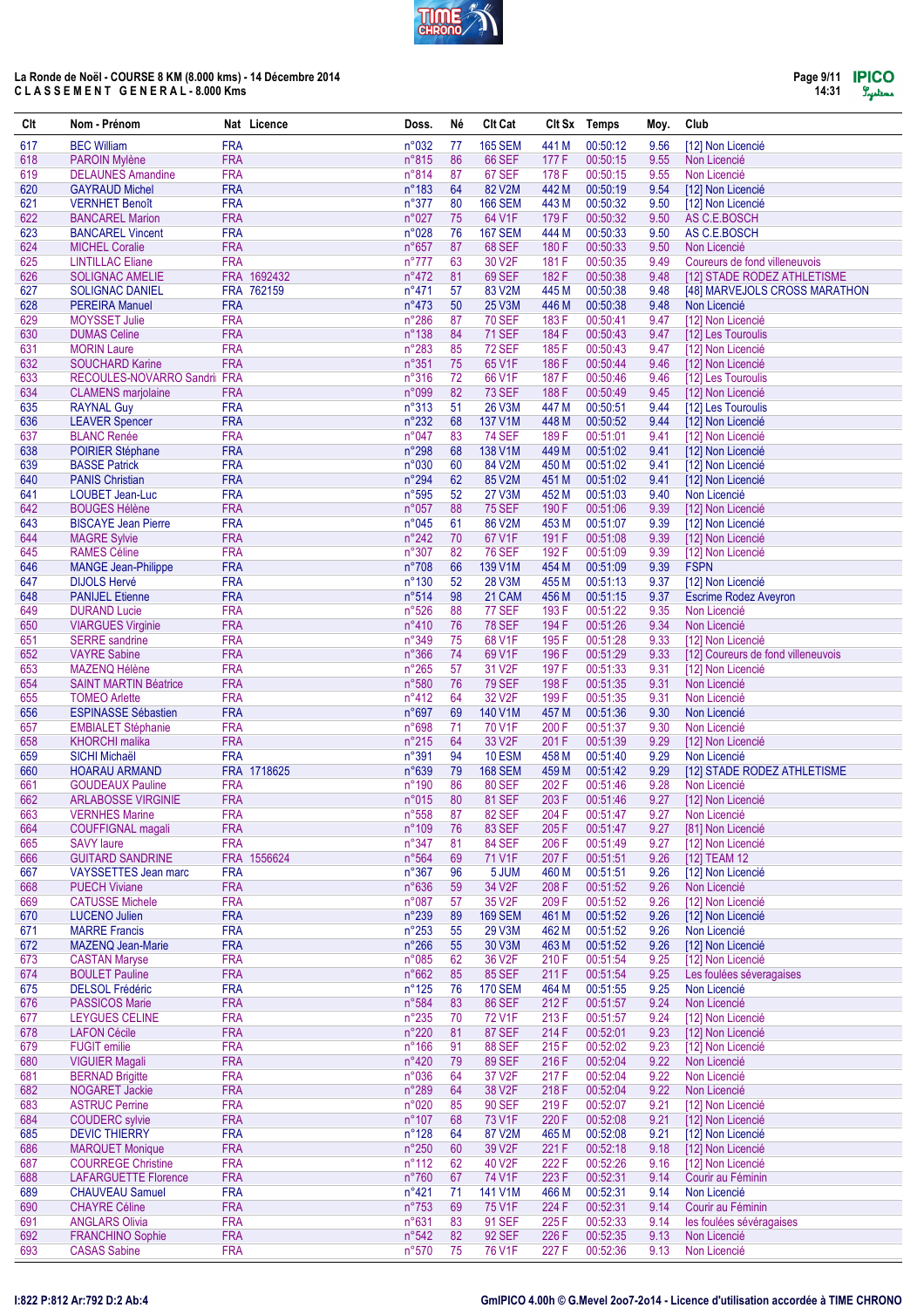

| Clt        | Nom - Prénom                                        |                          | Nat Licence | Doss.                            | Νé       | <b>Clt Cat</b>                  |                | Clt Sx Temps         | Moy.         | Club                                   |
|------------|-----------------------------------------------------|--------------------------|-------------|----------------------------------|----------|---------------------------------|----------------|----------------------|--------------|----------------------------------------|
| 617        | <b>BEC William</b>                                  | <b>FRA</b>               |             | n°032                            | 77       | <b>165 SEM</b>                  | 441 M          | 00:50:12             | 9.56         | [12] Non Licencié                      |
| 618        | <b>PAROIN Mylène</b>                                | <b>FRA</b>               |             | n°815                            | 86       | <b>66 SEF</b>                   | 177 F          | 00:50:15             | 9.55         | Non Licencié                           |
| 619        | <b>DELAUNES Amandine</b>                            | <b>FRA</b>               |             | n°814                            | 87       | 67 SEF                          | 178 F          | 00:50:15             | 9.55         | Non Licencié                           |
| 620        | <b>GAYRAUD Michel</b>                               | <b>FRA</b>               |             | n°183                            | 64       | 82 V2M                          | 442 M          | 00:50:19             | 9.54         | [12] Non Licencié                      |
| 621        | <b>VERNHET Benoît</b>                               | <b>FRA</b>               |             | $n^{\circ}377$                   | 80       | <b>166 SEM</b>                  | 443 M          | 00:50:32             | 9.50         | [12] Non Licencié                      |
| 622<br>623 | <b>BANCAREL Marion</b><br><b>BANCAREL Vincent</b>   | <b>FRA</b><br><b>FRA</b> |             | n°027<br>n°028                   | 75<br>76 | 64 V1F<br><b>167 SEM</b>        | 179F<br>444 M  | 00:50:32<br>00:50:33 | 9.50<br>9.50 | AS C.E.BOSCH<br>AS C.E.BOSCH           |
| 624        | <b>MICHEL Coralie</b>                               | <b>FRA</b>               |             | $n^{\circ}657$                   | 87       | <b>68 SEF</b>                   | 180 F          | 00:50:33             | 9.50         | Non Licencié                           |
| 625        | <b>LINTILLAC Eliane</b>                             | <b>FRA</b>               |             | $n^{\circ}777$                   | 63       | 30 V2F                          | 181 F          | 00:50:35             | 9.49         | Coureurs de fond villeneuvois          |
| 626        | <b>SOLIGNAC AMELIE</b>                              |                          | FRA 1692432 | $n^{\circ}472$                   | 81       | 69 SEF                          | 182 F          | 00:50:38             | 9.48         | [12] STADE RODEZ ATHLETISME            |
| 627        | <b>SOLIGNAC DANIEL</b>                              |                          | FRA 762159  | $n^{\circ}471$                   | 57       | 83 V2M                          | 445 M          | 00:50:38             | 9.48         | [48] MARVEJOLS CROSS MARATHON          |
| 628        | <b>PEREIRA Manuel</b>                               | <b>FRA</b>               |             | $n^{\circ}473$                   | 50       | 25 V3M                          | 446 M          | 00:50:38             | 9.48         | Non Licencié                           |
| 629        | <b>MOYSSET Julie</b>                                | <b>FRA</b>               |             | $n^{\circ}286$                   | 87       | <b>70 SEF</b>                   | 183 F          | 00:50:41             | 9.47         | [12] Non Licencié                      |
| 630        | <b>DUMAS Celine</b>                                 | <b>FRA</b>               |             | $n^{\circ}138$                   | 84       | <b>71 SEF</b>                   | 184 F          | 00:50:43             | 9.47         | [12] Les Touroulis                     |
| 631<br>632 | <b>MORIN Laure</b><br><b>SOUCHARD Karine</b>        | <b>FRA</b><br><b>FRA</b> |             | $n^{\circ}283$<br>$n^{\circ}351$ | 85<br>75 | 72 SEF<br>65 V1F                | 185 F<br>186 F | 00:50:43<br>00:50:44 | 9.47<br>9.46 | [12] Non Licencié<br>[12] Non Licencié |
| 633        | RECOULES-NOVARRO Sandri FRA                         |                          |             | n°316                            | 72       | 66 V1F                          | 187 F          | 00:50:46             | 9.46         | [12] Les Touroulis                     |
| 634        | <b>CLAMENS</b> marjolaine                           | <b>FRA</b>               |             | n°099                            | 82       | <b>73 SEF</b>                   | 188 F          | 00:50:49             | 9.45         | [12] Non Licencié                      |
| 635        | <b>RAYNAL Guy</b>                                   | <b>FRA</b>               |             | n°313                            | 51       | 26 V3M                          | 447 M          | 00:50:51             | 9.44         | [12] Les Touroulis                     |
| 636        | <b>LEAVER Spencer</b>                               | <b>FRA</b>               |             | $n^{\circ}232$                   | 68       | 137 V1M                         | 448 M          | 00:50:52             | 9.44         | [12] Non Licencié                      |
| 637        | <b>BLANC Renée</b>                                  | <b>FRA</b>               |             | n°047                            | 83       | <b>74 SEF</b>                   | 189 F          | 00:51:01             | 9.41         | [12] Non Licencié                      |
| 638        | <b>POIRIER Stéphane</b>                             | <b>FRA</b>               |             | $n^{\circ}298$                   | 68       | 138 V1M                         | 449 M          | 00:51:02             | 9.41         | [12] Non Licencié                      |
| 639        | <b>BASSE Patrick</b>                                | <b>FRA</b>               |             | n°030                            | 60       | 84 V2M                          | 450 M          | 00:51:02             | 9.41         | [12] Non Licencié                      |
| 640<br>641 | <b>PANIS Christian</b><br>LOUBET Jean-Luc           | <b>FRA</b><br><b>FRA</b> |             | $n^{\circ}294$<br>n°595          | 62<br>52 | 85 V2M<br>27 V3M                | 451 M<br>452 M | 00:51:02<br>00:51:03 | 9.41<br>9.40 | [12] Non Licencié<br>Non Licencié      |
| 642        | <b>BOUGES Hélène</b>                                | <b>FRA</b>               |             | n°057                            | 88       | <b>75 SEF</b>                   | 190 F          | 00:51:06             | 9.39         | [12] Non Licencié                      |
| 643        | <b>BISCAYE Jean Pierre</b>                          | <b>FRA</b>               |             | n°045                            | 61       | 86 V2M                          | 453 M          | 00:51:07             | 9.39         | [12] Non Licencié                      |
| 644        | <b>MAGRE Sylvie</b>                                 | <b>FRA</b>               |             | $n^{\circ}242$                   | 70       | 67 V1F                          | 191 F          | 00:51:08             | 9.39         | [12] Non Licencié                      |
| 645        | <b>RAMES Céline</b>                                 | <b>FRA</b>               |             | n°307                            | 82       | <b>76 SEF</b>                   | 192 F          | 00:51:09             | 9.39         | [12] Non Licencié                      |
| 646        | <b>MANGE Jean-Philippe</b>                          | <b>FRA</b>               |             | $n^{\circ}708$                   | 66       | 139 V1M                         | 454 M          | 00:51:09             | 9.39         | <b>FSPN</b>                            |
| 647        | <b>DIJOLS Hervé</b>                                 | <b>FRA</b>               |             | $n^{\circ}130$                   | 52       | 28 V3M                          | 455 M          | 00:51:13             | 9.37         | [12] Non Licencié                      |
| 648        | <b>PANIJEL Etienne</b>                              | <b>FRA</b>               |             | n°514                            | 98       | 21 CAM                          | 456 M          | 00:51:15             | 9.37         | <b>Escrime Rodez Aveyron</b>           |
| 649        | <b>DURAND Lucie</b>                                 | <b>FRA</b><br><b>FRA</b> |             | n°526                            | 88<br>76 | 77 SEF<br><b>78 SEF</b>         | 193 F          | 00:51:22<br>00:51:26 | 9.35         | Non Licencié                           |
| 650<br>651 | <b>VIARGUES Virginie</b><br><b>SERRE</b> sandrine   | <b>FRA</b>               |             | n°410<br>n°349                   | 75       | 68 V1F                          | 194 F<br>195 F | 00:51:28             | 9.34<br>9.33 | Non Licencié<br>[12] Non Licencié      |
| 652        | <b>VAYRE Sabine</b>                                 | <b>FRA</b>               |             | $n^{\circ}366$                   | 74       | 69 V1F                          | 196 F          | 00:51:29             | 9.33         | [12] Coureurs de fond villeneuvois     |
| 653        | MAZENQ Hélène                                       | <b>FRA</b>               |             | $n^{\circ}265$                   | 57       | 31 V <sub>2</sub> F             | 197 F          | 00:51:33             | 9.31         | [12] Non Licencié                      |
| 654        | <b>SAINT MARTIN Béatrice</b>                        | <b>FRA</b>               |             | n°580                            | 76       | <b>79 SEF</b>                   | 198 F          | 00:51:35             | 9.31         | Non Licencié                           |
| 655        | <b>TOMEO Arlette</b>                                | <b>FRA</b>               |             | $n^{\circ}412$                   | 64       | 32 V2F                          | 199 F          | 00:51:35             | 9.31         | Non Licencié                           |
| 656        | <b>ESPINASSE Sébastien</b>                          | <b>FRA</b>               |             | n°697                            | 69       | 140 V1M                         | 457 M          | 00:51:36             | 9.30         | Non Licencié                           |
| 657        | <b>EMBIALET Stéphanie</b>                           | <b>FRA</b>               |             | n°698                            | 71       | 70 V1F                          | 200 F          | 00:51:37             | 9.30         | Non Licencié                           |
| 658<br>659 | <b>KHORCHI</b> malika<br><b>SICHI Michaël</b>       | <b>FRA</b><br><b>FRA</b> |             | $n^{\circ}215$<br>n°391          | 64<br>94 | 33 V2F<br>10 ESM                | 201 F<br>458 M | 00:51:39<br>00:51:40 | 9.29<br>9.29 | [12] Non Licencié<br>Non Licencié      |
| 660        | <b>HOARAU ARMAND</b>                                |                          | FRA 1718625 | n°639                            | 79       | <b>168 SEM</b>                  | 459 M          | 00:51:42             | 9.29         | [12] STADE RODEZ ATHLETISME            |
| 661        | <b>GOUDEAUX Pauline</b>                             | <b>FRA</b>               |             | n°190                            | 86       | <b>80 SEF</b>                   | 202 F          | 00:51:46             | 9.28         | Non Licencié                           |
| 662        | <b>ARLABOSSE VIRGINIE</b>                           | <b>FRA</b>               |             | n°015                            | 80       | <b>81 SEF</b>                   | 203 F          | 00:51:46             | 9.27         | [12] Non Licencié                      |
| 663        | <b>VERNHES Marine</b>                               | <b>FRA</b>               |             | $n^{\circ}558$                   | 87       | <b>82 SEF</b>                   | 204 F          | 00:51:47             | 9.27         | Non Licencie                           |
| 664        | COUFFIGNAL magali                                   | <b>FRA</b>               |             | n°109                            | 76       | <b>83 SEF</b>                   | 205 F          | 00:51:47             | 9.27         | [81] Non Licencié                      |
| 665        | <b>SAVY laure</b>                                   | <b>FRA</b>               |             | n°347                            | 81       | 84 SEF                          | 206 F          | 00:51:49             | 9.27         | [12] Non Licencié                      |
| 666        | <b>GUITARD SANDRINE</b>                             |                          | FRA 1556624 | n°564                            | 69       | 71 V1F                          | 207 F          | 00:51:51             | 9.26         | [12] TEAM 12                           |
| 667<br>668 | <b>VAYSSETTES Jean marc</b><br><b>PUECH Viviane</b> | <b>FRA</b><br><b>FRA</b> |             | $n^{\circ}367$<br>$n^{\circ}636$ | 96<br>59 | 5 JUM<br>34 V2F                 | 460 M<br>208 F | 00:51:51<br>00:51:52 | 9.26<br>9.26 | [12] Non Licencié<br>Non Licencié      |
| 669        | <b>CATUSSE Michele</b>                              | <b>FRA</b>               |             | n°087                            | 57       | 35 V2F                          | 209 F          | 00:51:52             | 9.26         | [12] Non Licencié                      |
| 670        | <b>LUCENO Julien</b>                                | <b>FRA</b>               |             | n°239                            | 89       | <b>169 SEM</b>                  | 461 M          | 00:51:52             | 9.26         | [12] Non Licencié                      |
| 671        | <b>MARRE Francis</b>                                | <b>FRA</b>               |             | $n^{\circ}253$                   | 55       | 29 V3M                          | 462 M          | 00:51:52             | 9.26         | Non Licencié                           |
| 672        | <b>MAZENQ Jean-Marie</b>                            | <b>FRA</b>               |             | $n^{\circ}266$                   | 55       | 30 V3M                          | 463 M          | 00:51:52             | 9.26         | [12] Non Licencié                      |
| 673        | <b>CASTAN Maryse</b>                                | <b>FRA</b>               |             | n°085                            | 62       | 36 V2F                          | 210 F          | 00:51:54             | 9.25         | [12] Non Licencié                      |
| 674        | <b>BOULET Pauline</b>                               | <b>FRA</b>               |             | n°662                            | 85       | <b>85 SEF</b>                   | 211 F          | 00:51:54             | 9.25         | Les foulées séveragaises               |
| 675<br>676 | <b>DELSOL Frédéric</b><br><b>PASSICOS Marie</b>     | <b>FRA</b><br><b>FRA</b> |             | $n^{\circ}125$<br>n°584          | 76<br>83 | <b>170 SEM</b><br><b>86 SEF</b> | 464 M<br>212 F | 00:51:55<br>00:51:57 | 9.25<br>9.24 | Non Licencié<br>Non Licencié           |
| 677        | <b>LEYGUES CELINE</b>                               | <b>FRA</b>               |             | $n^{\circ}235$                   | 70       | 72 V1F                          | 213 F          | 00:51:57             | 9.24         | [12] Non Licencié                      |
| 678        | <b>LAFON Cécile</b>                                 | <b>FRA</b>               |             | $n^{\circ}220$                   | 81       | <b>87 SEF</b>                   | 214 F          | 00:52:01             | 9.23         | [12] Non Licencié                      |
| 679        | <b>FUGIT emilie</b>                                 | <b>FRA</b>               |             | $n^{\circ}166$                   | 91       | <b>88 SEF</b>                   | 215F           | 00:52:02             | 9.23         | [12] Non Licencié                      |
| 680        | <b>VIGUIER Magali</b>                               | <b>FRA</b>               |             | n°420                            | 79       | <b>89 SEF</b>                   | 216 F          | 00:52:04             | 9.22         | Non Licencié                           |
| 681        | <b>BERNAD Brigitte</b>                              | <b>FRA</b>               |             | n°036                            | 64       | 37 V2F                          | 217 F          | 00:52:04             | 9.22         | Non Licencié                           |
| 682        | <b>NOGARET Jackie</b>                               | <b>FRA</b>               |             | n°289                            | 64       | 38 V2F                          | 218 F          | 00:52:04             | 9.22         | Non Licencié                           |
| 683<br>684 | <b>ASTRUC Perrine</b>                               | <b>FRA</b><br><b>FRA</b> |             | n°020<br>$n^{\circ}107$          | 85<br>68 | <b>90 SEF</b><br>73 V1F         | 219 F<br>220 F | 00:52:07<br>00:52:08 | 9.21<br>9.21 | [12] Non Licencié<br>[12] Non Licencié |
| 685        | <b>COUDERC</b> sylvie<br><b>DEVIC THIERRY</b>       | <b>FRA</b>               |             | $n^{\circ}128$                   | 64       | 87 V2M                          | 465 M          | 00:52:08             | 9.21         | [12] Non Licencié                      |
| 686        | <b>MARQUET Monique</b>                              | <b>FRA</b>               |             | $n^{\circ}250$                   | 60       | 39 V2F                          | 221 F          | 00:52:18             | 9.18         | [12] Non Licencié                      |
| 687        | <b>COURREGE Christine</b>                           | <b>FRA</b>               |             | $n^{\circ}112$                   | 62       | 40 V2F                          | 222 F          | 00:52:26             | 9.16         | [12] Non Licencié                      |
| 688        | <b>LAFARGUETTE Florence</b>                         | <b>FRA</b>               |             | n°760                            | 67       | 74 V1F                          | 223 F          | 00:52:31             | 9.14         | Courir au Féminin                      |
| 689        | <b>CHAUVEAU Samuel</b>                              | <b>FRA</b>               |             | n°421                            | 71       | 141 V1M                         | 466 M          | 00:52:31             | 9.14         | Non Licencié                           |
| 690        | <b>CHAYRE Céline</b>                                | <b>FRA</b>               |             | $n^{\circ}753$                   | 69       | 75 V1F                          | 224 F          | 00:52:31             | 9.14         | Courir au Féminin                      |
| 691        | <b>ANGLARS Olivia</b>                               | <b>FRA</b>               |             | n°631                            | 83       | 91 SEF                          | 225 F          | 00:52:33             | 9.14         | les foulées sévéragaises               |
| 692<br>693 | <b>FRANCHINO Sophie</b><br><b>CASAS Sabine</b>      | <b>FRA</b><br><b>FRA</b> |             | n°542<br>n°570                   | 82<br>75 | <b>92 SEF</b><br>76 V1F         | 226 F<br>227 F | 00:52:35<br>00:52:36 | 9.13<br>9.13 | Non Licencié<br>Non Licencié           |
|            |                                                     |                          |             |                                  |          |                                 |                |                      |              |                                        |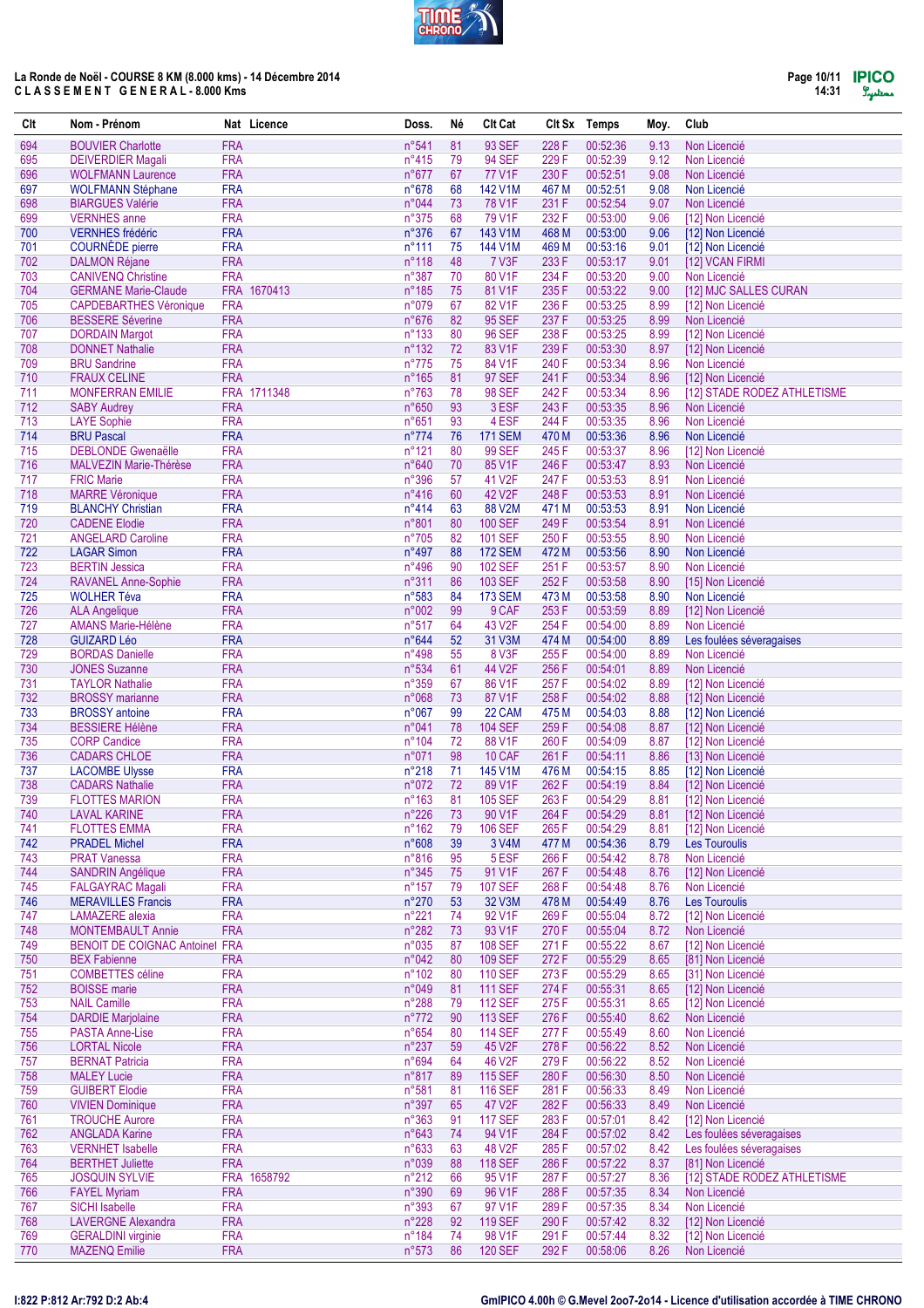

| Clt        | Nom - Prénom                                             |                          | Nat Licence | Doss.                   | Νé       | <b>Clt Cat</b>                   |                | Clt Sx Temps         | Moy.         | Club                                      |
|------------|----------------------------------------------------------|--------------------------|-------------|-------------------------|----------|----------------------------------|----------------|----------------------|--------------|-------------------------------------------|
| 694        | <b>BOUVIER Charlotte</b>                                 | <b>FRA</b>               |             | n°541                   | 81       | 93 SEF                           | 228 F          | 00:52:36             | 9.13         | Non Licencié                              |
| 695        | <b>DEIVERDIER Magali</b>                                 | <b>FRA</b>               |             | $n^{\circ}415$          | 79       | <b>94 SEF</b>                    | 229F           | 00:52:39             | 9.12         | Non Licencié                              |
| 696        | <b>WOLFMANN Laurence</b>                                 | <b>FRA</b>               |             | $n^{\circ}677$          | 67       | <b>77 V1F</b>                    | 230 F          | 00:52:51             | 9.08         | Non Licencié                              |
| 697        | <b>WOLFMANN Stéphane</b>                                 | <b>FRA</b>               |             | n°678                   | 68       | 142 V1M                          | 467 M          | 00:52:51             | 9.08         | Non Licencié                              |
| 698        | <b>BIARGUES Valérie</b>                                  | <b>FRA</b>               |             | n°044                   | 73       | 78 V1F                           | 231 F          | 00:52:54             | 9.07         | Non Licencié                              |
| 699        | <b>VERNHES</b> anne                                      | <b>FRA</b>               |             | n°375                   | 68       | 79 V1F                           | 232 F          | 00:53:00             | 9.06         | [12] Non Licencié                         |
| 700        | <b>VERNHES</b> frédéric                                  | <b>FRA</b>               |             | n°376                   | 67       | 143 V1M                          | 468 M          | 00:53:00             | 9.06         | [12] Non Licencié                         |
| 701        | <b>COURNÈDE</b> pierre                                   | <b>FRA</b>               |             | $n^{\circ}111$          | 75       | 144 V1M                          | 469 M          | 00:53:16             | 9.01         | [12] Non Licencié                         |
| 702        | <b>DALMON Réjane</b>                                     | <b>FRA</b>               |             | $n^{\circ}118$          | 48       | 7 V3F                            | 233 F          | 00:53:17             | 9.01         | [12] VCAN FIRMI                           |
| 703<br>704 | <b>CANIVENQ Christine</b><br><b>GERMANE Marie-Claude</b> | <b>FRA</b>               | FRA 1670413 | n°387<br>$n^{\circ}185$ | 70<br>75 | 80 V1F<br>81 V1F                 | 234 F<br>235 F | 00:53:20<br>00:53:22 | 9.00<br>9.00 | Non Licencié<br>[12] MJC SALLES CURAN     |
| 705        | <b>CAPDEBARTHES Véronique</b>                            | <b>FRA</b>               |             | n°079                   | 67       | 82 V1F                           | 236 F          | 00:53:25             | 8.99         | [12] Non Licencié                         |
| 706        | <b>BESSERE Séverine</b>                                  | <b>FRA</b>               |             | $n^{\circ}676$          | 82       | <b>95 SEF</b>                    | 237 F          | 00:53:25             | 8.99         | Non Licencié                              |
| 707        | <b>DORDAIN Margot</b>                                    | <b>FRA</b>               |             | $n^{\circ}133$          | 80       | <b>96 SEF</b>                    | 238 F          | 00:53:25             | 8.99         | [12] Non Licencié                         |
| 708        | <b>DONNET Nathalie</b>                                   | <b>FRA</b>               |             | $n^{\circ}132$          | 72       | 83 V1F                           | 239 F          | 00:53:30             | 8.97         | [12] Non Licencié                         |
| 709        | <b>BRU Sandrine</b>                                      | <b>FRA</b>               |             | $n^{\circ}775$          | 75       | 84 V1F                           | 240 F          | 00:53:34             | 8.96         | Non Licencié                              |
| 710        | <b>FRAUX CELINE</b>                                      | <b>FRA</b>               |             | $n^{\circ}165$          | 81       | <b>97 SEF</b>                    | 241 F          | 00:53:34             | 8.96         | [12] Non Licencié                         |
| 711        | <b>MONFERRAN EMILIE</b>                                  |                          | FRA 1711348 | $n^{\circ}763$          | 78       | <b>98 SEF</b>                    | 242 F          | 00:53:34             | 8.96         | [12] STADE RODEZ ATHLETISME               |
| 712        | <b>SABY Audrey</b>                                       | <b>FRA</b>               |             | n°650                   | 93       | 3 ESF                            | 243 F          | 00:53:35             | 8.96         | Non Licencié                              |
| 713        | <b>LAYE Sophie</b>                                       | <b>FRA</b>               |             | n°651                   | 93       | 4 ESF                            | 244 F          | 00:53:35             | 8.96         | Non Licencié                              |
| 714        | <b>BRU Pascal</b>                                        | <b>FRA</b>               |             | $n^{\circ}774$          | 76       | <b>171 SEM</b>                   | 470 M          | 00:53:36             | 8.96         | Non Licencié                              |
| 715        | <b>DEBLONDE Gwenaëlle</b>                                | <b>FRA</b>               |             | $n^{\circ}121$          | 80       | <b>99 SEF</b>                    | 245 F          | 00:53:37             | 8.96         | [12] Non Licencié                         |
| 716        | <b>MALVEZIN Marie-Thérèse</b>                            | <b>FRA</b>               |             | n°640                   | 70       | 85 V1F                           | 246 F          | 00:53:47             | 8.93         | Non Licencié                              |
| 717        | <b>FRIC Marie</b>                                        | <b>FRA</b>               |             | n°396                   | 57       | 41 V2F                           | 247 F          | 00:53:53             | 8.91         | Non Licencié                              |
| 718        | <b>MARRE Véronique</b>                                   | <b>FRA</b>               |             | $n^{\circ}416$          | 60       | 42 V2F                           | 248 F          | 00:53:53             | 8.91         | Non Licencié                              |
| 719        | <b>BLANCHY Christian</b>                                 | <b>FRA</b>               |             | $n^{\circ}414$          | 63       | 88 V2M                           | 471 M          | 00:53:53             | 8.91         | Non Licencié                              |
| 720        | <b>CADENE Elodie</b>                                     | <b>FRA</b>               |             | n°801                   | 80       | <b>100 SEF</b>                   | 249 F          | 00:53:54             | 8.91         | Non Licencié                              |
| 721        | <b>ANGELARD Caroline</b>                                 | <b>FRA</b>               |             | $n^{\circ}705$          | 82       | <b>101 SEF</b>                   | 250 F          | 00:53:55             | 8.90         | Non Licencié                              |
| 722        | <b>LAGAR Simon</b>                                       | <b>FRA</b>               |             | n°497                   | 88       | <b>172 SEM</b>                   | 472 M          | 00:53:56             | 8.90         | Non Licencié                              |
| 723        | <b>BERTIN Jessica</b>                                    | <b>FRA</b>               |             | $n^{\circ}496$          | 90       | <b>102 SEF</b><br><b>103 SEF</b> | 251 F          | 00:53:57<br>00:53:58 | 8.90         | Non Licencié                              |
| 724<br>725 | <b>RAVANEL Anne-Sophie</b><br><b>WOLHER Téva</b>         | <b>FRA</b><br><b>FRA</b> |             | n°311<br>n°583          | 86<br>84 | <b>173 SEM</b>                   | 252 F<br>473 M | 00:53:58             | 8.90<br>8.90 | [15] Non Licencié<br>Non Licencié         |
| 726        | <b>ALA Angelique</b>                                     | <b>FRA</b>               |             | n°002                   | 99       | 9 CAF                            | 253 F          | 00:53:59             | 8.89         | [12] Non Licencié                         |
| 727        | <b>AMANS Marie-Hélène</b>                                | <b>FRA</b>               |             | $n^{\circ}517$          | 64       | 43 V2F                           | 254 F          | 00:54:00             | 8.89         | Non Licencié                              |
| 728        | <b>GUIZARD Léo</b>                                       | <b>FRA</b>               |             | n°644                   | 52       | 31 V3M                           | 474 M          | 00:54:00             | 8.89         | Les foulées séveragaises                  |
| 729        | <b>BORDAS Danielle</b>                                   | <b>FRA</b>               |             | n°498                   | 55       | 8 V3F                            | 255F           | 00:54:00             | 8.89         | Non Licencié                              |
| 730        | <b>JONES Suzanne</b>                                     | <b>FRA</b>               |             | n°534                   | 61       | 44 V2F                           | 256 F          | 00:54:01             | 8.89         | Non Licencié                              |
| 731        | <b>TAYLOR Nathalie</b>                                   | <b>FRA</b>               |             | n°359                   | 67       | 86 V1F                           | 257 F          | 00:54:02             | 8.89         | [12] Non Licencié                         |
| 732        | <b>BROSSY</b> marianne                                   | <b>FRA</b>               |             | n°068                   | 73       | 87 V1F                           | 258 F          | 00:54:02             | 8.88         | [12] Non Licencié                         |
| 733        | <b>BROSSY</b> antoine                                    | <b>FRA</b>               |             | n°067                   | 99       | 22 CAM                           | 475 M          | 00:54:03             | 8.88         | [12] Non Licencié                         |
| 734        | <b>BESSIERE Hélène</b>                                   | <b>FRA</b>               |             | n°041                   | 78       | <b>104 SEF</b>                   | 259 F          | 00:54:08             | 8.87         | [12] Non Licencié                         |
| 735        | <b>CORP Candice</b>                                      | <b>FRA</b>               |             | n°104                   | 72       | 88 V1F                           | 260 F          | 00:54:09             | 8.87         | [12] Non Licencié                         |
| 736        | <b>CADARS CHLOE</b>                                      | <b>FRA</b>               |             | n°071                   | 98       | 10 CAF                           | 261 F          | 00:54:11             | 8.86         | [13] Non Licencié                         |
| 737        | <b>LACOMBE Ulysse</b>                                    | <b>FRA</b>               |             | n°218                   | 71       | 145 V1M                          | 476 M          | 00:54:15             | 8.85         | [12] Non Licencié                         |
| 738        | <b>CADARS Nathalie</b>                                   | <b>FRA</b>               |             | n°072                   | 72       | 89 V1F                           | 262 F          | 00:54:19             | 8.84         | [12] Non Licencié                         |
| 739        | <b>FLOTTES MARION</b>                                    | <b>FRA</b>               |             | $n^{\circ}163$          | 81       | <b>105 SEF</b>                   | 263F           | 00:54:29             | 8.81         | [12] Non Licencié                         |
| 740        | <b>LAVAL KARINE</b>                                      | <b>FRA</b>               |             | $n^{\circ}226$          | 73       | 90 V1F                           | 264 F          | 00:54:29             |              | 8.81 [12] Non Licencié                    |
| 741<br>742 | <b>FLOTTES EMMA</b><br><b>PRADEL Michel</b>              | <b>FRA</b><br><b>FRA</b> |             | $n^{\circ}162$<br>n°608 | 79<br>39 | <b>106 SEF</b><br>3 V4M          | 265 F<br>477 M | 00:54:29<br>00:54:36 | 8.81<br>8.79 | [12] Non Licencié<br><b>Les Touroulis</b> |
| 743        | <b>PRAT Vanessa</b>                                      | <b>FRA</b>               |             | $n^{\circ}816$          | 95       | 5 ESF                            | 266 F          | 00:54:42             | 8.78         | Non Licencié                              |
| 744        | <b>SANDRIN Angélique</b>                                 | <b>FRA</b>               |             | $n^{\circ}345$          | 75       | 91 V1F                           | 267 F          | 00:54:48             | 8.76         | [12] Non Licencié                         |
| 745        | <b>FALGAYRAC Magali</b>                                  | <b>FRA</b>               |             | $n^{\circ}157$          | 79       | <b>107 SEF</b>                   | 268 F          | 00:54:48             | 8.76         | Non Licencié                              |
| 746        | <b>MERAVILLES Francis</b>                                | <b>FRA</b>               |             | $n^{\circ}270$          | 53       | 32 V3M                           | 478 M          | 00:54:49             | 8.76         | <b>Les Touroulis</b>                      |
| 747        | <b>LAMAZERE</b> alexia                                   | <b>FRA</b>               |             | $n^{\circ}221$          | 74       | 92 V1F                           | 269 F          | 00:55:04             | 8.72         | [12] Non Licencié                         |
| 748        | <b>MONTEMBAULT Annie</b>                                 | <b>FRA</b>               |             | n°282                   | 73       | 93 V1F                           | 270 F          | 00:55:04             | 8.72         | Non Licencié                              |
| 749        | <b>BENOIT DE COIGNAC Antoinet FRA</b>                    |                          |             | n°035                   | 87       | <b>108 SEF</b>                   | 271 F          | 00:55:22             | 8.67         | [12] Non Licencié                         |
| 750        | <b>BEX Fabienne</b>                                      | <b>FRA</b>               |             | n°042                   | 80       | <b>109 SEF</b>                   | 272 F          | 00:55:29             | 8.65         | [81] Non Licencié                         |
| 751        | <b>COMBETTES céline</b>                                  | <b>FRA</b>               |             | $n^{\circ}102$          | 80       | <b>110 SEF</b>                   | 273F           | 00:55:29             | 8.65         | [31] Non Licencié                         |
| 752        | <b>BOISSE</b> marie                                      | <b>FRA</b>               |             | n°049                   | 81       | <b>111 SEF</b>                   | 274 F          | 00:55:31             | 8.65         | [12] Non Licencié                         |
| 753        | <b>NAIL Camille</b>                                      | <b>FRA</b>               |             | $n^{\circ}288$          | 79       | <b>112 SEF</b>                   | 275F           | 00:55:31             | 8.65         | [12] Non Licencié                         |
| 754        | <b>DARDIE Marjolaine</b>                                 | <b>FRA</b>               |             | $n^{\circ}772$          | 90       | <b>113 SEF</b>                   | 276 F          | 00:55:40             | 8.62         | Non Licencié                              |
| 755        | <b>PASTA Anne-Lise</b>                                   | <b>FRA</b>               |             | $n^{\circ}654$          | 80       | <b>114 SEF</b>                   | 277 F          | 00:55:49             | 8.60         | Non Licencié                              |
| 756        | <b>LORTAL Nicole</b>                                     | <b>FRA</b>               |             | $n^{\circ}237$          | 59       | 45 V2F                           | 278 F          | 00:56:22             | 8.52         | Non Licencié                              |
| 757        | <b>BERNAT Patricia</b>                                   | <b>FRA</b>               |             | n°694                   | 64       | 46 V2F                           | 279F           | 00:56:22             | 8.52         | Non Licencié                              |
| 758        | <b>MALEY Lucie</b>                                       | <b>FRA</b>               |             | n°817                   | 89       | <b>115 SEF</b>                   | 280 F          | 00:56:30             | 8.50         | Non Licencié                              |
| 759<br>760 | <b>GUIBERT Elodie</b><br><b>VIVIEN Dominique</b>         | <b>FRA</b><br><b>FRA</b> |             | n°581<br>n°397          | 81<br>65 | <b>116 SEF</b><br>47 V2F         | 281 F<br>282 F | 00:56:33<br>00:56:33 | 8.49<br>8.49 | Non Licencié<br>Non Licencié              |
| 761        | <b>TROUCHE Aurore</b>                                    | <b>FRA</b>               |             | n°363                   | 91       | <b>117 SEF</b>                   | 283 F          | 00:57:01             | 8.42         | [12] Non Licencié                         |
| 762        | <b>ANGLADA Karine</b>                                    | <b>FRA</b>               |             | n°643                   | 74       | 94 V1F                           | 284 F          | 00:57:02             | 8.42         | Les foulées séveragaises                  |
| 763        | <b>VERNHET Isabelle</b>                                  | <b>FRA</b>               |             | n°633                   | 63       | 48 V <sub>2F</sub>               | 285 F          | 00:57:02             | 8.42         | Les foulées séveragaises                  |
| 764        | <b>BERTHET Juliette</b>                                  | <b>FRA</b>               |             | n°039                   | 88       | <b>118 SEF</b>                   | 286 F          | 00:57:22             | 8.37         | [81] Non Licencié                         |
| 765        | <b>JOSQUIN SYLVIE</b>                                    |                          | FRA 1658792 | $n^{\circ}212$          | 66       | 95 V1F                           | 287 F          | 00:57:27             | 8.36         | [12] STADE RODEZ ATHLETISME               |
| 766        | <b>FAYEL Myriam</b>                                      | <b>FRA</b>               |             | n°390                   | 69       | 96 V1F                           | 288 F          | 00:57:35             | 8.34         | Non Licencié                              |
| 767        | <b>SICHI Isabelle</b>                                    | <b>FRA</b>               |             | n°393                   | 67       | 97 V1F                           | 289 F          | 00:57:35             | 8.34         | Non Licencié                              |
| 768        | <b>LAVERGNE Alexandra</b>                                | <b>FRA</b>               |             | $n^{\circ}228$          | 92       | <b>119 SEF</b>                   | 290 F          | 00:57:42             | 8.32         | [12] Non Licencié                         |
| 769        | <b>GERALDINI</b> virginie                                | <b>FRA</b>               |             | n°184                   | 74       | 98 V1F                           | 291 F          | 00:57:44             | 8.32         | [12] Non Licencié                         |
| 770        | <b>MAZENQ Emilie</b>                                     | <b>FRA</b>               |             | n°573                   | 86       | <b>120 SEF</b>                   | 292 F          | 00:58:06             | 8.26         | Non Licencié                              |